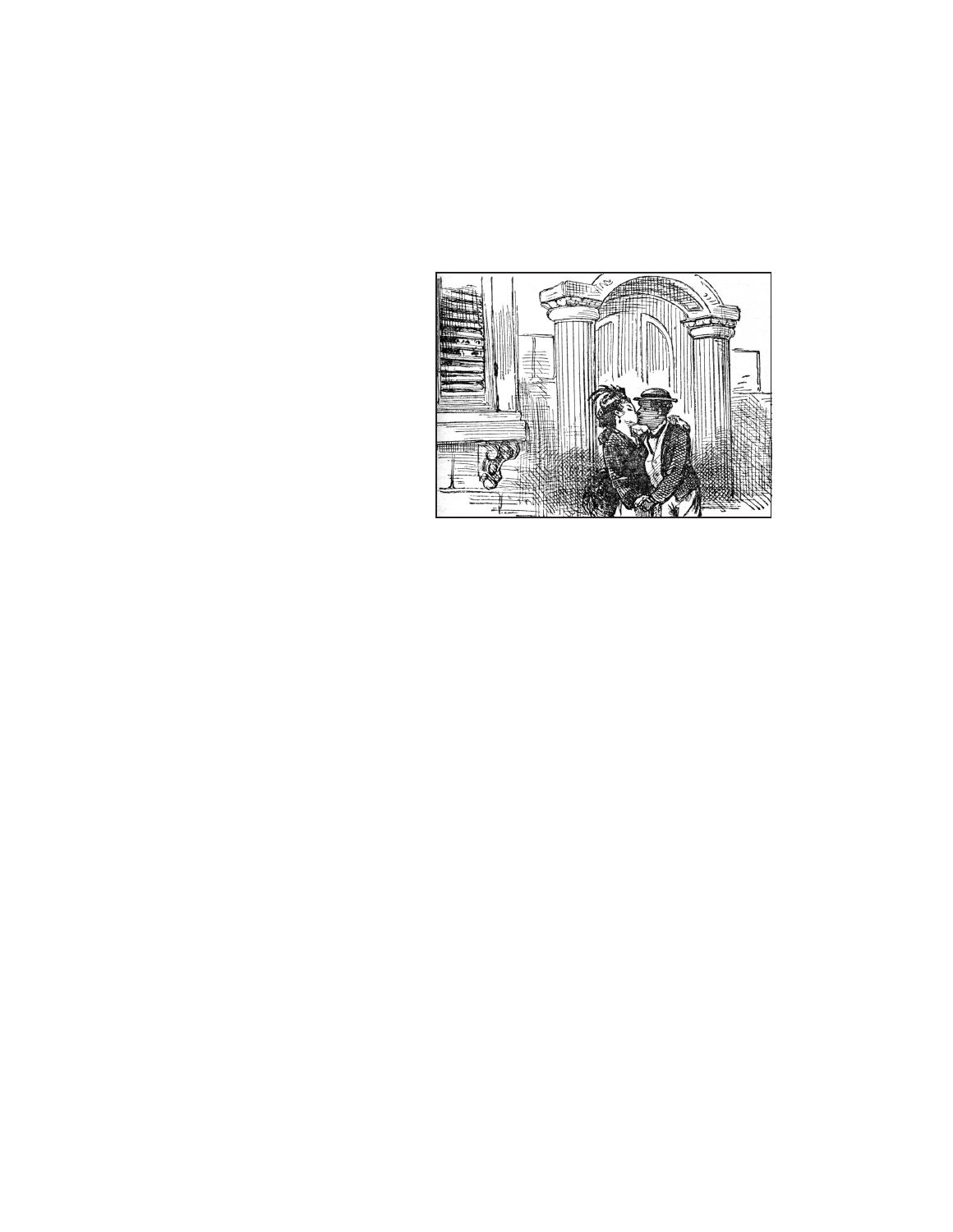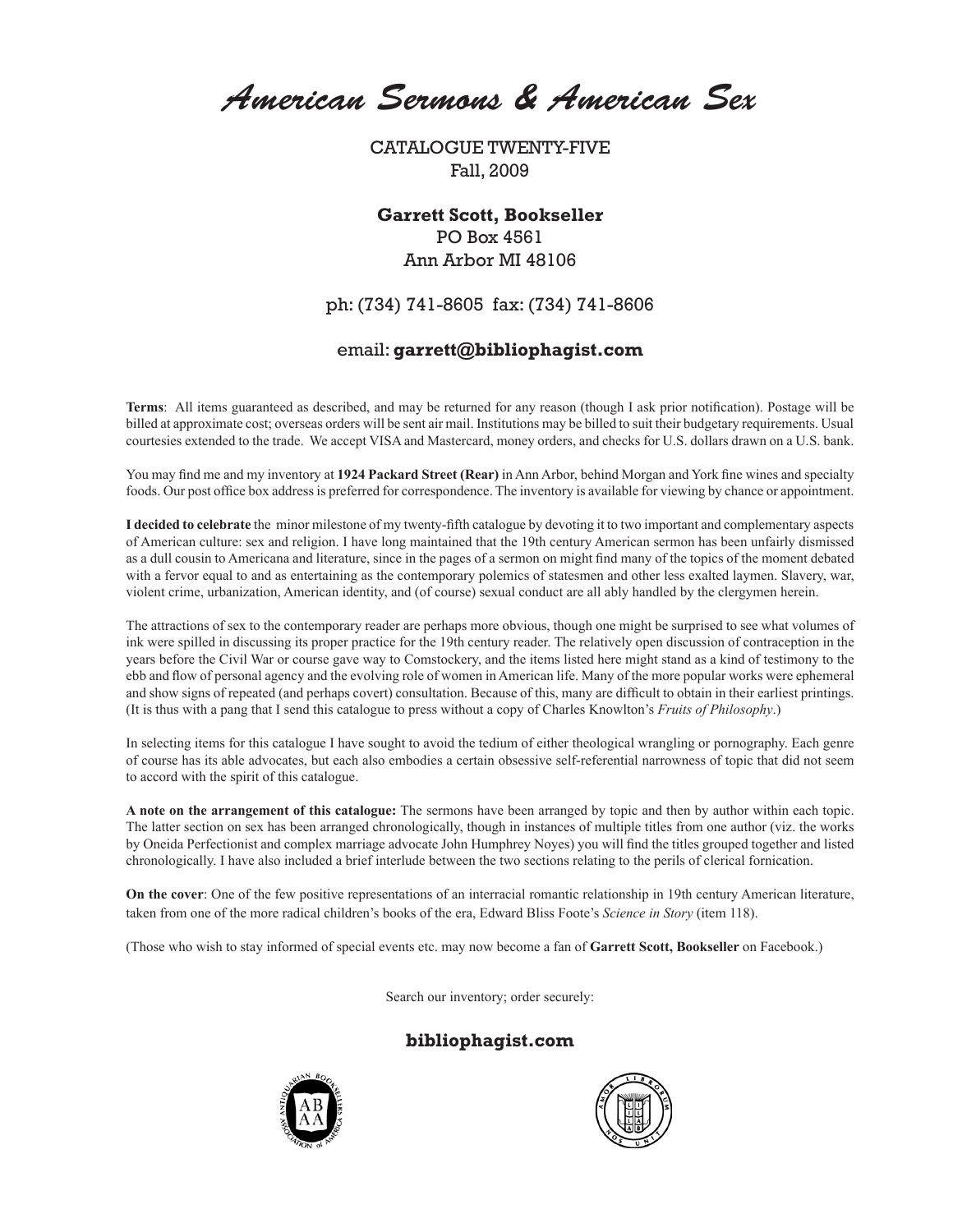*American Sermons & American Sex*

CATALOGUE TWENTY-FIVE Fall, 2009

# **Garrett Scott, Bookseller** PO Box 4561 Ann Arbor MI 48106

# ph: (734) 741-8605 fax: (734) 741-8606

# email: **garrett@bibliophagist.com**

**Terms**: All items guaranteed as described, and may be returned for any reason (though I ask prior notification). Postage will be billed at approximate cost; overseas orders will be sent air mail. Institutions may be billed to suit their budgetary requirements. Usual courtesies extended to the trade. We accept VISA and Mastercard, money orders, and checks for U.S. dollars drawn on a U.S. bank.

You may find me and my inventory at **1924 Packard Street (Rear)** in Ann Arbor, behind Morgan and York fine wines and specialty foods. Our post office box address is preferred for correspondence. The inventory is available for viewing by chance or appointment.

**I decided to celebrate** the minor milestone of my twenty-fifth catalogue by devoting it to two important and complementary aspects of American culture: sex and religion. I have long maintained that the 19th century American sermon has been unfairly dismissed as a dull cousin to Americana and literature, since in the pages of a sermon on might find many of the topics of the moment debated with a fervor equal to and as entertaining as the contemporary polemics of statesmen and other less exalted laymen. Slavery, war, violent crime, urbanization, American identity, and (of course) sexual conduct are all ably handled by the clergymen herein.

The attractions of sex to the contemporary reader are perhaps more obvious, though one might be surprised to see what volumes of ink were spilled in discussing its proper practice for the 19th century reader. The relatively open discussion of contraception in the years before the Civil War or course gave way to Comstockery, and the items listed here might stand as a kind of testimony to the ebb and flow of personal agency and the evolving role of women in American life. Many of the more popular works were ephemeral and show signs of repeated (and perhaps covert) consultation. Because of this, many are difficult to obtain in their earliest printings. (It is thus with a pang that I send this catalogue to press without a copy of Charles Knowlton's *Fruits of Philosophy*.)

In selecting items for this catalogue I have sought to avoid the tedium of either theological wrangling or pornography. Each genre of course has its able advocates, but each also embodies a certain obsessive self-referential narrowness of topic that did not seem to accord with the spirit of this catalogue.

**A note on the arrangement of this catalogue:** The sermons have been arranged by topic and then by author within each topic. The latter section on sex has been arranged chronologically, though in instances of multiple titles from one author (viz. the works by Oneida Perfectionist and complex marriage advocate John Humphrey Noyes) you will find the titles grouped together and listed chronologically. I have also included a brief interlude between the two sections relating to the perils of clerical fornication.

**On the cover**: One of the few positive representations of an interracial romantic relationship in 19th century American literature, taken from one of the more radical children's books of the era, Edward Bliss Foote's *Science in Story* (item 118).

(Those who wish to stay informed of special events etc. may now become a fan of **Garrett Scott, Bookseller** on Facebook.)

Search our inventory; order securely:

# **bibliophagist.com**



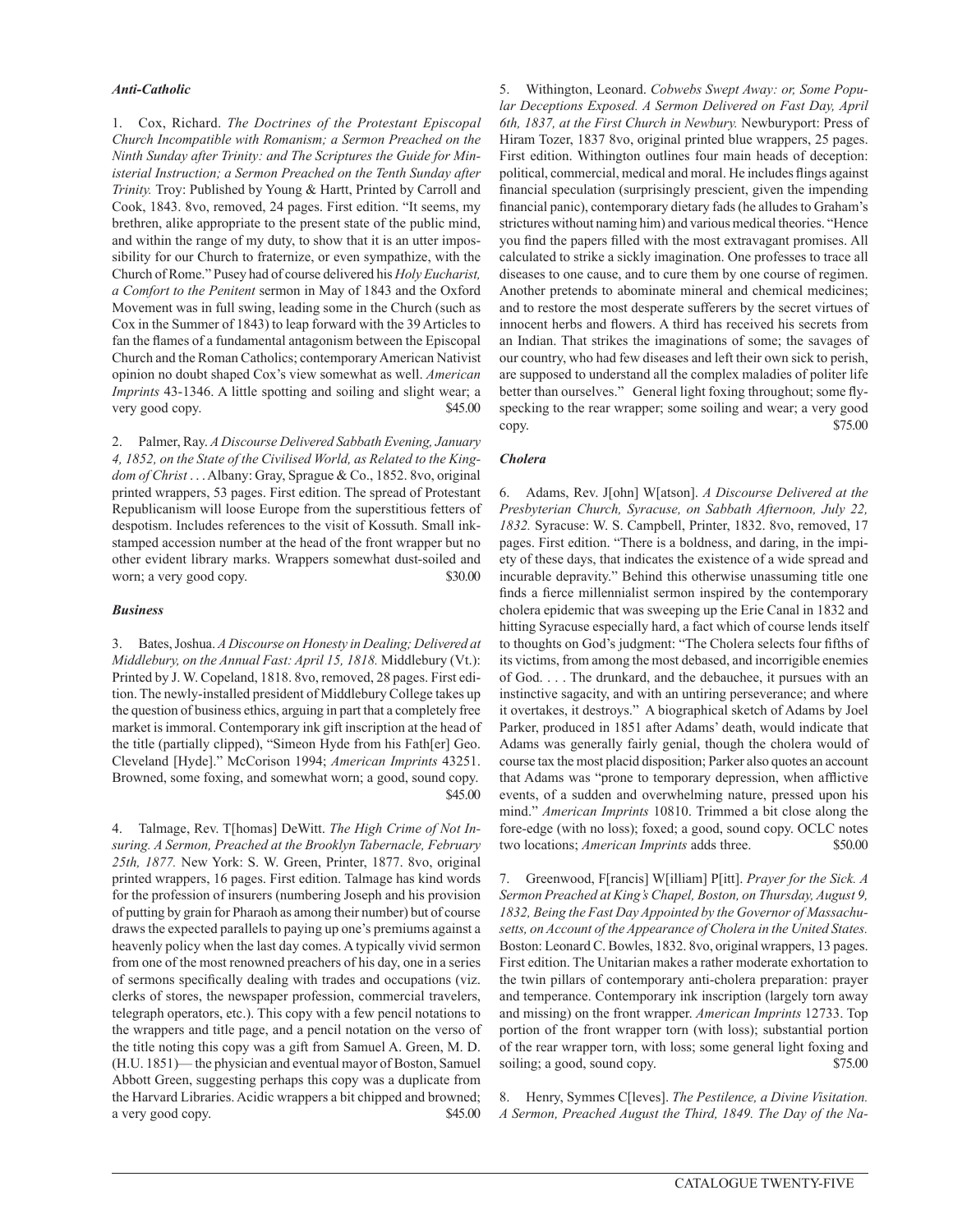#### *Anti-Catholic*

1. Cox, Richard. *The Doctrines of the Protestant Episcopal Church Incompatible with Romanism; a Sermon Preached on the Ninth Sunday after Trinity: and The Scriptures the Guide for Ministerial Instruction; a Sermon Preached on the Tenth Sunday after Trinity.* Troy: Published by Young & Hartt, Printed by Carroll and Cook, 1843. 8vo, removed, 24 pages. First edition. "It seems, my brethren, alike appropriate to the present state of the public mind, and within the range of my duty, to show that it is an utter impossibility for our Church to fraternize, or even sympathize, with the Church of Rome." Pusey had of course delivered his *Holy Eucharist, a Comfort to the Penitent* sermon in May of 1843 and the Oxford Movement was in full swing, leading some in the Church (such as Cox in the Summer of 1843) to leap forward with the 39 Articles to fan the flames of a fundamental antagonism between the Episcopal Church and the Roman Catholics; contemporary American Nativist opinion no doubt shaped Cox's view somewhat as well. *American Imprints* 43-1346. A little spotting and soiling and slight wear; a very good copy. \$45.00

2. Palmer, Ray. *A Discourse Delivered Sabbath Evening, January 4, 1852, on the State of the Civilised World, as Related to the Kingdom of Christ* . . . Albany: Gray, Sprague & Co., 1852. 8vo, original printed wrappers, 53 pages. First edition. The spread of Protestant Republicanism will loose Europe from the superstitious fetters of despotism. Includes references to the visit of Kossuth. Small inkstamped accession number at the head of the front wrapper but no other evident library marks. Wrappers somewhat dust-soiled and worn; a very good copy.  $$30.00$ 

#### *Business*

3. Bates, Joshua. *A Discourse on Honesty in Dealing; Delivered at Middlebury, on the Annual Fast: April 15, 1818.* Middlebury (Vt.): Printed by J. W. Copeland, 1818. 8vo, removed, 28 pages. First edition. The newly-installed president of Middlebury College takes up the question of business ethics, arguing in part that a completely free market is immoral. Contemporary ink gift inscription at the head of the title (partially clipped), "Simeon Hyde from his Fath[er] Geo. Cleveland [Hyde]." McCorison 1994; *American Imprints* 43251. Browned, some foxing, and somewhat worn; a good, sound copy. \$45.00

4. Talmage, Rev. T[homas] DeWitt. *The High Crime of Not Insuring. A Sermon, Preached at the Brooklyn Tabernacle, February 25th, 1877.* New York: S. W. Green, Printer, 1877. 8vo, original printed wrappers, 16 pages. First edition. Talmage has kind words for the profession of insurers (numbering Joseph and his provision of putting by grain for Pharaoh as among their number) but of course draws the expected parallels to paying up one's premiums against a heavenly policy when the last day comes. A typically vivid sermon from one of the most renowned preachers of his day, one in a series of sermons specifically dealing with trades and occupations (viz. clerks of stores, the newspaper profession, commercial travelers, telegraph operators, etc.). This copy with a few pencil notations to the wrappers and title page, and a pencil notation on the verso of the title noting this copy was a gift from Samuel A. Green, M. D. (H.U. 1851)— the physician and eventual mayor of Boston, Samuel Abbott Green, suggesting perhaps this copy was a duplicate from the Harvard Libraries. Acidic wrappers a bit chipped and browned; a very good copy. \$45.00

5. Withington, Leonard. *Cobwebs Swept Away: or, Some Popular Deceptions Exposed. A Sermon Delivered on Fast Day, April 6th, 1837, at the First Church in Newbury.* Newburyport: Press of Hiram Tozer, 1837 8vo, original printed blue wrappers, 25 pages. First edition. Withington outlines four main heads of deception: political, commercial, medical and moral. He includes flings against financial speculation (surprisingly prescient, given the impending financial panic), contemporary dietary fads (he alludes to Graham's strictures without naming him) and various medical theories. "Hence you find the papers filled with the most extravagant promises. All calculated to strike a sickly imagination. One professes to trace all diseases to one cause, and to cure them by one course of regimen. Another pretends to abominate mineral and chemical medicines; and to restore the most desperate sufferers by the secret virtues of innocent herbs and flowers. A third has received his secrets from an Indian. That strikes the imaginations of some; the savages of our country, who had few diseases and left their own sick to perish, are supposed to understand all the complex maladies of politer life better than ourselves." General light foxing throughout; some flyspecking to the rear wrapper; some soiling and wear; a very good  $\omega$  strategies and the strategies of  $\sim$  575.00

#### *Cholera*

6. Adams, Rev. J[ohn] W[atson]. *A Discourse Delivered at the Presbyterian Church, Syracuse, on Sabbath Afternoon, July 22, 1832.* Syracuse: W. S. Campbell, Printer, 1832. 8vo, removed, 17 pages. First edition. "There is a boldness, and daring, in the impiety of these days, that indicates the existence of a wide spread and incurable depravity." Behind this otherwise unassuming title one finds a fierce millennialist sermon inspired by the contemporary cholera epidemic that was sweeping up the Erie Canal in 1832 and hitting Syracuse especially hard, a fact which of course lends itself to thoughts on God's judgment: "The Cholera selects four fifths of its victims, from among the most debased, and incorrigible enemies of God. . . . The drunkard, and the debauchee, it pursues with an instinctive sagacity, and with an untiring perseverance; and where it overtakes, it destroys." A biographical sketch of Adams by Joel Parker, produced in 1851 after Adams' death, would indicate that Adams was generally fairly genial, though the cholera would of course tax the most placid disposition; Parker also quotes an account that Adams was "prone to temporary depression, when afflictive events, of a sudden and overwhelming nature, pressed upon his mind." *American Imprints* 10810. Trimmed a bit close along the fore-edge (with no loss); foxed; a good, sound copy. OCLC notes two locations; *American Imprints* adds three. \$50.00

7. Greenwood, F[rancis] W[illiam] P[itt]. *Prayer for the Sick. A Sermon Preached at King's Chapel, Boston, on Thursday, August 9, 1832, Being the Fast Day Appointed by the Governor of Massachusetts, on Account of the Appearance of Cholera in the United States.* Boston: Leonard C. Bowles, 1832. 8vo, original wrappers, 13 pages. First edition. The Unitarian makes a rather moderate exhortation to the twin pillars of contemporary anti-cholera preparation: prayer and temperance. Contemporary ink inscription (largely torn away and missing) on the front wrapper. *American Imprints* 12733. Top portion of the front wrapper torn (with loss); substantial portion of the rear wrapper torn, with loss; some general light foxing and soiling; a good, sound copy. \$75.00

8. Henry, Symmes C[leves]. *The Pestilence, a Divine Visitation. A Sermon, Preached August the Third, 1849. The Day of the Na-*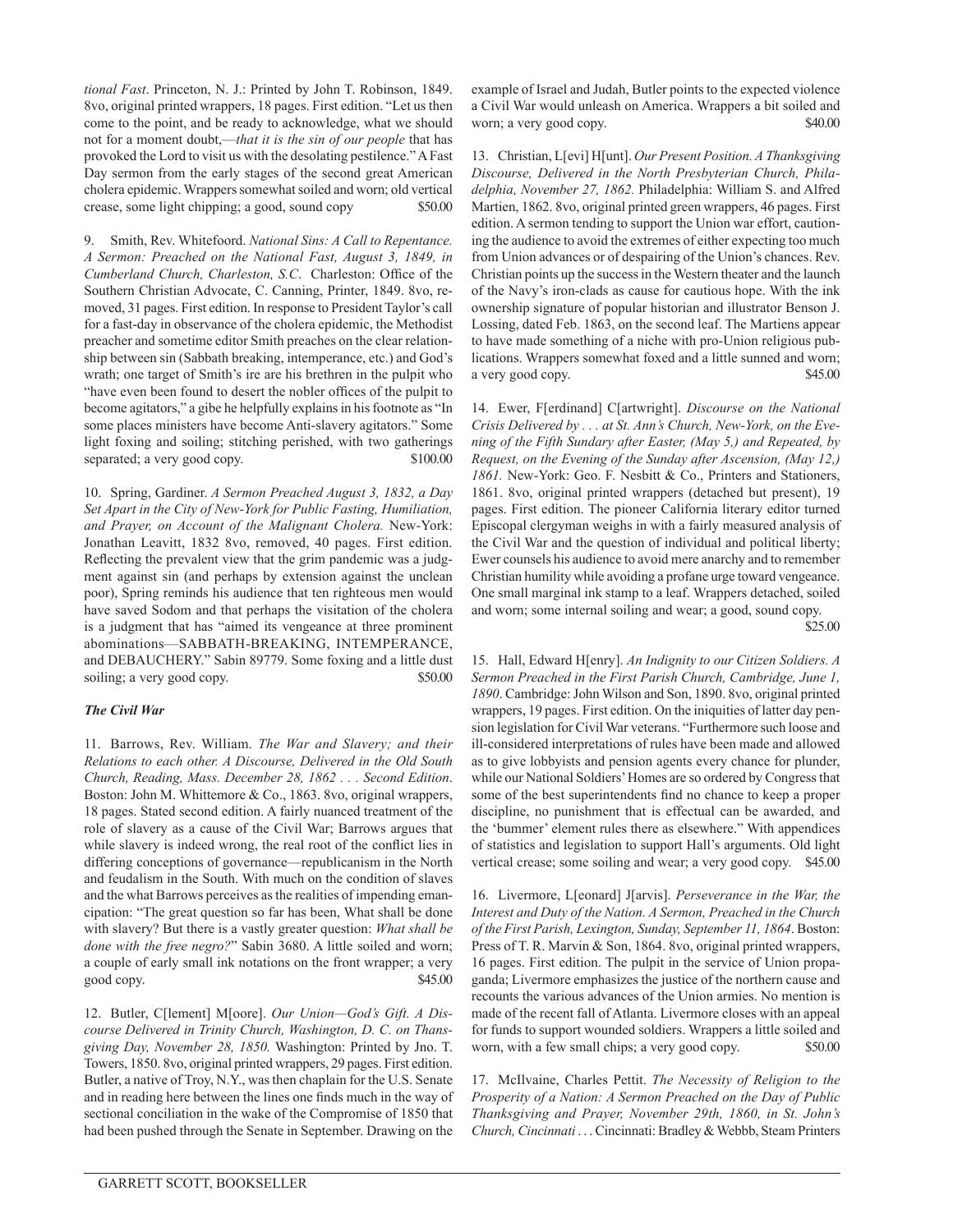*tional Fast*. Princeton, N. J.: Printed by John T. Robinson, 1849. 8vo, original printed wrappers, 18 pages. First edition. "Let us then come to the point, and be ready to acknowledge, what we should not for a moment doubt,—*that it is the sin of our people* that has provoked the Lord to visit us with the desolating pestilence." A Fast Day sermon from the early stages of the second great American cholera epidemic. Wrappers somewhat soiled and worn; old vertical crease, some light chipping; a good, sound copy \$50.00

9. Smith, Rev. Whitefoord. *National Sins: A Call to Repentance. A Sermon: Preached on the National Fast, August 3, 1849, in Cumberland Church, Charleston, S.C*. Charleston: Office of the Southern Christian Advocate, C. Canning, Printer, 1849. 8vo, removed, 31 pages. First edition. In response to President Taylor's call for a fast-day in observance of the cholera epidemic, the Methodist preacher and sometime editor Smith preaches on the clear relationship between sin (Sabbath breaking, intemperance, etc.) and God's wrath; one target of Smith's ire are his brethren in the pulpit who "have even been found to desert the nobler offices of the pulpit to become agitators," a gibe he helpfully explains in his footnote as "In some places ministers have become Anti-slavery agitators." Some light foxing and soiling; stitching perished, with two gatherings separated; a very good copy. \$100.00

10. Spring, Gardiner. *A Sermon Preached August 3, 1832, a Day Set Apart in the City of New-York for Public Fasting, Humiliation, and Prayer, on Account of the Malignant Cholera.* New-York: Jonathan Leavitt, 1832 8vo, removed, 40 pages. First edition. Reflecting the prevalent view that the grim pandemic was a judgment against sin (and perhaps by extension against the unclean poor), Spring reminds his audience that ten righteous men would have saved Sodom and that perhaps the visitation of the cholera is a judgment that has "aimed its vengeance at three prominent abominations—SABBATH-BREAKING, INTEMPERANCE, and DEBAUCHERY." Sabin 89779. Some foxing and a little dust soiling; a very good copy. \$50.00

## *The Civil War*

11. Barrows, Rev. William. *The War and Slavery; and their Relations to each other. A Discourse, Delivered in the Old South Church, Reading, Mass. December 28, 1862 . . . Second Edition*. Boston: John M. Whittemore & Co., 1863. 8vo, original wrappers, 18 pages. Stated second edition. A fairly nuanced treatment of the role of slavery as a cause of the Civil War; Barrows argues that while slavery is indeed wrong, the real root of the conflict lies in differing conceptions of governance—republicanism in the North and feudalism in the South. With much on the condition of slaves and the what Barrows perceives as the realities of impending emancipation: "The great question so far has been, What shall be done with slavery? But there is a vastly greater question: *What shall be done with the free negro?*" Sabin 3680. A little soiled and worn; a couple of early small ink notations on the front wrapper; a very good copy. \$45.00

12. Butler, C[lement] M[oore]. *Our Union—God's Gift. A Discourse Delivered in Trinity Church, Washington, D. C. on Thansgiving Day, November 28, 1850.* Washington: Printed by Jno. T. Towers, 1850. 8vo, original printed wrappers, 29 pages. First edition. Butler, a native of Troy, N.Y., was then chaplain for the U.S. Senate and in reading here between the lines one finds much in the way of sectional conciliation in the wake of the Compromise of 1850 that had been pushed through the Senate in September. Drawing on the

example of Israel and Judah, Butler points to the expected violence a Civil War would unleash on America. Wrappers a bit soiled and worn; a very good copy. \$40.00

13. Christian, L[evi] H[unt]. *Our Present Position. A Thanksgiving Discourse, Delivered in the North Presbyterian Church, Philadelphia, November 27, 1862.* Philadelphia: William S. and Alfred Martien, 1862. 8vo, original printed green wrappers, 46 pages. First edition. A sermon tending to support the Union war effort, cautioning the audience to avoid the extremes of either expecting too much from Union advances or of despairing of the Union's chances. Rev. Christian points up the success in the Western theater and the launch of the Navy's iron-clads as cause for cautious hope. With the ink ownership signature of popular historian and illustrator Benson J. Lossing, dated Feb. 1863, on the second leaf. The Martiens appear to have made something of a niche with pro-Union religious publications. Wrappers somewhat foxed and a little sunned and worn; a very good copy. \$45.00

14. Ewer, F[erdinand] C[artwright]. *Discourse on the National Crisis Delivered by . . . at St. Ann's Church, New-York, on the Evening of the Fifth Sundary after Easter, (May 5,) and Repeated, by Request, on the Evening of the Sunday after Ascension, (May 12,) 1861.* New-York: Geo. F. Nesbitt & Co., Printers and Stationers, 1861. 8vo, original printed wrappers (detached but present), 19 pages. First edition. The pioneer California literary editor turned Episcopal clergyman weighs in with a fairly measured analysis of the Civil War and the question of individual and political liberty; Ewer counsels his audience to avoid mere anarchy and to remember Christian humility while avoiding a profane urge toward vengeance. One small marginal ink stamp to a leaf. Wrappers detached, soiled and worn; some internal soiling and wear; a good, sound copy. \$25.00

15. Hall, Edward H[enry]. *An Indignity to our Citizen Soldiers. A Sermon Preached in the First Parish Church, Cambridge, June 1, 1890*. Cambridge: John Wilson and Son, 1890. 8vo, original printed wrappers, 19 pages. First edition. On the iniquities of latter day pension legislation for Civil War veterans. "Furthermore such loose and ill-considered interpretations of rules have been made and allowed as to give lobbyists and pension agents every chance for plunder, while our National Soldiers' Homes are so ordered by Congress that some of the best superintendents find no chance to keep a proper discipline, no punishment that is effectual can be awarded, and the 'bummer' element rules there as elsewhere." With appendices of statistics and legislation to support Hall's arguments. Old light vertical crease; some soiling and wear; a very good copy. \$45.00

16. Livermore, L[eonard] J[arvis]. *Perseverance in the War, the Interest and Duty of the Nation. A Sermon, Preached in the Church of the First Parish, Lexington, Sunday, September 11, 1864*. Boston: Press of T. R. Marvin & Son, 1864. 8vo, original printed wrappers, 16 pages. First edition. The pulpit in the service of Union propaganda; Livermore emphasizes the justice of the northern cause and recounts the various advances of the Union armies. No mention is made of the recent fall of Atlanta. Livermore closes with an appeal for funds to support wounded soldiers. Wrappers a little soiled and worn, with a few small chips; a very good copy. \$50.00

17. McIlvaine, Charles Pettit. *The Necessity of Religion to the Prosperity of a Nation: A Sermon Preached on the Day of Public Thanksgiving and Prayer, November 29th, 1860, in St. John's Church, Cincinnati* . . . Cincinnati: Bradley & Webbb, Steam Printers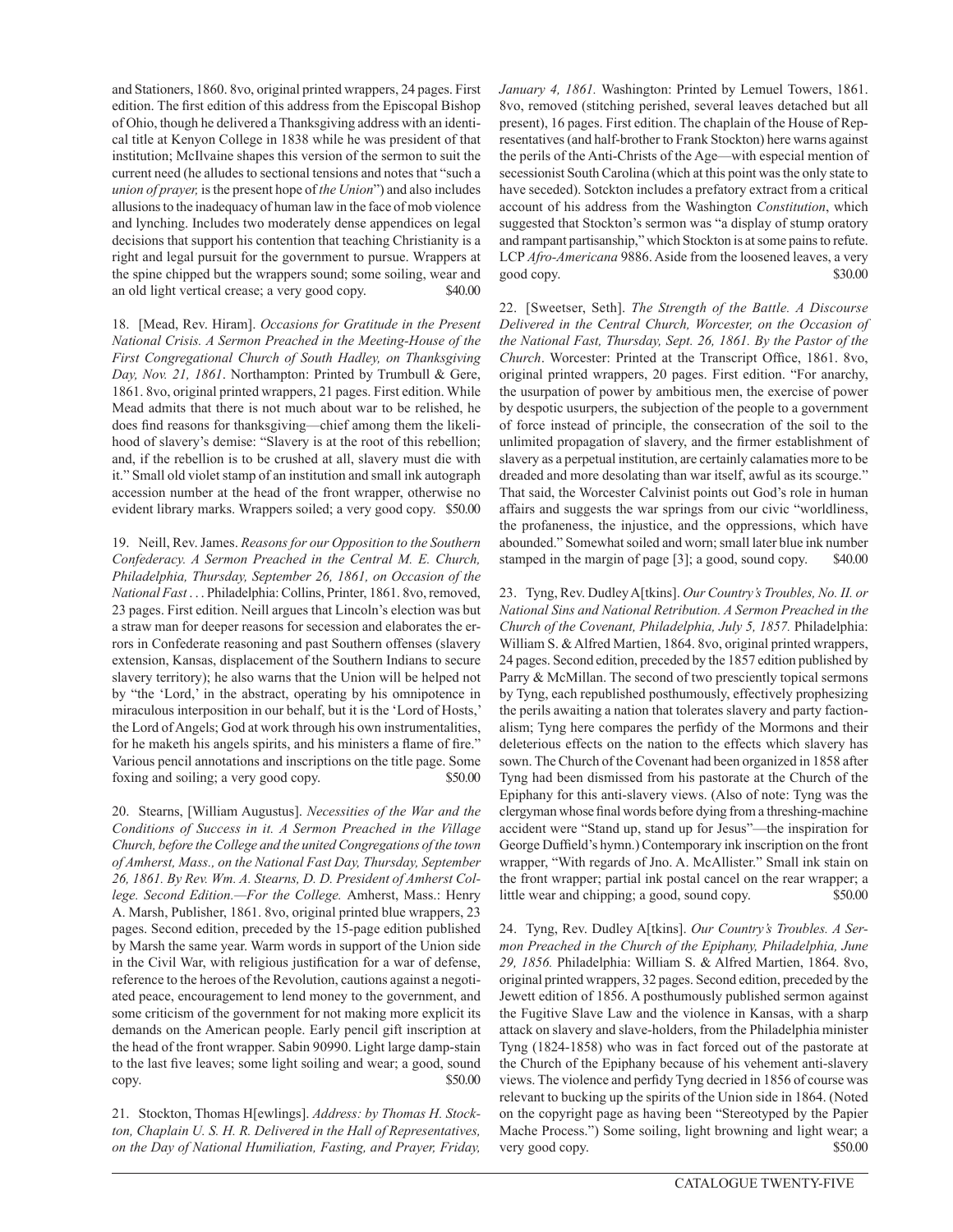and Stationers, 1860. 8vo, original printed wrappers, 24 pages. First edition. The first edition of this address from the Episcopal Bishop of Ohio, though he delivered a Thanksgiving address with an identical title at Kenyon College in 1838 while he was president of that institution; McIlvaine shapes this version of the sermon to suit the current need (he alludes to sectional tensions and notes that "such a *union of prayer,* is the present hope of *the Union*") and also includes allusions to the inadequacy of human law in the face of mob violence and lynching. Includes two moderately dense appendices on legal decisions that support his contention that teaching Christianity is a right and legal pursuit for the government to pursue. Wrappers at the spine chipped but the wrappers sound; some soiling, wear and an old light vertical crease; a very good copy. \$40.00

18. [Mead, Rev. Hiram]. *Occasions for Gratitude in the Present National Crisis. A Sermon Preached in the Meeting-House of the First Congregational Church of South Hadley, on Thanksgiving Day, Nov. 21, 1861*. Northampton: Printed by Trumbull & Gere, 1861. 8vo, original printed wrappers, 21 pages. First edition. While Mead admits that there is not much about war to be relished, he does find reasons for thanksgiving—chief among them the likelihood of slavery's demise: "Slavery is at the root of this rebellion; and, if the rebellion is to be crushed at all, slavery must die with it." Small old violet stamp of an institution and small ink autograph accession number at the head of the front wrapper, otherwise no evident library marks. Wrappers soiled; a very good copy. \$50.00

19. Neill, Rev. James. *Reasons for our Opposition to the Southern Confederacy. A Sermon Preached in the Central M. E. Church, Philadelphia, Thursday, September 26, 1861, on Occasion of the National Fast* . . . Philadelphia: Collins, Printer, 1861. 8vo, removed, 23 pages. First edition. Neill argues that Lincoln's election was but a straw man for deeper reasons for secession and elaborates the errors in Confederate reasoning and past Southern offenses (slavery extension, Kansas, displacement of the Southern Indians to secure slavery territory); he also warns that the Union will be helped not by "the 'Lord,' in the abstract, operating by his omnipotence in miraculous interposition in our behalf, but it is the 'Lord of Hosts,' the Lord of Angels; God at work through his own instrumentalities, for he maketh his angels spirits, and his ministers a flame of fire." Various pencil annotations and inscriptions on the title page. Some foxing and soiling; a very good copy. \$50.00

20. Stearns, [William Augustus]. *Necessities of the War and the Conditions of Success in it. A Sermon Preached in the Village Church, before the College and the united Congregations of the town of Amherst, Mass., on the National Fast Day, Thursday, September 26, 1861. By Rev. Wm. A. Stearns, D. D. President of Amherst College. Second Edition.—For the College.* Amherst, Mass.: Henry A. Marsh, Publisher, 1861. 8vo, original printed blue wrappers, 23 pages. Second edition, preceded by the 15-page edition published by Marsh the same year. Warm words in support of the Union side in the Civil War, with religious justification for a war of defense, reference to the heroes of the Revolution, cautions against a negotiated peace, encouragement to lend money to the government, and some criticism of the government for not making more explicit its demands on the American people. Early pencil gift inscription at the head of the front wrapper. Sabin 90990. Light large damp-stain to the last five leaves; some light soiling and wear; a good, sound  $\text{copy.}$  \$50.00

21. Stockton, Thomas H[ewlings]. *Address: by Thomas H. Stockton, Chaplain U. S. H. R. Delivered in the Hall of Representatives, on the Day of National Humiliation, Fasting, and Prayer, Friday,* 

*January 4, 1861.* Washington: Printed by Lemuel Towers, 1861. 8vo, removed (stitching perished, several leaves detached but all present), 16 pages. First edition. The chaplain of the House of Representatives (and half-brother to Frank Stockton) here warns against the perils of the Anti-Christs of the Age—with especial mention of secessionist South Carolina (which at this point was the only state to have seceded). Sotckton includes a prefatory extract from a critical account of his address from the Washington *Constitution*, which suggested that Stockton's sermon was "a display of stump oratory and rampant partisanship," which Stockton is at some pains to refute. LCP *Afro-Americana* 9886. Aside from the loosened leaves, a very  $\text{good copy.}$  \$30.00

22. [Sweetser, Seth]. *The Strength of the Battle. A Discourse Delivered in the Central Church, Worcester, on the Occasion of the National Fast, Thursday, Sept. 26, 1861. By the Pastor of the Church*. Worcester: Printed at the Transcript Office, 1861. 8vo, original printed wrappers, 20 pages. First edition. "For anarchy, the usurpation of power by ambitious men, the exercise of power by despotic usurpers, the subjection of the people to a government of force instead of principle, the consecration of the soil to the unlimited propagation of slavery, and the firmer establishment of slavery as a perpetual institution, are certainly calamaties more to be dreaded and more desolating than war itself, awful as its scourge." That said, the Worcester Calvinist points out God's role in human affairs and suggests the war springs from our civic "worldliness, the profaneness, the injustice, and the oppressions, which have abounded." Somewhat soiled and worn; small later blue ink number stamped in the margin of page [3]; a good, sound copy. \$40.00

23. Tyng, Rev. Dudley A[tkins]. *Our Country's Troubles, No. II. or National Sins and National Retribution. A Sermon Preached in the Church of the Covenant, Philadelphia, July 5, 1857.* Philadelphia: William S. & Alfred Martien, 1864. 8vo, original printed wrappers, 24 pages. Second edition, preceded by the 1857 edition published by Parry & McMillan. The second of two presciently topical sermons by Tyng, each republished posthumously, effectively prophesizing the perils awaiting a nation that tolerates slavery and party factionalism; Tyng here compares the perfidy of the Mormons and their deleterious effects on the nation to the effects which slavery has sown. The Church of the Covenant had been organized in 1858 after Tyng had been dismissed from his pastorate at the Church of the Epiphany for this anti-slavery views. (Also of note: Tyng was the clergyman whose final words before dying from a threshing-machine accident were "Stand up, stand up for Jesus"—the inspiration for George Duffield's hymn.) Contemporary ink inscription on the front wrapper, "With regards of Jno. A. McAllister." Small ink stain on the front wrapper; partial ink postal cancel on the rear wrapper; a little wear and chipping; a good, sound copy. \$50.00

24. Tyng, Rev. Dudley A[tkins]. *Our Country's Troubles. A Sermon Preached in the Church of the Epiphany, Philadelphia, June 29, 1856.* Philadelphia: William S. & Alfred Martien, 1864. 8vo, original printed wrappers, 32 pages. Second edition, preceded by the Jewett edition of 1856. A posthumously published sermon against the Fugitive Slave Law and the violence in Kansas, with a sharp attack on slavery and slave-holders, from the Philadelphia minister Tyng (1824-1858) who was in fact forced out of the pastorate at the Church of the Epiphany because of his vehement anti-slavery views. The violence and perfidy Tyng decried in 1856 of course was relevant to bucking up the spirits of the Union side in 1864. (Noted on the copyright page as having been "Stereotyped by the Papier Mache Process.") Some soiling, light browning and light wear; a very good copy. \$50.00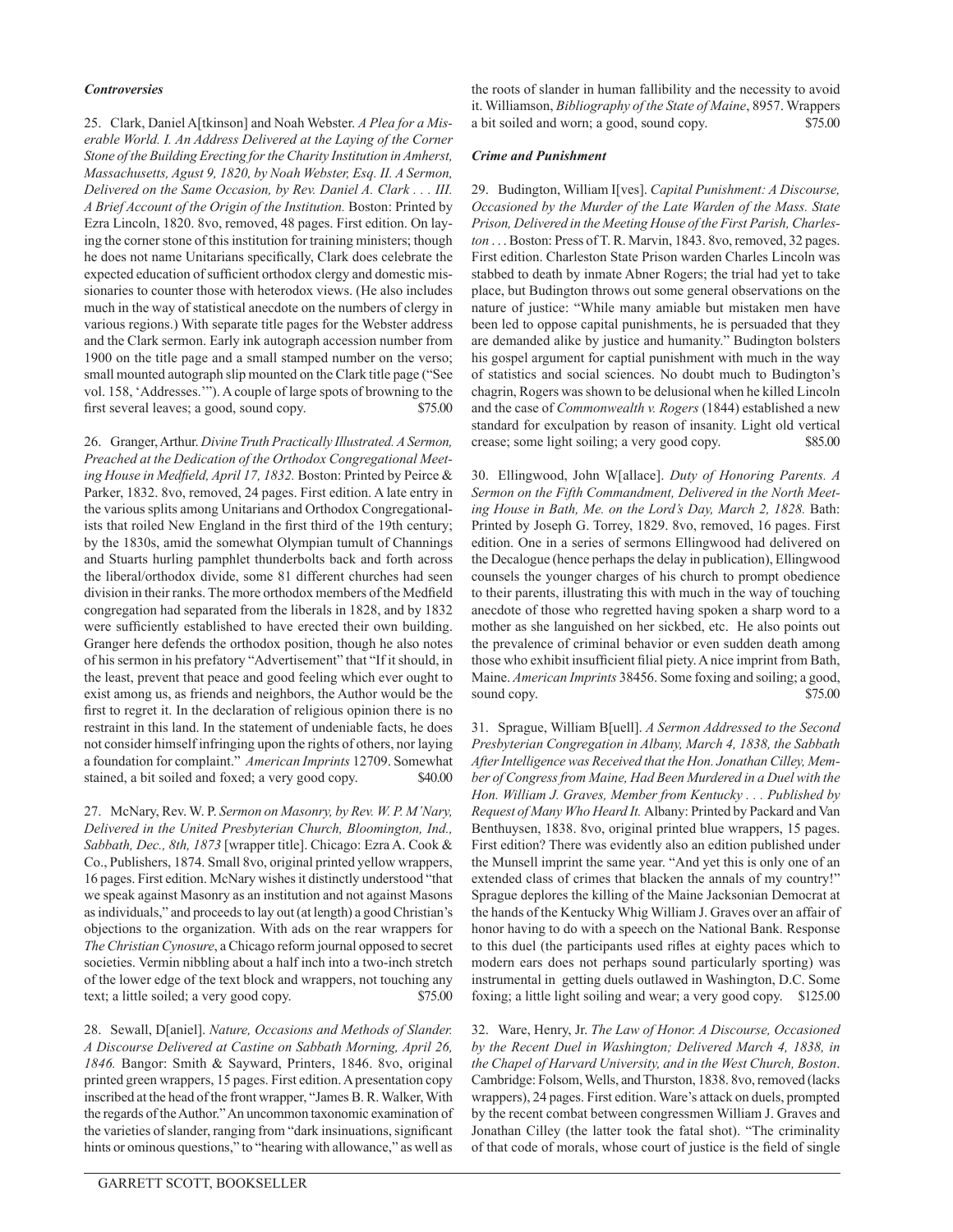### *Controversies*

25. Clark, Daniel A[tkinson] and Noah Webster. *A Plea for a Miserable World. I. An Address Delivered at the Laying of the Corner Stone of the Building Erecting for the Charity Institution in Amherst, Massachusetts, Agust 9, 1820, by Noah Webster, Esq. II. A Sermon, Delivered on the Same Occasion, by Rev. Daniel A. Clark . . . III. A Brief Account of the Origin of the Institution.* Boston: Printed by Ezra Lincoln, 1820. 8vo, removed, 48 pages. First edition. On laying the corner stone of this institution for training ministers; though he does not name Unitarians specifically, Clark does celebrate the expected education of sufficient orthodox clergy and domestic missionaries to counter those with heterodox views. (He also includes much in the way of statistical anecdote on the numbers of clergy in various regions.) With separate title pages for the Webster address and the Clark sermon. Early ink autograph accession number from 1900 on the title page and a small stamped number on the verso; small mounted autograph slip mounted on the Clark title page ("See vol. 158, 'Addresses.'"). A couple of large spots of browning to the first several leaves; a good, sound copy. \$75.00

26. Granger, Arthur. *Divine Truth Practically Illustrated. A Sermon, Preached at the Dedication of the Orthodox Congregational Meeting House in Medfield, April 17, 1832.* Boston: Printed by Peirce & Parker, 1832. 8vo, removed, 24 pages. First edition. A late entry in the various splits among Unitarians and Orthodox Congregationalists that roiled New England in the first third of the 19th century; by the 1830s, amid the somewhat Olympian tumult of Channings and Stuarts hurling pamphlet thunderbolts back and forth across the liberal/orthodox divide, some 81 different churches had seen division in their ranks. The more orthodox members of the Medfield congregation had separated from the liberals in 1828, and by 1832 were sufficiently established to have erected their own building. Granger here defends the orthodox position, though he also notes of his sermon in his prefatory "Advertisement" that "If it should, in the least, prevent that peace and good feeling which ever ought to exist among us, as friends and neighbors, the Author would be the first to regret it. In the declaration of religious opinion there is no restraint in this land. In the statement of undeniable facts, he does not consider himself infringing upon the rights of others, nor laying a foundation for complaint." *American Imprints* 12709. Somewhat stained, a bit soiled and foxed; a very good copy. \$40.00

27. McNary, Rev. W. P. *Sermon on Masonry, by Rev. W. P. M'Nary, Delivered in the United Presbyterian Church, Bloomington, Ind., Sabbath, Dec., 8th, 1873* [wrapper title]. Chicago: Ezra A. Cook & Co., Publishers, 1874. Small 8vo, original printed yellow wrappers, 16 pages. First edition. McNary wishes it distinctly understood "that we speak against Masonry as an institution and not against Masons as individuals," and proceeds to lay out (at length) a good Christian's objections to the organization. With ads on the rear wrappers for *The Christian Cynosure*, a Chicago reform journal opposed to secret societies. Vermin nibbling about a half inch into a two-inch stretch of the lower edge of the text block and wrappers, not touching any text; a little soiled; a very good copy. \$75.00

28. Sewall, D[aniel]. *Nature, Occasions and Methods of Slander. A Discourse Delivered at Castine on Sabbath Morning, April 26, 1846.* Bangor: Smith & Sayward, Printers, 1846. 8vo, original printed green wrappers, 15 pages. First edition. A presentation copy inscribed at the head of the front wrapper, "James B. R. Walker, With the regards of the Author." An uncommon taxonomic examination of the varieties of slander, ranging from "dark insinuations, significant hints or ominous questions," to "hearing with allowance," as well as

GARRETT SCOTT, BOOKSELLER

the roots of slander in human fallibility and the necessity to avoid it. Williamson, *Bibliography of the State of Maine*, 8957. Wrappers a bit soiled and worn; a good, sound copy. \$75.00

#### *Crime and Punishment*

29. Budington, William I[ves]. *Capital Punishment: A Discourse, Occasioned by the Murder of the Late Warden of the Mass. State Prison, Delivered in the Meeting House of the First Parish, Charleston* . . . Boston: Press of T. R. Marvin, 1843. 8vo, removed, 32 pages. First edition. Charleston State Prison warden Charles Lincoln was stabbed to death by inmate Abner Rogers; the trial had yet to take place, but Budington throws out some general observations on the nature of justice: "While many amiable but mistaken men have been led to oppose capital punishments, he is persuaded that they are demanded alike by justice and humanity." Budington bolsters his gospel argument for captial punishment with much in the way of statistics and social sciences. No doubt much to Budington's chagrin, Rogers was shown to be delusional when he killed Lincoln and the case of *Commonwealth v. Rogers* (1844) established a new standard for exculpation by reason of insanity. Light old vertical crease; some light soiling; a very good copy. \$85.00

30. Ellingwood, John W[allace]. *Duty of Honoring Parents. A Sermon on the Fifth Commandment, Delivered in the North Meeting House in Bath, Me. on the Lord's Day, March 2, 1828.* Bath: Printed by Joseph G. Torrey, 1829. 8vo, removed, 16 pages. First edition. One in a series of sermons Ellingwood had delivered on the Decalogue (hence perhaps the delay in publication), Ellingwood counsels the younger charges of his church to prompt obedience to their parents, illustrating this with much in the way of touching anecdote of those who regretted having spoken a sharp word to a mother as she languished on her sickbed, etc. He also points out the prevalence of criminal behavior or even sudden death among those who exhibit insufficient filial piety. A nice imprint from Bath, Maine. *American Imprints* 38456. Some foxing and soiling; a good, sound copy.  $$75.00$ 

31. Sprague, William B[uell]. *A Sermon Addressed to the Second Presbyterian Congregation in Albany, March 4, 1838, the Sabbath After Intelligence was Received that the Hon. Jonathan Cilley, Member of Congress from Maine, Had Been Murdered in a Duel with the Hon. William J. Graves, Member from Kentucky . . . Published by Request of Many Who Heard It.* Albany: Printed by Packard and Van Benthuysen, 1838. 8vo, original printed blue wrappers, 15 pages. First edition? There was evidently also an edition published under the Munsell imprint the same year. "And yet this is only one of an extended class of crimes that blacken the annals of my country!" Sprague deplores the killing of the Maine Jacksonian Democrat at the hands of the Kentucky Whig William J. Graves over an affair of honor having to do with a speech on the National Bank. Response to this duel (the participants used rifles at eighty paces which to modern ears does not perhaps sound particularly sporting) was instrumental in getting duels outlawed in Washington, D.C. Some foxing; a little light soiling and wear; a very good copy. \$125.00

32. Ware, Henry, Jr. *The Law of Honor. A Discourse, Occasioned by the Recent Duel in Washington; Delivered March 4, 1838, in the Chapel of Harvard University, and in the West Church, Boston*. Cambridge: Folsom, Wells, and Thurston, 1838. 8vo, removed (lacks wrappers), 24 pages. First edition. Ware's attack on duels, prompted by the recent combat between congressmen William J. Graves and Jonathan Cilley (the latter took the fatal shot). "The criminality of that code of morals, whose court of justice is the field of single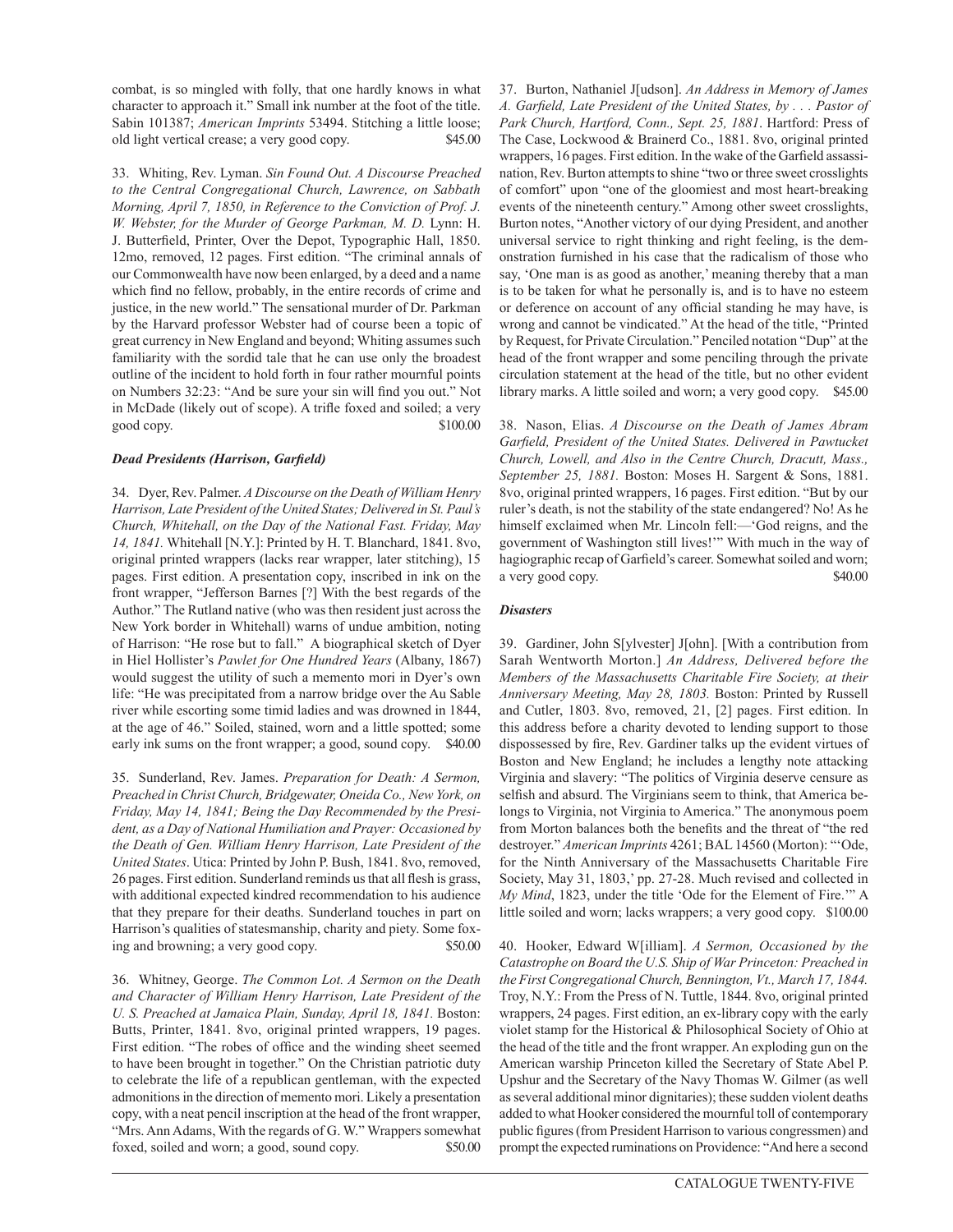combat, is so mingled with folly, that one hardly knows in what character to approach it." Small ink number at the foot of the title. Sabin 101387; *American Imprints* 53494. Stitching a little loose; old light vertical crease; a very good copy. \$45.00

33. Whiting, Rev. Lyman. *Sin Found Out. A Discourse Preached to the Central Congregational Church, Lawrence, on Sabbath Morning, April 7, 1850, in Reference to the Conviction of Prof. J. W. Webster, for the Murder of George Parkman, M. D.* Lynn: H. J. Butterfield, Printer, Over the Depot, Typographic Hall, 1850. 12mo, removed, 12 pages. First edition. "The criminal annals of our Commonwealth have now been enlarged, by a deed and a name which find no fellow, probably, in the entire records of crime and justice, in the new world." The sensational murder of Dr. Parkman by the Harvard professor Webster had of course been a topic of great currency in New England and beyond; Whiting assumes such familiarity with the sordid tale that he can use only the broadest outline of the incident to hold forth in four rather mournful points on Numbers 32:23: "And be sure your sin will find you out." Not in McDade (likely out of scope). A trifle foxed and soiled; a very good copy. \$100.00

## *Dead Presidents (Harrison, Garfield)*

34. Dyer, Rev. Palmer. *A Discourse on the Death of William Henry Harrison, Late President of the United States; Delivered in St. Paul's Church, Whitehall, on the Day of the National Fast. Friday, May 14, 1841.* Whitehall [N.Y.]: Printed by H. T. Blanchard, 1841. 8vo, original printed wrappers (lacks rear wrapper, later stitching), 15 pages. First edition. A presentation copy, inscribed in ink on the front wrapper, "Jefferson Barnes [?] With the best regards of the Author." The Rutland native (who was then resident just across the New York border in Whitehall) warns of undue ambition, noting of Harrison: "He rose but to fall." A biographical sketch of Dyer in Hiel Hollister's *Pawlet for One Hundred Years* (Albany, 1867) would suggest the utility of such a memento mori in Dyer's own life: "He was precipitated from a narrow bridge over the Au Sable river while escorting some timid ladies and was drowned in 1844, at the age of 46." Soiled, stained, worn and a little spotted; some early ink sums on the front wrapper; a good, sound copy. \$40.00

35. Sunderland, Rev. James. *Preparation for Death: A Sermon, Preached in Christ Church, Bridgewater, Oneida Co., New York, on Friday, May 14, 1841; Being the Day Recommended by the President, as a Day of National Humiliation and Prayer: Occasioned by the Death of Gen. William Henry Harrison, Late President of the United States*. Utica: Printed by John P. Bush, 1841. 8vo, removed, 26 pages. First edition. Sunderland reminds us that all flesh is grass, with additional expected kindred recommendation to his audience that they prepare for their deaths. Sunderland touches in part on Harrison's qualities of statesmanship, charity and piety. Some foxing and browning; a very good copy. \$50.00

36. Whitney, George. *The Common Lot. A Sermon on the Death and Character of William Henry Harrison, Late President of the U. S. Preached at Jamaica Plain, Sunday, April 18, 1841.* Boston: Butts, Printer, 1841. 8vo, original printed wrappers, 19 pages. First edition. "The robes of office and the winding sheet seemed to have been brought in together." On the Christian patriotic duty to celebrate the life of a republican gentleman, with the expected admonitions in the direction of memento mori. Likely a presentation copy, with a neat pencil inscription at the head of the front wrapper, "Mrs. Ann Adams, With the regards of G. W." Wrappers somewhat foxed, soiled and worn; a good, sound copy. \$50.00

37. Burton, Nathaniel J[udson]. *An Address in Memory of James A. Garfield, Late President of the United States, by . . . Pastor of Park Church, Hartford, Conn., Sept. 25, 1881*. Hartford: Press of The Case, Lockwood & Brainerd Co., 1881. 8vo, original printed wrappers, 16 pages. First edition. In the wake of the Garfield assassination, Rev. Burton attempts to shine "two or three sweet crosslights of comfort" upon "one of the gloomiest and most heart-breaking events of the nineteenth century." Among other sweet crosslights, Burton notes, "Another victory of our dying President, and another universal service to right thinking and right feeling, is the demonstration furnished in his case that the radicalism of those who say, 'One man is as good as another,' meaning thereby that a man is to be taken for what he personally is, and is to have no esteem or deference on account of any official standing he may have, is wrong and cannot be vindicated." At the head of the title, "Printed by Request, for Private Circulation." Penciled notation "Dup" at the head of the front wrapper and some penciling through the private circulation statement at the head of the title, but no other evident library marks. A little soiled and worn; a very good copy. \$45.00

38. Nason, Elias. *A Discourse on the Death of James Abram Garfield, President of the United States. Delivered in Pawtucket Church, Lowell, and Also in the Centre Church, Dracutt, Mass., September 25, 1881.* Boston: Moses H. Sargent & Sons, 1881. 8vo, original printed wrappers, 16 pages. First edition. "But by our ruler's death, is not the stability of the state endangered? No! As he himself exclaimed when Mr. Lincoln fell:—'God reigns, and the government of Washington still lives!'" With much in the way of hagiographic recap of Garfield's career. Somewhat soiled and worn; a very good copy. \$40.00

# *Disasters*

39. Gardiner, John S[ylvester] J[ohn]. [With a contribution from Sarah Wentworth Morton.] *An Address, Delivered before the Members of the Massachusetts Charitable Fire Society, at their Anniversary Meeting, May 28, 1803.* Boston: Printed by Russell and Cutler, 1803. 8vo, removed, 21, [2] pages. First edition. In this address before a charity devoted to lending support to those dispossessed by fire, Rev. Gardiner talks up the evident virtues of Boston and New England; he includes a lengthy note attacking Virginia and slavery: "The politics of Virginia deserve censure as selfish and absurd. The Virginians seem to think, that America belongs to Virginia, not Virginia to America." The anonymous poem from Morton balances both the benefits and the threat of "the red destroyer." *American Imprints* 4261; BAL 14560 (Morton): "'Ode, for the Ninth Anniversary of the Massachusetts Charitable Fire Society, May 31, 1803,' pp. 27-28. Much revised and collected in *My Mind*, 1823, under the title 'Ode for the Element of Fire.'" A little soiled and worn; lacks wrappers; a very good copy. \$100.00

40. Hooker, Edward W[illiam]. *A Sermon, Occasioned by the Catastrophe on Board the U.S. Ship of War Princeton: Preached in the First Congregational Church, Bennington, Vt., March 17, 1844.*  Troy, N.Y.: From the Press of N. Tuttle, 1844. 8vo, original printed wrappers, 24 pages. First edition, an ex-library copy with the early violet stamp for the Historical & Philosophical Society of Ohio at the head of the title and the front wrapper. An exploding gun on the American warship Princeton killed the Secretary of State Abel P. Upshur and the Secretary of the Navy Thomas W. Gilmer (as well as several additional minor dignitaries); these sudden violent deaths added to what Hooker considered the mournful toll of contemporary public figures (from President Harrison to various congressmen) and prompt the expected ruminations on Providence: "And here a second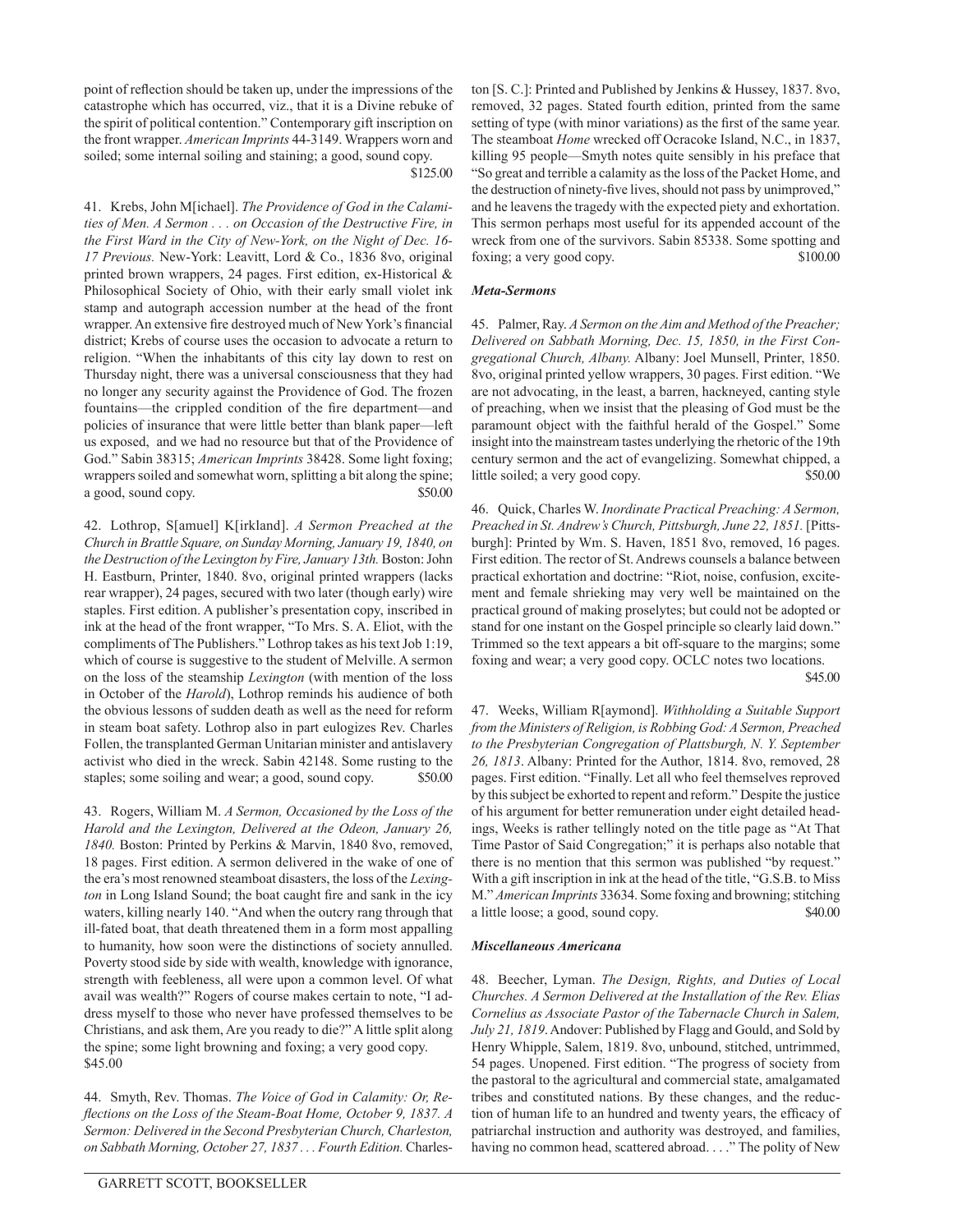point of reflection should be taken up, under the impressions of the catastrophe which has occurred, viz., that it is a Divine rebuke of the spirit of political contention." Contemporary gift inscription on the front wrapper. *American Imprints* 44-3149. Wrappers worn and soiled; some internal soiling and staining; a good, sound copy. \$125.00

41. Krebs, John M[ichael]. *The Providence of God in the Calamities of Men. A Sermon . . . on Occasion of the Destructive Fire, in the First Ward in the City of New-York, on the Night of Dec. 16- 17 Previous.* New-York: Leavitt, Lord & Co., 1836 8vo, original printed brown wrappers, 24 pages. First edition, ex-Historical & Philosophical Society of Ohio, with their early small violet ink stamp and autograph accession number at the head of the front wrapper. An extensive fire destroyed much of New York's financial district; Krebs of course uses the occasion to advocate a return to religion. "When the inhabitants of this city lay down to rest on Thursday night, there was a universal consciousness that they had no longer any security against the Providence of God. The frozen fountains—the crippled condition of the fire department—and policies of insurance that were little better than blank paper—left us exposed, and we had no resource but that of the Providence of God." Sabin 38315; *American Imprints* 38428. Some light foxing; wrappers soiled and somewhat worn, splitting a bit along the spine; a good, sound copy.  $$50.00$ 

42. Lothrop, S[amuel] K[irkland]. *A Sermon Preached at the Church in Brattle Square, on Sunday Morning, January 19, 1840, on the Destruction of the Lexington by Fire, January 13th.* Boston: John H. Eastburn, Printer, 1840. 8vo, original printed wrappers (lacks rear wrapper), 24 pages, secured with two later (though early) wire staples. First edition. A publisher's presentation copy, inscribed in ink at the head of the front wrapper, "To Mrs. S. A. Eliot, with the compliments of The Publishers." Lothrop takes as his text Job 1:19, which of course is suggestive to the student of Melville. A sermon on the loss of the steamship *Lexington* (with mention of the loss in October of the *Harold*), Lothrop reminds his audience of both the obvious lessons of sudden death as well as the need for reform in steam boat safety. Lothrop also in part eulogizes Rev. Charles Follen, the transplanted German Unitarian minister and antislavery activist who died in the wreck. Sabin 42148. Some rusting to the staples; some soiling and wear; a good, sound copy. \$50.00

43. Rogers, William M. *A Sermon, Occasioned by the Loss of the Harold and the Lexington, Delivered at the Odeon, January 26, 1840.* Boston: Printed by Perkins & Marvin, 1840 8vo, removed, 18 pages. First edition. A sermon delivered in the wake of one of the era's most renowned steamboat disasters, the loss of the *Lexington* in Long Island Sound; the boat caught fire and sank in the icy waters, killing nearly 140. "And when the outcry rang through that ill-fated boat, that death threatened them in a form most appalling to humanity, how soon were the distinctions of society annulled. Poverty stood side by side with wealth, knowledge with ignorance, strength with feebleness, all were upon a common level. Of what avail was wealth?" Rogers of course makes certain to note, "I address myself to those who never have professed themselves to be Christians, and ask them, Are you ready to die?" A little split along the spine; some light browning and foxing; a very good copy. \$45.00

44. Smyth, Rev. Thomas. *The Voice of God in Calamity: Or, Reflections on the Loss of the Steam-Boat Home, October 9, 1837. A Sermon: Delivered in the Second Presbyterian Church, Charleston, on Sabbath Morning, October 27, 1837 . . . Fourth Edition.* Charles-

ton [S. C.]: Printed and Published by Jenkins & Hussey, 1837. 8vo, removed, 32 pages. Stated fourth edition, printed from the same setting of type (with minor variations) as the first of the same year. The steamboat *Home* wrecked off Ocracoke Island, N.C., in 1837, killing 95 people—Smyth notes quite sensibly in his preface that "So great and terrible a calamity as the loss of the Packet Home, and the destruction of ninety-five lives, should not pass by unimproved," and he leavens the tragedy with the expected piety and exhortation. This sermon perhaps most useful for its appended account of the wreck from one of the survivors. Sabin 85338. Some spotting and foxing; a very good copy. \$100.00

## *Meta-Sermons*

45. Palmer, Ray. *A Sermon on the Aim and Method of the Preacher; Delivered on Sabbath Morning, Dec. 15, 1850, in the First Congregational Church, Albany.* Albany: Joel Munsell, Printer, 1850. 8vo, original printed yellow wrappers, 30 pages. First edition. "We are not advocating, in the least, a barren, hackneyed, canting style of preaching, when we insist that the pleasing of God must be the paramount object with the faithful herald of the Gospel." Some insight into the mainstream tastes underlying the rhetoric of the 19th century sermon and the act of evangelizing. Somewhat chipped, a little soiled; a very good copy. \$50.00

46. Quick, Charles W. *Inordinate Practical Preaching: A Sermon, Preached in St. Andrew's Church, Pittsburgh, June 22, 1851.* [Pittsburgh]: Printed by Wm. S. Haven, 1851 8vo, removed, 16 pages. First edition. The rector of St. Andrews counsels a balance between practical exhortation and doctrine: "Riot, noise, confusion, excitement and female shrieking may very well be maintained on the practical ground of making proselytes; but could not be adopted or stand for one instant on the Gospel principle so clearly laid down." Trimmed so the text appears a bit off-square to the margins; some foxing and wear; a very good copy. OCLC notes two locations.

\$45.00

47. Weeks, William R[aymond]. *Withholding a Suitable Support from the Ministers of Religion, is Robbing God: A Sermon, Preached to the Presbyterian Congregation of Plattsburgh, N. Y. September 26, 1813*. Albany: Printed for the Author, 1814. 8vo, removed, 28 pages. First edition. "Finally. Let all who feel themselves reproved by this subject be exhorted to repent and reform." Despite the justice of his argument for better remuneration under eight detailed headings, Weeks is rather tellingly noted on the title page as "At That Time Pastor of Said Congregation;" it is perhaps also notable that there is no mention that this sermon was published "by request." With a gift inscription in ink at the head of the title, "G.S.B. to Miss M." *American Imprints* 33634. Some foxing and browning; stitching a little loose; a good, sound copy. \$40.00

## *Miscellaneous Americana*

48. Beecher, Lyman. *The Design, Rights, and Duties of Local Churches. A Sermon Delivered at the Installation of the Rev. Elias Cornelius as Associate Pastor of the Tabernacle Church in Salem, July 21, 1819*. Andover: Published by Flagg and Gould, and Sold by Henry Whipple, Salem, 1819. 8vo, unbound, stitched, untrimmed, 54 pages. Unopened. First edition. "The progress of society from the pastoral to the agricultural and commercial state, amalgamated tribes and constituted nations. By these changes, and the reduction of human life to an hundred and twenty years, the efficacy of patriarchal instruction and authority was destroyed, and families, having no common head, scattered abroad. . . ." The polity of New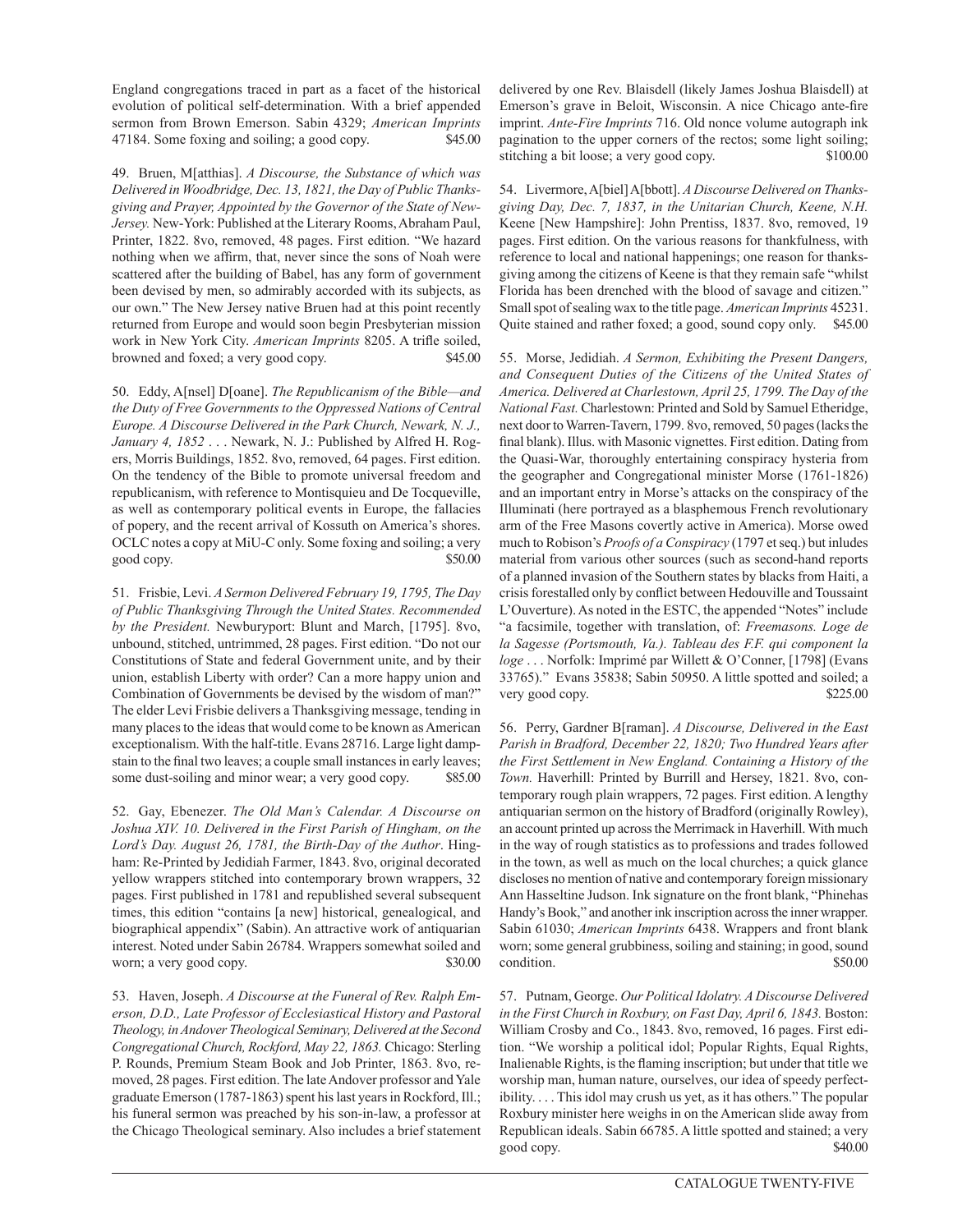England congregations traced in part as a facet of the historical evolution of political self-determination. With a brief appended sermon from Brown Emerson. Sabin 4329; *American Imprints* 47184. Some foxing and soiling; a good copy. \$45.00

49. Bruen, M[atthias]. *A Discourse, the Substance of which was Delivered in Woodbridge, Dec. 13, 1821, the Day of Public Thanksgiving and Prayer, Appointed by the Governor of the State of New-Jersey.* New-York: Published at the Literary Rooms, Abraham Paul, Printer, 1822. 8vo, removed, 48 pages. First edition. "We hazard nothing when we affirm, that, never since the sons of Noah were scattered after the building of Babel, has any form of government been devised by men, so admirably accorded with its subjects, as our own." The New Jersey native Bruen had at this point recently returned from Europe and would soon begin Presbyterian mission work in New York City. *American Imprints* 8205. A trifle soiled, browned and foxed; a very good copy. \$45.00

50. Eddy, A[nsel] D[oane]. *The Republicanism of the Bible—and the Duty of Free Governments to the Oppressed Nations of Central Europe. A Discourse Delivered in the Park Church, Newark, N. J., January 4, 1852* . . . Newark, N. J.: Published by Alfred H. Rogers, Morris Buildings, 1852. 8vo, removed, 64 pages. First edition. On the tendency of the Bible to promote universal freedom and republicanism, with reference to Montisquieu and De Tocqueville, as well as contemporary political events in Europe, the fallacies of popery, and the recent arrival of Kossuth on America's shores. OCLC notes a copy at MiU-C only. Some foxing and soiling; a very  $\degree$ good copy.  $\$50.00$ 

51. Frisbie, Levi. *A Sermon Delivered February 19, 1795, The Day of Public Thanksgiving Through the United States. Recommended by the President.* Newburyport: Blunt and March, [1795]. 8vo, unbound, stitched, untrimmed, 28 pages. First edition. "Do not our Constitutions of State and federal Government unite, and by their union, establish Liberty with order? Can a more happy union and Combination of Governments be devised by the wisdom of man?" The elder Levi Frisbie delivers a Thanksgiving message, tending in many places to the ideas that would come to be known as American exceptionalism. With the half-title. Evans 28716. Large light dampstain to the final two leaves; a couple small instances in early leaves; some dust-soiling and minor wear; a very good copy. \$85.00

52. Gay, Ebenezer. *The Old Man's Calendar. A Discourse on Joshua XIV. 10. Delivered in the First Parish of Hingham, on the Lord's Day. August 26, 1781, the Birth-Day of the Author*. Hingham: Re-Printed by Jedidiah Farmer, 1843. 8vo, original decorated yellow wrappers stitched into contemporary brown wrappers, 32 pages. First published in 1781 and republished several subsequent times, this edition "contains [a new] historical, genealogical, and biographical appendix" (Sabin). An attractive work of antiquarian interest. Noted under Sabin 26784. Wrappers somewhat soiled and worn; a very good copy. \$30.00

53. Haven, Joseph. *A Discourse at the Funeral of Rev. Ralph Emerson, D.D., Late Professor of Ecclesiastical History and Pastoral Theology, in Andover Theological Seminary, Delivered at the Second Congregational Church, Rockford, May 22, 1863.* Chicago: Sterling P. Rounds, Premium Steam Book and Job Printer, 1863. 8vo, removed, 28 pages. First edition. The late Andover professor and Yale graduate Emerson (1787-1863) spent his last years in Rockford, Ill.; his funeral sermon was preached by his son-in-law, a professor at the Chicago Theological seminary. Also includes a brief statement delivered by one Rev. Blaisdell (likely James Joshua Blaisdell) at Emerson's grave in Beloit, Wisconsin. A nice Chicago ante-fire imprint. *Ante-Fire Imprints* 716. Old nonce volume autograph ink pagination to the upper corners of the rectos; some light soiling; stitching a bit loose; a very good copy. \$100.00

54. Livermore, A[biel] A[bbott]. *A Discourse Delivered on Thanksgiving Day, Dec. 7, 1837, in the Unitarian Church, Keene, N.H.* Keene [New Hampshire]: John Prentiss, 1837. 8vo, removed, 19 pages. First edition. On the various reasons for thankfulness, with reference to local and national happenings; one reason for thanksgiving among the citizens of Keene is that they remain safe "whilst Florida has been drenched with the blood of savage and citizen." Small spot of sealing wax to the title page. *American Imprints* 45231. Quite stained and rather foxed; a good, sound copy only. \$45.00

55. Morse, Jedidiah. *A Sermon, Exhibiting the Present Dangers, and Consequent Duties of the Citizens of the United States of America. Delivered at Charlestown, April 25, 1799. The Day of the National Fast.* Charlestown: Printed and Sold by Samuel Etheridge, next door to Warren-Tavern, 1799. 8vo, removed, 50 pages (lacks the final blank). Illus. with Masonic vignettes. First edition. Dating from the Quasi-War, thoroughly entertaining conspiracy hysteria from the geographer and Congregational minister Morse (1761-1826) and an important entry in Morse's attacks on the conspiracy of the Illuminati (here portrayed as a blasphemous French revolutionary arm of the Free Masons covertly active in America). Morse owed much to Robison's *Proofs of a Conspiracy* (1797 et seq.) but inludes material from various other sources (such as second-hand reports of a planned invasion of the Southern states by blacks from Haiti, a crisis forestalled only by conflict between Hedouville and Toussaint L'Ouverture). As noted in the ESTC, the appended "Notes" include "a facsimile, together with translation, of: *Freemasons. Loge de la Sagesse (Portsmouth, Va.). Tableau des F.F. qui component la loge* . . . Norfolk: Imprimé par Willett & O'Conner, [1798] (Evans 33765)." Evans 35838; Sabin 50950. A little spotted and soiled; a very good copy. \$225.00

56. Perry, Gardner B[raman]. *A Discourse, Delivered in the East Parish in Bradford, December 22, 1820; Two Hundred Years after the First Settlement in New England. Containing a History of the Town.* Haverhill: Printed by Burrill and Hersey, 1821. 8vo, contemporary rough plain wrappers, 72 pages. First edition. A lengthy antiquarian sermon on the history of Bradford (originally Rowley), an account printed up across the Merrimack in Haverhill. With much in the way of rough statistics as to professions and trades followed in the town, as well as much on the local churches; a quick glance discloses no mention of native and contemporary foreign missionary Ann Hasseltine Judson. Ink signature on the front blank, "Phinehas Handy's Book," and another ink inscription across the inner wrapper. Sabin 61030; *American Imprints* 6438. Wrappers and front blank worn; some general grubbiness, soiling and staining; in good, sound condition.  $$50.00$ 

57. Putnam, George. *Our Political Idolatry. A Discourse Delivered in the First Church in Roxbury, on Fast Day, April 6, 1843.* Boston: William Crosby and Co., 1843. 8vo, removed, 16 pages. First edition. "We worship a political idol; Popular Rights, Equal Rights, Inalienable Rights, is the flaming inscription; but under that title we worship man, human nature, ourselves, our idea of speedy perfectibility. . . . This idol may crush us yet, as it has others." The popular Roxbury minister here weighs in on the American slide away from Republican ideals. Sabin 66785. A little spotted and stained; a very good copy. \$40.00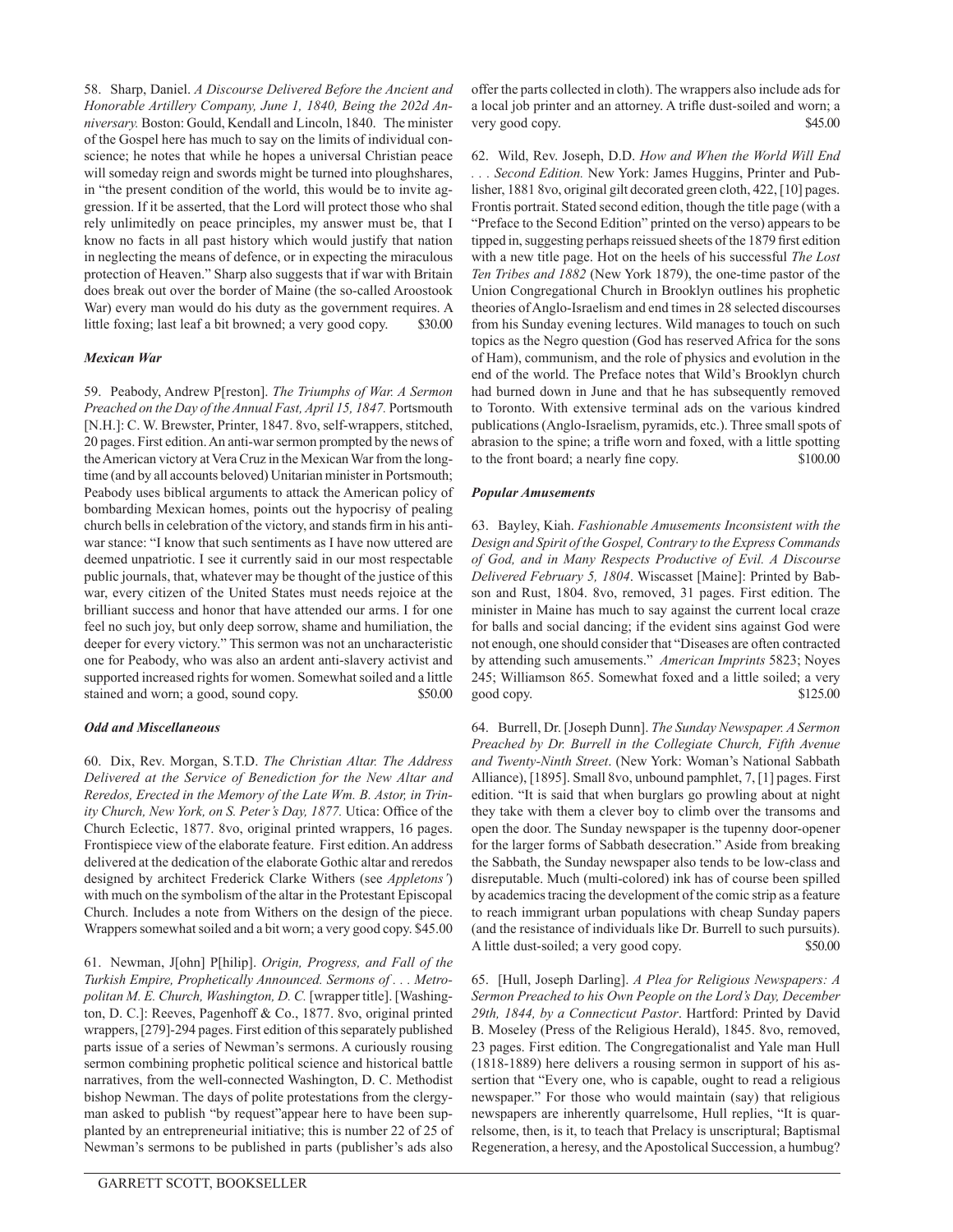58. Sharp, Daniel. *A Discourse Delivered Before the Ancient and Honorable Artillery Company, June 1, 1840, Being the 202d Anniversary.* Boston: Gould, Kendall and Lincoln, 1840. The minister of the Gospel here has much to say on the limits of individual conscience; he notes that while he hopes a universal Christian peace will someday reign and swords might be turned into ploughshares, in "the present condition of the world, this would be to invite aggression. If it be asserted, that the Lord will protect those who shal rely unlimitedly on peace principles, my answer must be, that I know no facts in all past history which would justify that nation in neglecting the means of defence, or in expecting the miraculous protection of Heaven." Sharp also suggests that if war with Britain does break out over the border of Maine (the so-called Aroostook War) every man would do his duty as the government requires. A little foxing; last leaf a bit browned; a very good copy. \$30.00

### *Mexican War*

59. Peabody, Andrew P[reston]. *The Triumphs of War. A Sermon Preached on the Day of the Annual Fast, April 15, 1847.* Portsmouth [N.H.]: C. W. Brewster, Printer, 1847. 8vo, self-wrappers, stitched, 20 pages. First edition. An anti-war sermon prompted by the news of the American victory at Vera Cruz in the Mexican War from the longtime (and by all accounts beloved) Unitarian minister in Portsmouth; Peabody uses biblical arguments to attack the American policy of bombarding Mexican homes, points out the hypocrisy of pealing church bells in celebration of the victory, and stands firm in his antiwar stance: "I know that such sentiments as I have now uttered are deemed unpatriotic. I see it currently said in our most respectable public journals, that, whatever may be thought of the justice of this war, every citizen of the United States must needs rejoice at the brilliant success and honor that have attended our arms. I for one feel no such joy, but only deep sorrow, shame and humiliation, the deeper for every victory." This sermon was not an uncharacteristic one for Peabody, who was also an ardent anti-slavery activist and supported increased rights for women. Somewhat soiled and a little stained and worn; a good, sound copy.  $$50.00$ 

## *Odd and Miscellaneous*

60. Dix, Rev. Morgan, S.T.D. *The Christian Altar. The Address Delivered at the Service of Benediction for the New Altar and Reredos, Erected in the Memory of the Late Wm. B. Astor, in Trinity Church, New York, on S. Peter's Day, 1877.* Utica: Office of the Church Eclectic, 1877. 8vo, original printed wrappers, 16 pages. Frontispiece view of the elaborate feature. First edition. An address delivered at the dedication of the elaborate Gothic altar and reredos designed by architect Frederick Clarke Withers (see *Appletons'*) with much on the symbolism of the altar in the Protestant Episcopal Church. Includes a note from Withers on the design of the piece. Wrappers somewhat soiled and a bit worn; a very good copy. \$45.00

61. Newman, J[ohn] P[hilip]. *Origin, Progress, and Fall of the Turkish Empire, Prophetically Announced. Sermons of . . . Metropolitan M. E. Church, Washington, D. C.* [wrapper title]. [Washington, D. C.]: Reeves, Pagenhoff & Co., 1877. 8vo, original printed wrappers, [279]-294 pages. First edition of this separately published parts issue of a series of Newman's sermons. A curiously rousing sermon combining prophetic political science and historical battle narratives, from the well-connected Washington, D. C. Methodist bishop Newman. The days of polite protestations from the clergyman asked to publish "by request"appear here to have been supplanted by an entrepreneurial initiative; this is number 22 of 25 of Newman's sermons to be published in parts (publisher's ads also

offer the parts collected in cloth). The wrappers also include ads for a local job printer and an attorney. A trifle dust-soiled and worn; a very good copy. \$45.00

62. Wild, Rev. Joseph, D.D. *How and When the World Will End . . . Second Edition.* New York: James Huggins, Printer and Publisher, 1881 8vo, original gilt decorated green cloth, 422, [10] pages. Frontis portrait. Stated second edition, though the title page (with a "Preface to the Second Edition" printed on the verso) appears to be tipped in, suggesting perhaps reissued sheets of the 1879 first edition with a new title page. Hot on the heels of his successful *The Lost Ten Tribes and 1882* (New York 1879), the one-time pastor of the Union Congregational Church in Brooklyn outlines his prophetic theories of Anglo-Israelism and end times in 28 selected discourses from his Sunday evening lectures. Wild manages to touch on such topics as the Negro question (God has reserved Africa for the sons of Ham), communism, and the role of physics and evolution in the end of the world. The Preface notes that Wild's Brooklyn church had burned down in June and that he has subsequently removed to Toronto. With extensive terminal ads on the various kindred publications (Anglo-Israelism, pyramids, etc.). Three small spots of abrasion to the spine; a trifle worn and foxed, with a little spotting to the front board; a nearly fine copy. \$100.00

#### *Popular Amusements*

63. Bayley, Kiah. *Fashionable Amusements Inconsistent with the Design and Spirit of the Gospel, Contrary to the Express Commands of God, and in Many Respects Productive of Evil. A Discourse Delivered February 5, 1804*. Wiscasset [Maine]: Printed by Babson and Rust, 1804. 8vo, removed, 31 pages. First edition. The minister in Maine has much to say against the current local craze for balls and social dancing; if the evident sins against God were not enough, one should consider that "Diseases are often contracted by attending such amusements." *American Imprints* 5823; Noyes 245; Williamson 865. Somewhat foxed and a little soiled; a very  $\text{good copy.}$  \$125.00

64. Burrell, Dr. [Joseph Dunn]. *The Sunday Newspaper. A Sermon Preached by Dr. Burrell in the Collegiate Church, Fifth Avenue and Twenty-Ninth Street*. (New York: Woman's National Sabbath Alliance), [1895]. Small 8vo, unbound pamphlet, 7, [1] pages. First edition. "It is said that when burglars go prowling about at night they take with them a clever boy to climb over the transoms and open the door. The Sunday newspaper is the tupenny door-opener for the larger forms of Sabbath desecration." Aside from breaking the Sabbath, the Sunday newspaper also tends to be low-class and disreputable. Much (multi-colored) ink has of course been spilled by academics tracing the development of the comic strip as a feature to reach immigrant urban populations with cheap Sunday papers (and the resistance of individuals like Dr. Burrell to such pursuits). A little dust-soiled; a very good copy. \$50.00

65. [Hull, Joseph Darling]. *A Plea for Religious Newspapers: A Sermon Preached to his Own People on the Lord's Day, December 29th, 1844, by a Connecticut Pastor*. Hartford: Printed by David B. Moseley (Press of the Religious Herald), 1845. 8vo, removed, 23 pages. First edition. The Congregationalist and Yale man Hull (1818-1889) here delivers a rousing sermon in support of his assertion that "Every one, who is capable, ought to read a religious newspaper." For those who would maintain (say) that religious newspapers are inherently quarrelsome, Hull replies, "It is quarrelsome, then, is it, to teach that Prelacy is unscriptural; Baptismal Regeneration, a heresy, and the Apostolical Succession, a humbug?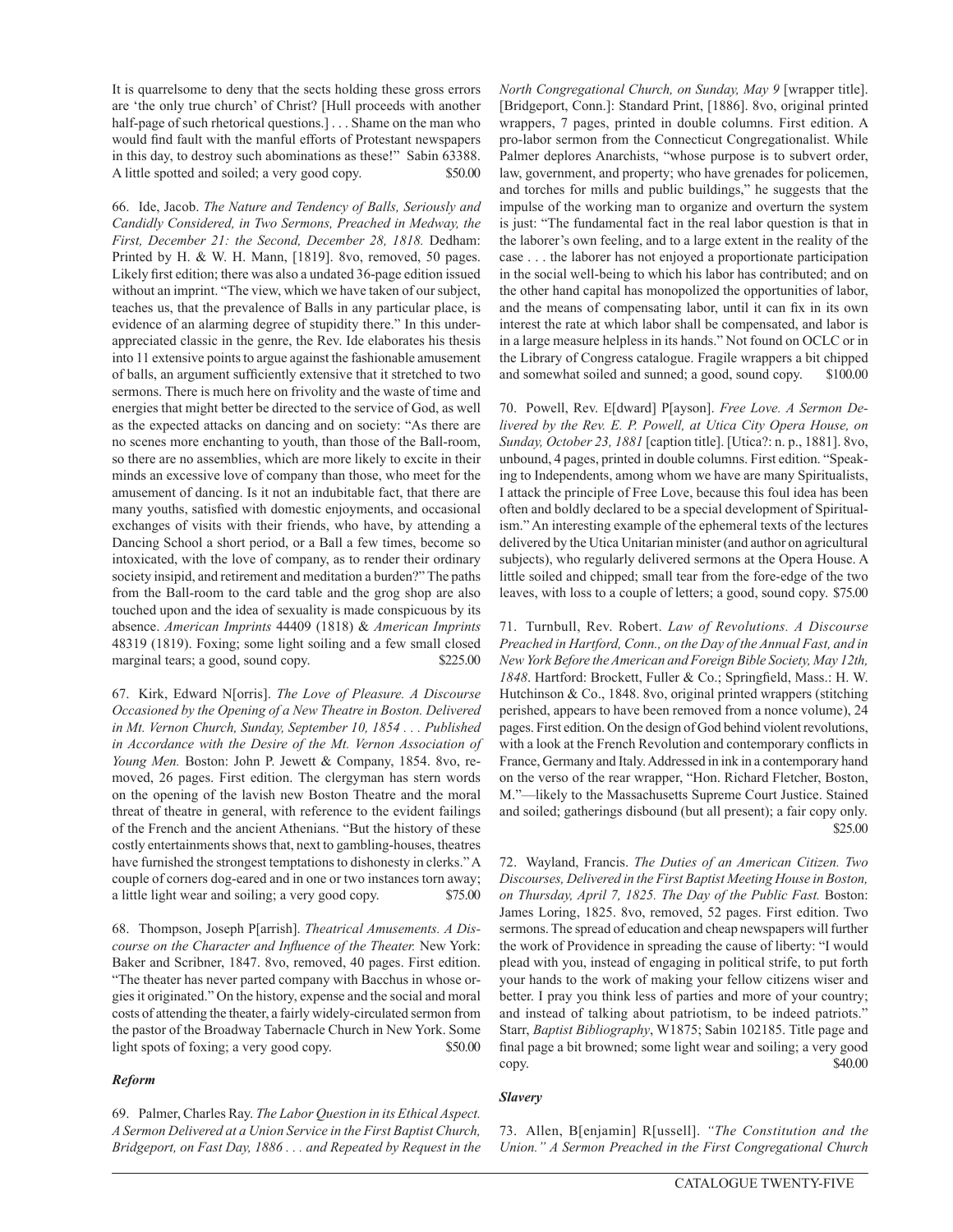It is quarrelsome to deny that the sects holding these gross errors are 'the only true church' of Christ? [Hull proceeds with another half-page of such rhetorical questions.] . . . Shame on the man who would find fault with the manful efforts of Protestant newspapers in this day, to destroy such abominations as these!" Sabin 63388. A little spotted and soiled; a very good copy. \$50.00

66. Ide, Jacob. *The Nature and Tendency of Balls, Seriously and Candidly Considered, in Two Sermons, Preached in Medway, the First, December 21: the Second, December 28, 1818.* Dedham: Printed by H. & W. H. Mann, [1819]. 8vo, removed, 50 pages. Likely first edition; there was also a undated 36-page edition issued without an imprint. "The view, which we have taken of our subject, teaches us, that the prevalence of Balls in any particular place, is evidence of an alarming degree of stupidity there." In this underappreciated classic in the genre, the Rev. Ide elaborates his thesis into 11 extensive points to argue against the fashionable amusement of balls, an argument sufficiently extensive that it stretched to two sermons. There is much here on frivolity and the waste of time and energies that might better be directed to the service of God, as well as the expected attacks on dancing and on society: "As there are no scenes more enchanting to youth, than those of the Ball-room, so there are no assemblies, which are more likely to excite in their minds an excessive love of company than those, who meet for the amusement of dancing. Is it not an indubitable fact, that there are many youths, satisfied with domestic enjoyments, and occasional exchanges of visits with their friends, who have, by attending a Dancing School a short period, or a Ball a few times, become so intoxicated, with the love of company, as to render their ordinary society insipid, and retirement and meditation a burden?" The paths from the Ball-room to the card table and the grog shop are also touched upon and the idea of sexuality is made conspicuous by its absence. *American Imprints* 44409 (1818) & *American Imprints* 48319 (1819). Foxing; some light soiling and a few small closed marginal tears; a good, sound copy. \$225.00

67. Kirk, Edward N[orris]. *The Love of Pleasure. A Discourse Occasioned by the Opening of a New Theatre in Boston. Delivered in Mt. Vernon Church, Sunday, September 10, 1854 . . . Published in Accordance with the Desire of the Mt. Vernon Association of Young Men.* Boston: John P. Jewett & Company, 1854. 8vo, removed, 26 pages. First edition. The clergyman has stern words on the opening of the lavish new Boston Theatre and the moral threat of theatre in general, with reference to the evident failings of the French and the ancient Athenians. "But the history of these costly entertainments shows that, next to gambling-houses, theatres have furnished the strongest temptations to dishonesty in clerks." A couple of corners dog-eared and in one or two instances torn away; a little light wear and soiling; a very good copy. \$75.00

68. Thompson, Joseph P[arrish]. *Theatrical Amusements. A Discourse on the Character and Influence of the Theater.* New York: Baker and Scribner, 1847. 8vo, removed, 40 pages. First edition. "The theater has never parted company with Bacchus in whose orgies it originated." On the history, expense and the social and moral costs of attending the theater, a fairly widely-circulated sermon from the pastor of the Broadway Tabernacle Church in New York. Some light spots of foxing; a very good copy. \$50.00

#### *Reform*

69. Palmer, Charles Ray. *The Labor Question in its Ethical Aspect. A Sermon Delivered at a Union Service in the First Baptist Church, Bridgeport, on Fast Day, 1886 . . . and Repeated by Request in the* 

*North Congregational Church, on Sunday, May 9* [wrapper title]. [Bridgeport, Conn.]: Standard Print, [1886]. 8vo, original printed wrappers, 7 pages, printed in double columns. First edition. A pro-labor sermon from the Connecticut Congregationalist. While Palmer deplores Anarchists, "whose purpose is to subvert order, law, government, and property; who have grenades for policemen, and torches for mills and public buildings," he suggests that the impulse of the working man to organize and overturn the system is just: "The fundamental fact in the real labor question is that in the laborer's own feeling, and to a large extent in the reality of the case . . . the laborer has not enjoyed a proportionate participation in the social well-being to which his labor has contributed; and on the other hand capital has monopolized the opportunities of labor, and the means of compensating labor, until it can fix in its own interest the rate at which labor shall be compensated, and labor is in a large measure helpless in its hands." Not found on OCLC or in the Library of Congress catalogue. Fragile wrappers a bit chipped and somewhat soiled and sunned; a good, sound copy. \$100.00

70. Powell, Rev. E[dward] P[ayson]. *Free Love. A Sermon Delivered by the Rev. E. P. Powell, at Utica City Opera House, on Sunday, October 23, 1881* [caption title]. [Utica?: n. p., 1881]. 8vo, unbound, 4 pages, printed in double columns. First edition. "Speaking to Independents, among whom we have are many Spiritualists, I attack the principle of Free Love, because this foul idea has been often and boldly declared to be a special development of Spiritualism." An interesting example of the ephemeral texts of the lectures delivered by the Utica Unitarian minister (and author on agricultural subjects), who regularly delivered sermons at the Opera House. A little soiled and chipped; small tear from the fore-edge of the two leaves, with loss to a couple of letters; a good, sound copy. \$75.00

71. Turnbull, Rev. Robert. *Law of Revolutions. A Discourse Preached in Hartford, Conn., on the Day of the Annual Fast, and in New York Before the American and Foreign Bible Society, May 12th, 1848*. Hartford: Brockett, Fuller & Co.; Springfield, Mass.: H. W. Hutchinson & Co., 1848. 8vo, original printed wrappers (stitching perished, appears to have been removed from a nonce volume), 24 pages. First edition. On the design of God behind violent revolutions, with a look at the French Revolution and contemporary conflicts in France, Germany and Italy. Addressed in ink in a contemporary hand on the verso of the rear wrapper, "Hon. Richard Fletcher, Boston, M."—likely to the Massachusetts Supreme Court Justice. Stained and soiled; gatherings disbound (but all present); a fair copy only. \$25.00

72. Wayland, Francis. *The Duties of an American Citizen. Two Discourses, Delivered in the First Baptist Meeting House in Boston, on Thursday, April 7, 1825. The Day of the Public Fast.* Boston: James Loring, 1825. 8vo, removed, 52 pages. First edition. Two sermons. The spread of education and cheap newspapers will further the work of Providence in spreading the cause of liberty: "I would plead with you, instead of engaging in political strife, to put forth your hands to the work of making your fellow citizens wiser and better. I pray you think less of parties and more of your country; and instead of talking about patriotism, to be indeed patriots." Starr, *Baptist Bibliography*, W1875; Sabin 102185. Title page and final page a bit browned; some light wear and soiling; a very good  $\omega$  copy.  $\sim$  \$40.00

## *Slavery*

73. Allen, B[enjamin] R[ussell]. *"The Constitution and the Union." A Sermon Preached in the First Congregational Church*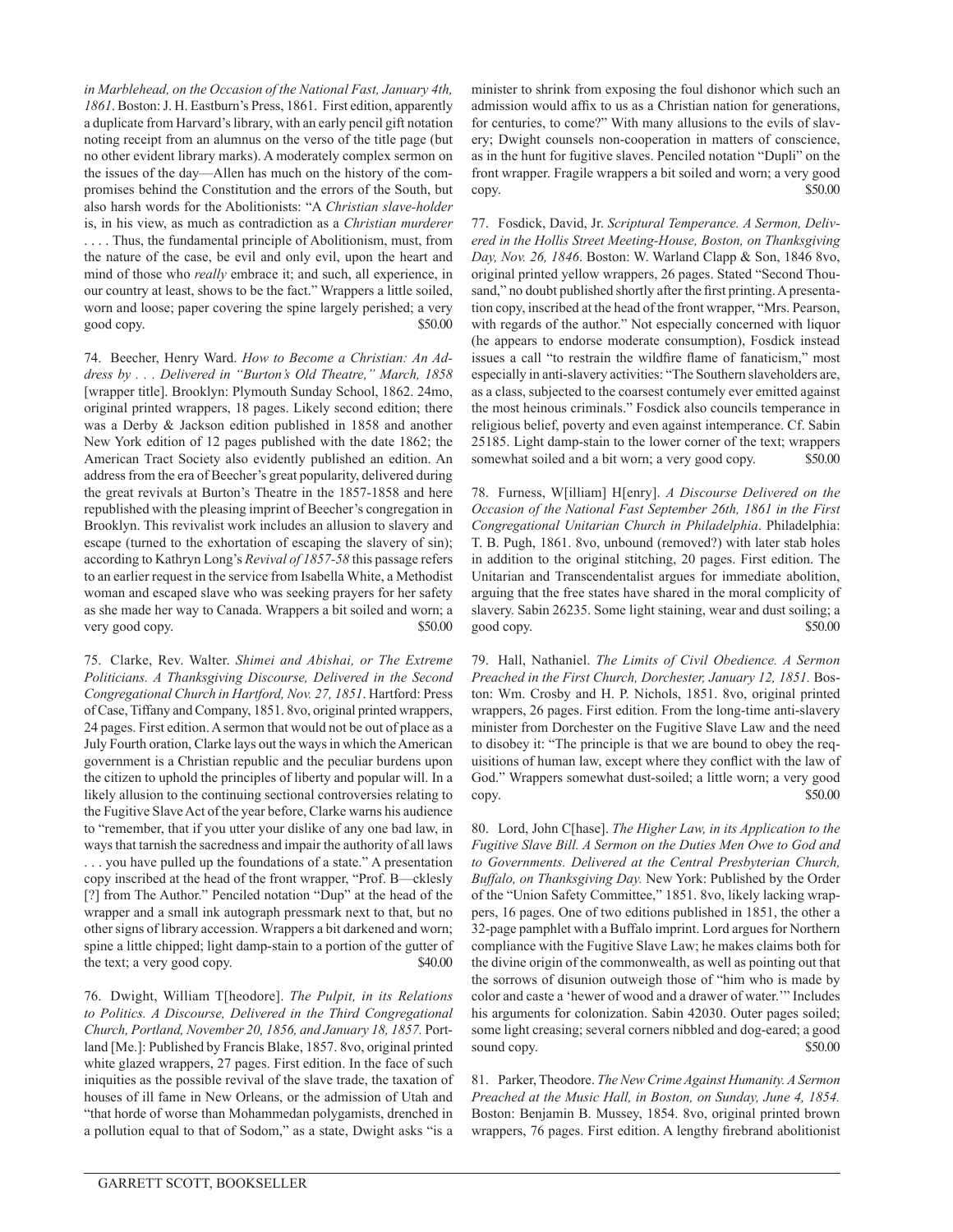*in Marblehead, on the Occasion of the National Fast, January 4th, 1861*. Boston: J. H. Eastburn's Press, 1861. First edition, apparently a duplicate from Harvard's library, with an early pencil gift notation noting receipt from an alumnus on the verso of the title page (but no other evident library marks). A moderately complex sermon on the issues of the day—Allen has much on the history of the compromises behind the Constitution and the errors of the South, but also harsh words for the Abolitionists: "A *Christian slave-holder* is, in his view, as much as contradiction as a *Christian murderer* 

. . . . Thus, the fundamental principle of Abolitionism, must, from the nature of the case, be evil and only evil, upon the heart and mind of those who *really* embrace it; and such, all experience, in our country at least, shows to be the fact." Wrappers a little soiled, worn and loose; paper covering the spine largely perished; a very good copy.  $$50.00$ 

74. Beecher, Henry Ward. *How to Become a Christian: An Address by . . . Delivered in "Burton's Old Theatre," March, 1858* [wrapper title]. Brooklyn: Plymouth Sunday School, 1862. 24mo, original printed wrappers, 18 pages. Likely second edition; there was a Derby & Jackson edition published in 1858 and another New York edition of 12 pages published with the date 1862; the American Tract Society also evidently published an edition. An address from the era of Beecher's great popularity, delivered during the great revivals at Burton's Theatre in the 1857-1858 and here republished with the pleasing imprint of Beecher's congregation in Brooklyn. This revivalist work includes an allusion to slavery and escape (turned to the exhortation of escaping the slavery of sin); according to Kathryn Long's *Revival of 1857-58* this passage refers to an earlier request in the service from Isabella White, a Methodist woman and escaped slave who was seeking prayers for her safety as she made her way to Canada. Wrappers a bit soiled and worn; a very good copy.  $$50.00$ 

75. Clarke, Rev. Walter. *Shimei and Abishai, or The Extreme Politicians. A Thanksgiving Discourse, Delivered in the Second Congregational Church in Hartford, Nov. 27, 1851*. Hartford: Press of Case, Tiffany and Company, 1851. 8vo, original printed wrappers, 24 pages. First edition. A sermon that would not be out of place as a July Fourth oration, Clarke lays out the ways in which the American government is a Christian republic and the peculiar burdens upon the citizen to uphold the principles of liberty and popular will. In a likely allusion to the continuing sectional controversies relating to the Fugitive Slave Act of the year before, Clarke warns his audience to "remember, that if you utter your dislike of any one bad law, in ways that tarnish the sacredness and impair the authority of all laws . . . you have pulled up the foundations of a state." A presentation copy inscribed at the head of the front wrapper, "Prof. B—cklesly [?] from The Author." Penciled notation "Dup" at the head of the wrapper and a small ink autograph pressmark next to that, but no other signs of library accession. Wrappers a bit darkened and worn; spine a little chipped; light damp-stain to a portion of the gutter of the text; a very good copy. \$40.00

76. Dwight, William T[heodore]. *The Pulpit, in its Relations to Politics. A Discourse, Delivered in the Third Congregational Church, Portland, November 20, 1856, and January 18, 1857.* Portland [Me.]: Published by Francis Blake, 1857. 8vo, original printed white glazed wrappers, 27 pages. First edition. In the face of such iniquities as the possible revival of the slave trade, the taxation of houses of ill fame in New Orleans, or the admission of Utah and "that horde of worse than Mohammedan polygamists, drenched in a pollution equal to that of Sodom," as a state, Dwight asks "is a

minister to shrink from exposing the foul dishonor which such an admission would affix to us as a Christian nation for generations, for centuries, to come?" With many allusions to the evils of slavery; Dwight counsels non-cooperation in matters of conscience, as in the hunt for fugitive slaves. Penciled notation "Dupli" on the front wrapper. Fragile wrappers a bit soiled and worn; a very good  $\text{copy.}$  \$50.00

77. Fosdick, David, Jr. *Scriptural Temperance. A Sermon, Delivered in the Hollis Street Meeting-House, Boston, on Thanksgiving Day, Nov. 26, 1846*. Boston: W. Warland Clapp & Son, 1846 8vo, original printed yellow wrappers, 26 pages. Stated "Second Thousand," no doubt published shortly after the first printing. A presentation copy, inscribed at the head of the front wrapper, "Mrs. Pearson, with regards of the author." Not especially concerned with liquor (he appears to endorse moderate consumption), Fosdick instead issues a call "to restrain the wildfire flame of fanaticism," most especially in anti-slavery activities: "The Southern slaveholders are, as a class, subjected to the coarsest contumely ever emitted against the most heinous criminals." Fosdick also councils temperance in religious belief, poverty and even against intemperance. Cf. Sabin 25185. Light damp-stain to the lower corner of the text; wrappers somewhat soiled and a bit worn; a very good copy. \$50.00

78. Furness, W[illiam] H[enry]. *A Discourse Delivered on the Occasion of the National Fast September 26th, 1861 in the First Congregational Unitarian Church in Philadelphia*. Philadelphia: T. B. Pugh, 1861. 8vo, unbound (removed?) with later stab holes in addition to the original stitching, 20 pages. First edition. The Unitarian and Transcendentalist argues for immediate abolition, arguing that the free states have shared in the moral complicity of slavery. Sabin 26235. Some light staining, wear and dust soiling; a  $\degree$ good copy.  $\$50.00$ 

79. Hall, Nathaniel. *The Limits of Civil Obedience. A Sermon Preached in the First Church, Dorchester, January 12, 1851.* Boston: Wm. Crosby and H. P. Nichols, 1851. 8vo, original printed wrappers, 26 pages. First edition. From the long-time anti-slavery minister from Dorchester on the Fugitive Slave Law and the need to disobey it: "The principle is that we are bound to obey the requisitions of human law, except where they conflict with the law of God." Wrappers somewhat dust-soiled; a little worn; a very good  $\text{copy.}$  \$50.00

80. Lord, John C[hase]. *The Higher Law, in its Application to the Fugitive Slave Bill. A Sermon on the Duties Men Owe to God and to Governments. Delivered at the Central Presbyterian Church, Buffalo, on Thanksgiving Day.* New York: Published by the Order of the "Union Safety Committee," 1851. 8vo, likely lacking wrappers, 16 pages. One of two editions published in 1851, the other a 32-page pamphlet with a Buffalo imprint. Lord argues for Northern compliance with the Fugitive Slave Law; he makes claims both for the divine origin of the commonwealth, as well as pointing out that the sorrows of disunion outweigh those of "him who is made by color and caste a 'hewer of wood and a drawer of water.'" Includes his arguments for colonization. Sabin 42030. Outer pages soiled; some light creasing; several corners nibbled and dog-eared; a good sound copy.  $$50.00$ 

81. Parker, Theodore. *The New Crime Against Humanity. A Sermon Preached at the Music Hall, in Boston, on Sunday, June 4, 1854.*  Boston: Benjamin B. Mussey, 1854. 8vo, original printed brown wrappers, 76 pages. First edition. A lengthy firebrand abolitionist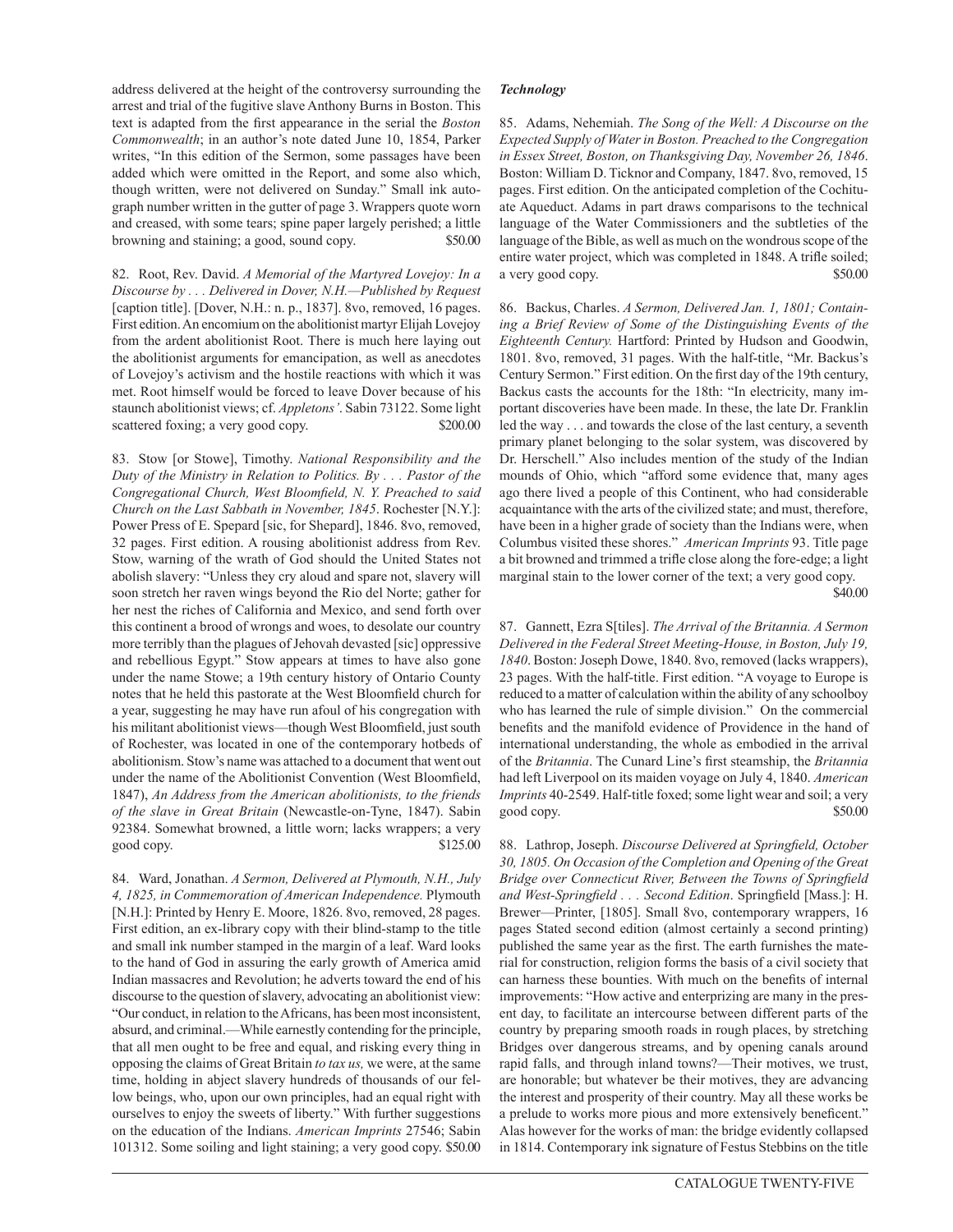address delivered at the height of the controversy surrounding the arrest and trial of the fugitive slave Anthony Burns in Boston. This text is adapted from the first appearance in the serial the *Boston Commonwealth*; in an author's note dated June 10, 1854, Parker writes, "In this edition of the Sermon, some passages have been added which were omitted in the Report, and some also which, though written, were not delivered on Sunday." Small ink autograph number written in the gutter of page 3. Wrappers quote worn and creased, with some tears; spine paper largely perished; a little browning and staining; a good, sound copy. \$50.00

82. Root, Rev. David. *A Memorial of the Martyred Lovejoy: In a Discourse by . . . Delivered in Dover, N.H.—Published by Request*  [caption title]. [Dover, N.H.: n. p., 1837]. 8vo, removed, 16 pages. First edition. An encomium on the abolitionist martyr Elijah Lovejoy from the ardent abolitionist Root. There is much here laying out the abolitionist arguments for emancipation, as well as anecdotes of Lovejoy's activism and the hostile reactions with which it was met. Root himself would be forced to leave Dover because of his staunch abolitionist views; cf. *Appletons'*. Sabin 73122. Some light scattered foxing; a very good copy. \$200.00

83. Stow [or Stowe], Timothy. *National Responsibility and the Duty of the Ministry in Relation to Politics. By . . . Pastor of the Congregational Church, West Bloomfield, N. Y. Preached to said Church on the Last Sabbath in November, 1845*. Rochester [N.Y.]: Power Press of E. Spepard [sic, for Shepard], 1846. 8vo, removed, 32 pages. First edition. A rousing abolitionist address from Rev. Stow, warning of the wrath of God should the United States not abolish slavery: "Unless they cry aloud and spare not, slavery will soon stretch her raven wings beyond the Rio del Norte; gather for her nest the riches of California and Mexico, and send forth over this continent a brood of wrongs and woes, to desolate our country more terribly than the plagues of Jehovah devasted [sic] oppressive and rebellious Egypt." Stow appears at times to have also gone under the name Stowe; a 19th century history of Ontario County notes that he held this pastorate at the West Bloomfield church for a year, suggesting he may have run afoul of his congregation with his militant abolitionist views—though West Bloomfield, just south of Rochester, was located in one of the contemporary hotbeds of abolitionism. Stow's name was attached to a document that went out under the name of the Abolitionist Convention (West Bloomfield, 1847), *An Address from the American abolitionists, to the friends of the slave in Great Britain* (Newcastle-on-Tyne, 1847). Sabin 92384. Somewhat browned, a little worn; lacks wrappers; a very good copy. \$125.00

84. Ward, Jonathan. *A Sermon, Delivered at Plymouth, N.H., July 4, 1825, in Commemoration of American Independence.* Plymouth [N.H.]: Printed by Henry E. Moore, 1826. 8vo, removed, 28 pages. First edition, an ex-library copy with their blind-stamp to the title and small ink number stamped in the margin of a leaf. Ward looks to the hand of God in assuring the early growth of America amid Indian massacres and Revolution; he adverts toward the end of his discourse to the question of slavery, advocating an abolitionist view: "Our conduct, in relation to the Africans, has been most inconsistent, absurd, and criminal.—While earnestly contending for the principle, that all men ought to be free and equal, and risking every thing in opposing the claims of Great Britain *to tax us,* we were, at the same time, holding in abject slavery hundreds of thousands of our fellow beings, who, upon our own principles, had an equal right with ourselves to enjoy the sweets of liberty." With further suggestions on the education of the Indians. *American Imprints* 27546; Sabin 101312. Some soiling and light staining; a very good copy. \$50.00

## *Technology*

85. Adams, Nehemiah. *The Song of the Well: A Discourse on the Expected Supply of Water in Boston. Preached to the Congregation in Essex Street, Boston, on Thanksgiving Day, November 26, 1846*. Boston: William D. Ticknor and Company, 1847. 8vo, removed, 15 pages. First edition. On the anticipated completion of the Cochituate Aqueduct. Adams in part draws comparisons to the technical language of the Water Commissioners and the subtleties of the language of the Bible, as well as much on the wondrous scope of the entire water project, which was completed in 1848. A trifle soiled; a very good copy. \$50.00

86. Backus, Charles. *A Sermon, Delivered Jan. 1, 1801; Containing a Brief Review of Some of the Distinguishing Events of the Eighteenth Century.* Hartford: Printed by Hudson and Goodwin, 1801. 8vo, removed, 31 pages. With the half-title, "Mr. Backus's Century Sermon." First edition. On the first day of the 19th century, Backus casts the accounts for the 18th: "In electricity, many important discoveries have been made. In these, the late Dr. Franklin led the way . . . and towards the close of the last century, a seventh primary planet belonging to the solar system, was discovered by Dr. Herschell." Also includes mention of the study of the Indian mounds of Ohio, which "afford some evidence that, many ages ago there lived a people of this Continent, who had considerable acquaintance with the arts of the civilized state; and must, therefore, have been in a higher grade of society than the Indians were, when Columbus visited these shores." *American Imprints* 93. Title page a bit browned and trimmed a trifle close along the fore-edge; a light marginal stain to the lower corner of the text; a very good copy.

\$40.00

87. Gannett, Ezra S[tiles]. *The Arrival of the Britannia. A Sermon Delivered in the Federal Street Meeting-House, in Boston, July 19, 1840*. Boston: Joseph Dowe, 1840. 8vo, removed (lacks wrappers), 23 pages. With the half-title. First edition. "A voyage to Europe is reduced to a matter of calculation within the ability of any schoolboy who has learned the rule of simple division." On the commercial benefits and the manifold evidence of Providence in the hand of international understanding, the whole as embodied in the arrival of the *Britannia*. The Cunard Line's first steamship, the *Britannia* had left Liverpool on its maiden voyage on July 4, 1840. *American Imprints* 40-2549. Half-title foxed; some light wear and soil; a very  $\text{good copy.}$  \$50.00

88. Lathrop, Joseph. *Discourse Delivered at Springfield, October 30, 1805. On Occasion of the Completion and Opening of the Great Bridge over Connecticut River, Between the Towns of Springfield and West-Springfield . . . Second Edition*. Springfield [Mass.]: H. Brewer—Printer, [1805]. Small 8vo, contemporary wrappers, 16 pages Stated second edition (almost certainly a second printing) published the same year as the first. The earth furnishes the material for construction, religion forms the basis of a civil society that can harness these bounties. With much on the benefits of internal improvements: "How active and enterprizing are many in the present day, to facilitate an intercourse between different parts of the country by preparing smooth roads in rough places, by stretching Bridges over dangerous streams, and by opening canals around rapid falls, and through inland towns?—Their motives, we trust, are honorable; but whatever be their motives, they are advancing the interest and prosperity of their country. May all these works be a prelude to works more pious and more extensively beneficent." Alas however for the works of man: the bridge evidently collapsed in 1814. Contemporary ink signature of Festus Stebbins on the title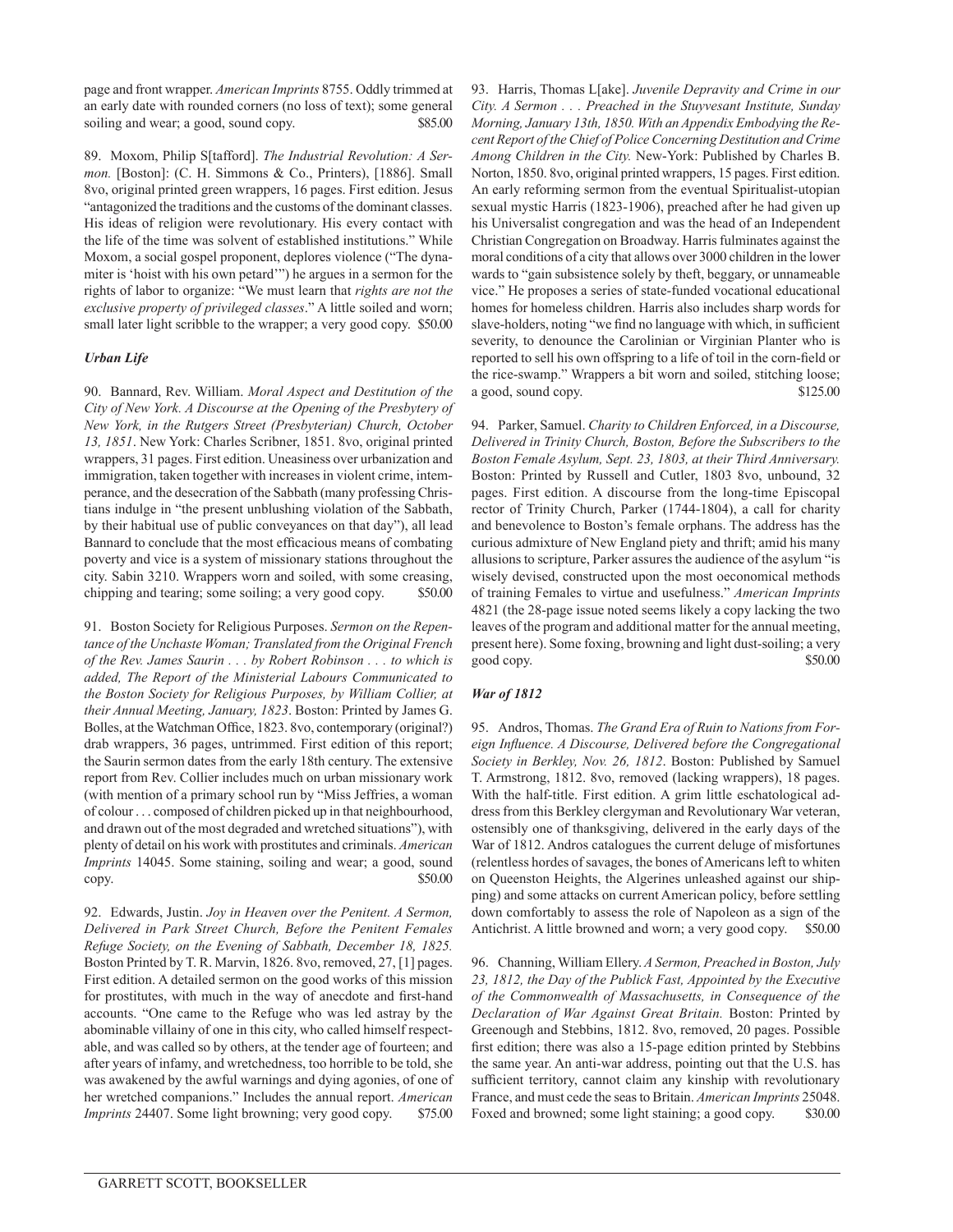page and front wrapper. *American Imprints* 8755. Oddly trimmed at an early date with rounded corners (no loss of text); some general soiling and wear; a good, sound copy. \$85.00

89. Moxom, Philip S[tafford]. *The Industrial Revolution: A Sermon.* [Boston]: (C. H. Simmons & Co., Printers), [1886]. Small 8vo, original printed green wrappers, 16 pages. First edition. Jesus "antagonized the traditions and the customs of the dominant classes. His ideas of religion were revolutionary. His every contact with the life of the time was solvent of established institutions." While Moxom, a social gospel proponent, deplores violence ("The dynamiter is 'hoist with his own petard'") he argues in a sermon for the rights of labor to organize: "We must learn that *rights are not the exclusive property of privileged classes*." A little soiled and worn; small later light scribble to the wrapper; a very good copy. \$50.00

## *Urban Life*

90. Bannard, Rev. William. *Moral Aspect and Destitution of the City of New York. A Discourse at the Opening of the Presbytery of New York, in the Rutgers Street (Presbyterian) Church, October 13, 1851*. New York: Charles Scribner, 1851. 8vo, original printed wrappers, 31 pages. First edition. Uneasiness over urbanization and immigration, taken together with increases in violent crime, intemperance, and the desecration of the Sabbath (many professing Christians indulge in "the present unblushing violation of the Sabbath, by their habitual use of public conveyances on that day"), all lead Bannard to conclude that the most efficacious means of combating poverty and vice is a system of missionary stations throughout the city. Sabin 3210. Wrappers worn and soiled, with some creasing, chipping and tearing; some soiling; a very good copy. \$50.00

91. Boston Society for Religious Purposes. *Sermon on the Repentance of the Unchaste Woman; Translated from the Original French of the Rev. James Saurin . . . by Robert Robinson . . . to which is added, The Report of the Ministerial Labours Communicated to the Boston Society for Religious Purposes, by William Collier, at their Annual Meeting, January, 1823*. Boston: Printed by James G. Bolles, at the Watchman Office, 1823. 8vo, contemporary (original?) drab wrappers, 36 pages, untrimmed. First edition of this report; the Saurin sermon dates from the early 18th century. The extensive report from Rev. Collier includes much on urban missionary work (with mention of a primary school run by "Miss Jeffries, a woman of colour . . . composed of children picked up in that neighbourhood, and drawn out of the most degraded and wretched situations"), with plenty of detail on his work with prostitutes and criminals. *American Imprints* 14045. Some staining, soiling and wear; a good, sound  $\text{copy.}$  \$50.00

92. Edwards, Justin. *Joy in Heaven over the Penitent. A Sermon, Delivered in Park Street Church, Before the Penitent Females Refuge Society, on the Evening of Sabbath, December 18, 1825.* Boston Printed by T. R. Marvin, 1826. 8vo, removed, 27, [1] pages. First edition. A detailed sermon on the good works of this mission for prostitutes, with much in the way of anecdote and first-hand accounts. "One came to the Refuge who was led astray by the abominable villainy of one in this city, who called himself respectable, and was called so by others, at the tender age of fourteen; and after years of infamy, and wretchedness, too horrible to be told, she was awakened by the awful warnings and dying agonies, of one of her wretched companions." Includes the annual report. *American Imprints* 24407. Some light browning; very good copy. \$75.00

93. Harris, Thomas L[ake]. *Juvenile Depravity and Crime in our City. A Sermon . . . Preached in the Stuyvesant Institute, Sunday Morning, January 13th, 1850. With an Appendix Embodying the Recent Report of the Chief of Police Concerning Destitution and Crime Among Children in the City.* New-York: Published by Charles B. Norton, 1850. 8vo, original printed wrappers, 15 pages. First edition. An early reforming sermon from the eventual Spiritualist-utopian sexual mystic Harris (1823-1906), preached after he had given up his Universalist congregation and was the head of an Independent Christian Congregation on Broadway. Harris fulminates against the moral conditions of a city that allows over 3000 children in the lower wards to "gain subsistence solely by theft, beggary, or unnameable vice." He proposes a series of state-funded vocational educational homes for homeless children. Harris also includes sharp words for slave-holders, noting "we find no language with which, in sufficient severity, to denounce the Carolinian or Virginian Planter who is reported to sell his own offspring to a life of toil in the corn-field or the rice-swamp." Wrappers a bit worn and soiled, stitching loose; a good, sound copy.  $$125.00$ 

94. Parker, Samuel. *Charity to Children Enforced, in a Discourse, Delivered in Trinity Church, Boston, Before the Subscribers to the Boston Female Asylum, Sept. 23, 1803, at their Third Anniversary.* Boston: Printed by Russell and Cutler, 1803 8vo, unbound, 32 pages. First edition. A discourse from the long-time Episcopal rector of Trinity Church, Parker (1744-1804), a call for charity and benevolence to Boston's female orphans. The address has the curious admixture of New England piety and thrift; amid his many allusions to scripture, Parker assures the audience of the asylum "is wisely devised, constructed upon the most oeconomical methods of training Females to virtue and usefulness." *American Imprints* 4821 (the 28-page issue noted seems likely a copy lacking the two leaves of the program and additional matter for the annual meeting, present here). Some foxing, browning and light dust-soiling; a very  $\text{good copy.}$  \$50.00

## *War of 1812*

95. Andros, Thomas. *The Grand Era of Ruin to Nations from Foreign Influence. A Discourse, Delivered before the Congregational Society in Berkley, Nov. 26, 1812*. Boston: Published by Samuel T. Armstrong, 1812. 8vo, removed (lacking wrappers), 18 pages. With the half-title. First edition. A grim little eschatological address from this Berkley clergyman and Revolutionary War veteran, ostensibly one of thanksgiving, delivered in the early days of the War of 1812. Andros catalogues the current deluge of misfortunes (relentless hordes of savages, the bones of Americans left to whiten on Queenston Heights, the Algerines unleashed against our shipping) and some attacks on current American policy, before settling down comfortably to assess the role of Napoleon as a sign of the Antichrist. A little browned and worn; a very good copy. \$50.00

96. Channing, William Ellery. *A Sermon, Preached in Boston, July 23, 1812, the Day of the Publick Fast, Appointed by the Executive of the Commonwealth of Massachusetts, in Consequence of the Declaration of War Against Great Britain.* Boston: Printed by Greenough and Stebbins, 1812. 8vo, removed, 20 pages. Possible first edition; there was also a 15-page edition printed by Stebbins the same year. An anti-war address, pointing out that the U.S. has sufficient territory, cannot claim any kinship with revolutionary France, and must cede the seas to Britain. *American Imprints* 25048. Foxed and browned; some light staining; a good copy. \$30.00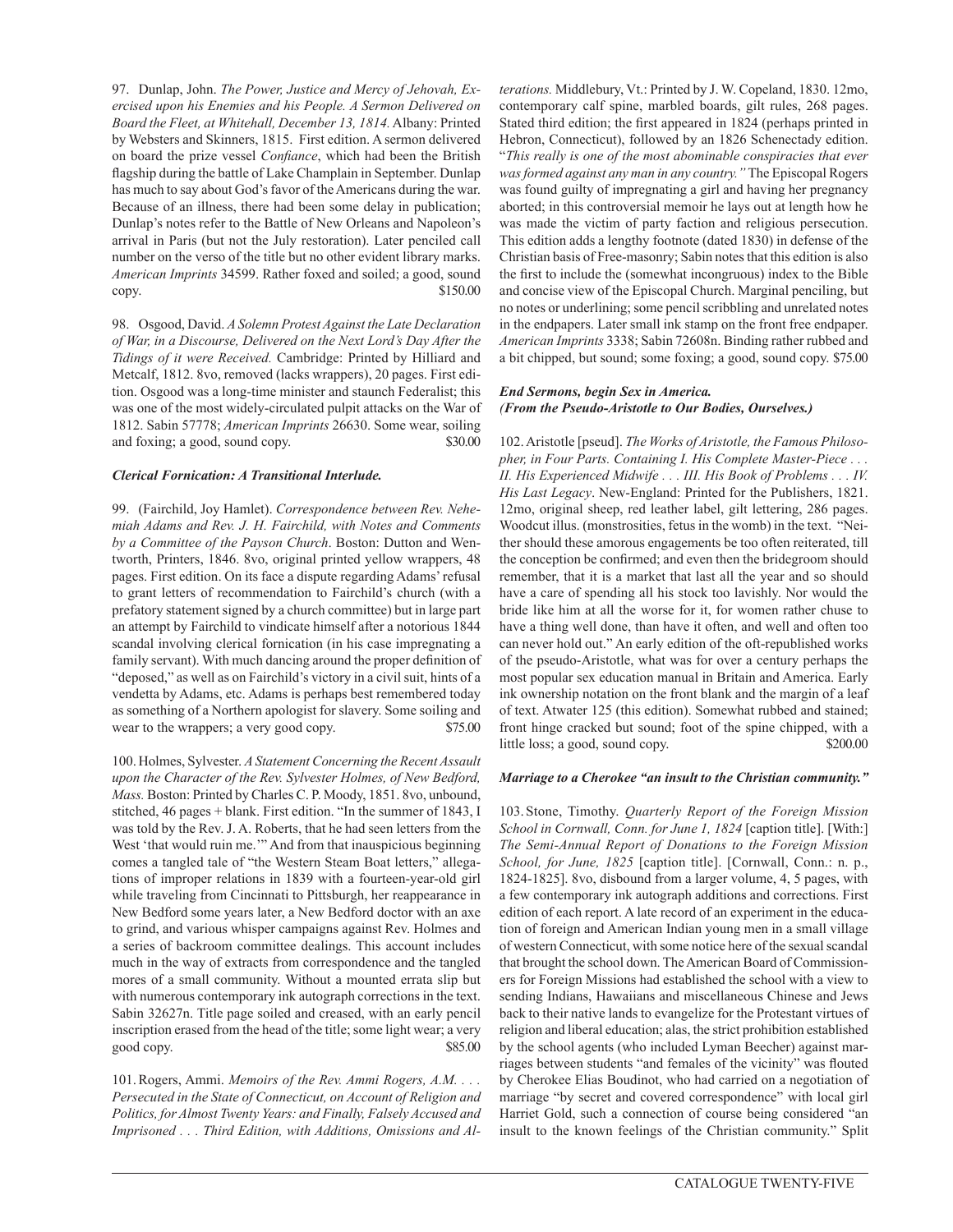97. Dunlap, John. *The Power, Justice and Mercy of Jehovah, Exercised upon his Enemies and his People. A Sermon Delivered on Board the Fleet, at Whitehall, December 13, 1814.* Albany: Printed by Websters and Skinners, 1815. First edition. A sermon delivered on board the prize vessel *Confiance*, which had been the British flagship during the battle of Lake Champlain in September. Dunlap has much to say about God's favor of the Americans during the war. Because of an illness, there had been some delay in publication; Dunlap's notes refer to the Battle of New Orleans and Napoleon's arrival in Paris (but not the July restoration). Later penciled call number on the verso of the title but no other evident library marks. *American Imprints* 34599. Rather foxed and soiled; a good, sound copy. \$150.00

98. Osgood, David. *A Solemn Protest Against the Late Declaration of War, in a Discourse, Delivered on the Next Lord's Day After the Tidings of it were Received.* Cambridge: Printed by Hilliard and Metcalf, 1812. 8vo, removed (lacks wrappers), 20 pages. First edition. Osgood was a long-time minister and staunch Federalist; this was one of the most widely-circulated pulpit attacks on the War of 1812. Sabin 57778; *American Imprints* 26630. Some wear, soiling and foxing; a good, sound copy. \$30.00

#### *Clerical Fornication: A Transitional Interlude.*

99. (Fairchild, Joy Hamlet). *Correspondence between Rev. Nehemiah Adams and Rev. J. H. Fairchild, with Notes and Comments by a Committee of the Payson Church*. Boston: Dutton and Wentworth, Printers, 1846. 8vo, original printed yellow wrappers, 48 pages. First edition. On its face a dispute regarding Adams' refusal to grant letters of recommendation to Fairchild's church (with a prefatory statement signed by a church committee) but in large part an attempt by Fairchild to vindicate himself after a notorious 1844 scandal involving clerical fornication (in his case impregnating a family servant). With much dancing around the proper definition of "deposed," as well as on Fairchild's victory in a civil suit, hints of a vendetta by Adams, etc. Adams is perhaps best remembered today as something of a Northern apologist for slavery. Some soiling and wear to the wrappers; a very good copy. \$75.00

100.Holmes, Sylvester. *A Statement Concerning the Recent Assault upon the Character of the Rev. Sylvester Holmes, of New Bedford, Mass.* Boston: Printed by Charles C. P. Moody, 1851. 8vo, unbound, stitched, 46 pages + blank. First edition. "In the summer of 1843, I was told by the Rev. J. A. Roberts, that he had seen letters from the West 'that would ruin me.'" And from that inauspicious beginning comes a tangled tale of "the Western Steam Boat letters," allegations of improper relations in 1839 with a fourteen-year-old girl while traveling from Cincinnati to Pittsburgh, her reappearance in New Bedford some years later, a New Bedford doctor with an axe to grind, and various whisper campaigns against Rev. Holmes and a series of backroom committee dealings. This account includes much in the way of extracts from correspondence and the tangled mores of a small community. Without a mounted errata slip but with numerous contemporary ink autograph corrections in the text. Sabin 32627n. Title page soiled and creased, with an early pencil inscription erased from the head of the title; some light wear; a very  $\text{good copy.}$  \$85.00

101.Rogers, Ammi. *Memoirs of the Rev. Ammi Rogers, A.M. . . . Persecuted in the State of Connecticut, on Account of Religion and Politics, for Almost Twenty Years: and Finally, Falsely Accused and Imprisoned . . . Third Edition, with Additions, Omissions and Al-* *terations.* Middlebury, Vt.: Printed by J. W. Copeland, 1830. 12mo, contemporary calf spine, marbled boards, gilt rules, 268 pages. Stated third edition; the first appeared in 1824 (perhaps printed in Hebron, Connecticut), followed by an 1826 Schenectady edition. "*This really is one of the most abominable conspiracies that ever was formed against any man in any country."* The Episcopal Rogers was found guilty of impregnating a girl and having her pregnancy aborted; in this controversial memoir he lays out at length how he was made the victim of party faction and religious persecution. This edition adds a lengthy footnote (dated 1830) in defense of the Christian basis of Free-masonry; Sabin notes that this edition is also the first to include the (somewhat incongruous) index to the Bible and concise view of the Episcopal Church. Marginal penciling, but no notes or underlining; some pencil scribbling and unrelated notes in the endpapers. Later small ink stamp on the front free endpaper. *American Imprints* 3338; Sabin 72608n. Binding rather rubbed and a bit chipped, but sound; some foxing; a good, sound copy. \$75.00

## *End Sermons, begin Sex in America. (From the Pseudo-Aristotle to Our Bodies, Ourselves.)*

102.Aristotle [pseud]. *The Works of Aristotle, the Famous Philosopher, in Four Parts. Containing I. His Complete Master-Piece . . . II. His Experienced Midwife . . . III. His Book of Problems . . . IV. His Last Legacy*. New-England: Printed for the Publishers, 1821. 12mo, original sheep, red leather label, gilt lettering, 286 pages. Woodcut illus. (monstrosities, fetus in the womb) in the text. "Neither should these amorous engagements be too often reiterated, till the conception be confirmed; and even then the bridegroom should remember, that it is a market that last all the year and so should have a care of spending all his stock too lavishly. Nor would the bride like him at all the worse for it, for women rather chuse to have a thing well done, than have it often, and well and often too can never hold out." An early edition of the oft-republished works of the pseudo-Aristotle, what was for over a century perhaps the most popular sex education manual in Britain and America. Early ink ownership notation on the front blank and the margin of a leaf of text. Atwater 125 (this edition). Somewhat rubbed and stained; front hinge cracked but sound; foot of the spine chipped, with a little loss; a good, sound copy. \$200.00

### *Marriage to a Cherokee "an insult to the Christian community."*

103.Stone, Timothy. *Quarterly Report of the Foreign Mission School in Cornwall, Conn. for June 1, 1824* [caption title]. [With:] *The Semi-Annual Report of Donations to the Foreign Mission School, for June, 1825* [caption title]. [Cornwall, Conn.: n. p., 1824-1825]. 8vo, disbound from a larger volume, 4, 5 pages, with a few contemporary ink autograph additions and corrections. First edition of each report. A late record of an experiment in the education of foreign and American Indian young men in a small village of western Connecticut, with some notice here of the sexual scandal that brought the school down. The American Board of Commissioners for Foreign Missions had established the school with a view to sending Indians, Hawaiians and miscellaneous Chinese and Jews back to their native lands to evangelize for the Protestant virtues of religion and liberal education; alas, the strict prohibition established by the school agents (who included Lyman Beecher) against marriages between students "and females of the vicinity" was flouted by Cherokee Elias Boudinot, who had carried on a negotiation of marriage "by secret and covered correspondence" with local girl Harriet Gold, such a connection of course being considered "an insult to the known feelings of the Christian community." Split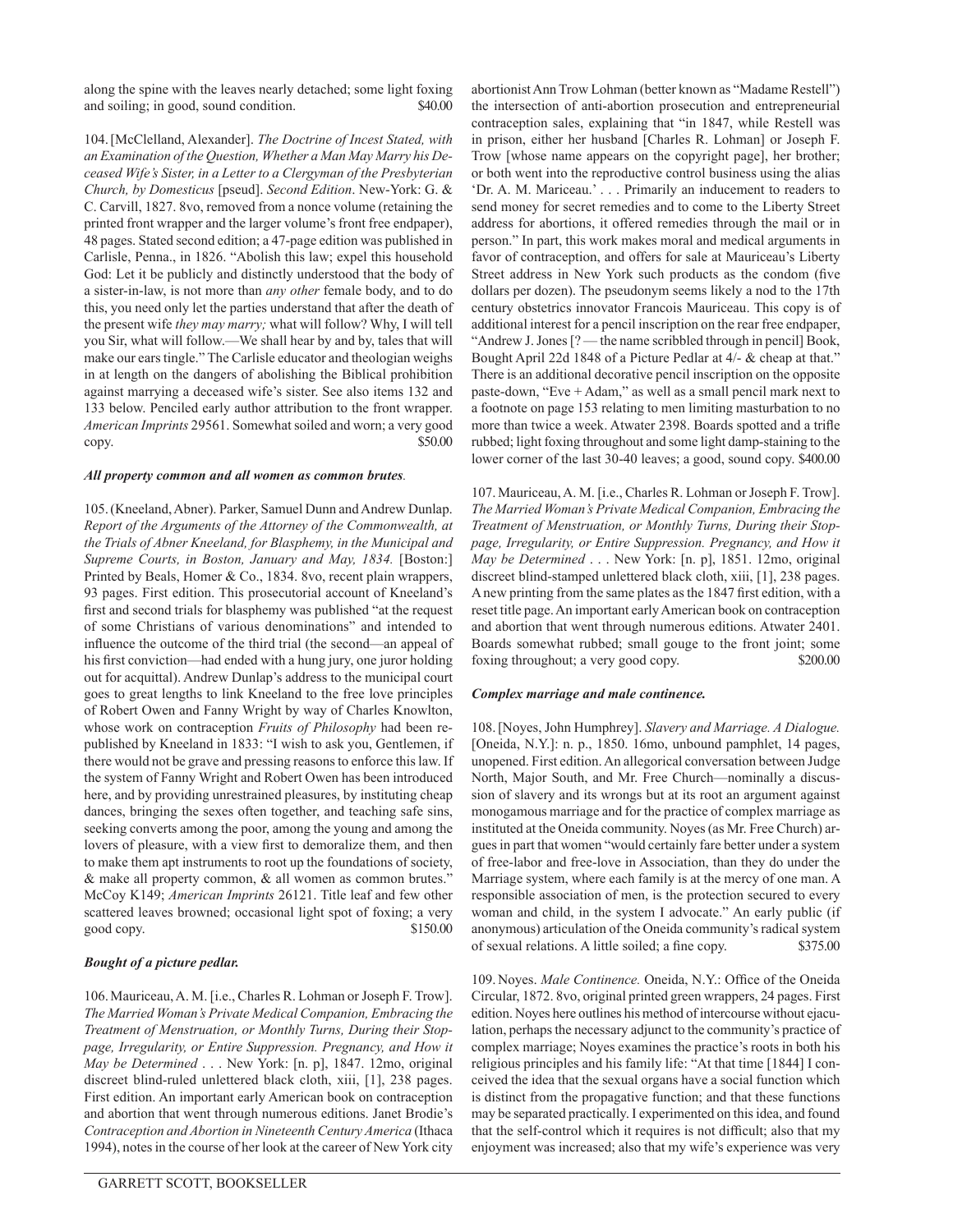along the spine with the leaves nearly detached; some light foxing and soiling; in good, sound condition. \$40.00

104.[McClelland, Alexander]. *The Doctrine of Incest Stated, with an Examination of the Question, Whether a Man May Marry his Deceased Wife's Sister, in a Letter to a Clergyman of the Presbyterian Church, by Domesticus* [pseud]. *Second Edition*. New-York: G. & C. Carvill, 1827. 8vo, removed from a nonce volume (retaining the printed front wrapper and the larger volume's front free endpaper), 48 pages. Stated second edition; a 47-page edition was published in Carlisle, Penna., in 1826. "Abolish this law; expel this household God: Let it be publicly and distinctly understood that the body of a sister-in-law, is not more than *any other* female body, and to do this, you need only let the parties understand that after the death of the present wife *they may marry;* what will follow? Why, I will tell you Sir, what will follow.—We shall hear by and by, tales that will make our ears tingle." The Carlisle educator and theologian weighs in at length on the dangers of abolishing the Biblical prohibition against marrying a deceased wife's sister. See also items 132 and 133 below. Penciled early author attribution to the front wrapper. *American Imprints* 29561. Somewhat soiled and worn; a very good  $\text{copy.}$  \$50.00

#### *All property common and all women as common brutes.*

105.(Kneeland, Abner). Parker, Samuel Dunn and Andrew Dunlap. *Report of the Arguments of the Attorney of the Commonwealth, at the Trials of Abner Kneeland, for Blasphemy, in the Municipal and Supreme Courts, in Boston, January and May, 1834.* [Boston:] Printed by Beals, Homer & Co., 1834. 8vo, recent plain wrappers, 93 pages. First edition. This prosecutorial account of Kneeland's first and second trials for blasphemy was published "at the request of some Christians of various denominations" and intended to influence the outcome of the third trial (the second—an appeal of his first conviction—had ended with a hung jury, one juror holding out for acquittal). Andrew Dunlap's address to the municipal court goes to great lengths to link Kneeland to the free love principles of Robert Owen and Fanny Wright by way of Charles Knowlton, whose work on contraception *Fruits of Philosophy* had been republished by Kneeland in 1833: "I wish to ask you, Gentlemen, if there would not be grave and pressing reasons to enforce this law. If the system of Fanny Wright and Robert Owen has been introduced here, and by providing unrestrained pleasures, by instituting cheap dances, bringing the sexes often together, and teaching safe sins, seeking converts among the poor, among the young and among the lovers of pleasure, with a view first to demoralize them, and then to make them apt instruments to root up the foundations of society, & make all property common, & all women as common brutes." McCoy K149; *American Imprints* 26121. Title leaf and few other scattered leaves browned; occasional light spot of foxing; a very good copy. \$150.00

#### *Bought of a picture pedlar.*

106.Mauriceau, A. M. [i.e., Charles R. Lohman or Joseph F. Trow]. *The Married Woman's Private Medical Companion, Embracing the Treatment of Menstruation, or Monthly Turns, During their Stoppage, Irregularity, or Entire Suppression. Pregnancy, and How it May be Determined* . . . New York: [n. p], 1847. 12mo, original discreet blind-ruled unlettered black cloth, xiii, [1], 238 pages. First edition. An important early American book on contraception and abortion that went through numerous editions. Janet Brodie's *Contraception and Abortion in Nineteenth Century America* (Ithaca 1994), notes in the course of her look at the career of New York city

abortionist Ann Trow Lohman (better known as "Madame Restell") the intersection of anti-abortion prosecution and entrepreneurial contraception sales, explaining that "in 1847, while Restell was in prison, either her husband [Charles R. Lohman] or Joseph F. Trow [whose name appears on the copyright page], her brother; or both went into the reproductive control business using the alias 'Dr. A. M. Mariceau.' . . . Primarily an inducement to readers to send money for secret remedies and to come to the Liberty Street address for abortions, it offered remedies through the mail or in person." In part, this work makes moral and medical arguments in favor of contraception, and offers for sale at Mauriceau's Liberty Street address in New York such products as the condom (five dollars per dozen). The pseudonym seems likely a nod to the 17th century obstetrics innovator Francois Mauriceau. This copy is of additional interest for a pencil inscription on the rear free endpaper, "Andrew J. Jones [? — the name scribbled through in pencil] Book, Bought April 22d 1848 of a Picture Pedlar at 4/- & cheap at that." There is an additional decorative pencil inscription on the opposite paste-down, "Eve + Adam," as well as a small pencil mark next to a footnote on page 153 relating to men limiting masturbation to no more than twice a week. Atwater 2398. Boards spotted and a trifle rubbed; light foxing throughout and some light damp-staining to the lower corner of the last 30-40 leaves; a good, sound copy. \$400.00

107.Mauriceau, A. M. [i.e., Charles R. Lohman or Joseph F. Trow]. *The Married Woman's Private Medical Companion, Embracing the Treatment of Menstruation, or Monthly Turns, During their Stoppage, Irregularity, or Entire Suppression. Pregnancy, and How it May be Determined* . . . New York: [n. p], 1851. 12mo, original discreet blind-stamped unlettered black cloth, xiii, [1], 238 pages. A new printing from the same plates as the 1847 first edition, with a reset title page. An important early American book on contraception and abortion that went through numerous editions. Atwater 2401. Boards somewhat rubbed; small gouge to the front joint; some foxing throughout; a very good copy. \$200.00

#### *Complex marriage and male continence.*

108.[Noyes, John Humphrey]. *Slavery and Marriage. A Dialogue.* [Oneida, N.Y.]: n. p., 1850. 16mo, unbound pamphlet, 14 pages, unopened. First edition. An allegorical conversation between Judge North, Major South, and Mr. Free Church—nominally a discussion of slavery and its wrongs but at its root an argument against monogamous marriage and for the practice of complex marriage as instituted at the Oneida community. Noyes (as Mr. Free Church) argues in part that women "would certainly fare better under a system of free-labor and free-love in Association, than they do under the Marriage system, where each family is at the mercy of one man. A responsible association of men, is the protection secured to every woman and child, in the system I advocate." An early public (if anonymous) articulation of the Oneida community's radical system of sexual relations. A little soiled; a fine copy. \$375.00

109.Noyes. *Male Continence.* Oneida, N.Y.: Office of the Oneida Circular, 1872. 8vo, original printed green wrappers, 24 pages. First edition. Noyes here outlines his method of intercourse without ejaculation, perhaps the necessary adjunct to the community's practice of complex marriage; Noyes examines the practice's roots in both his religious principles and his family life: "At that time [1844] I conceived the idea that the sexual organs have a social function which is distinct from the propagative function; and that these functions may be separated practically. I experimented on this idea, and found that the self-control which it requires is not difficult; also that my enjoyment was increased; also that my wife's experience was very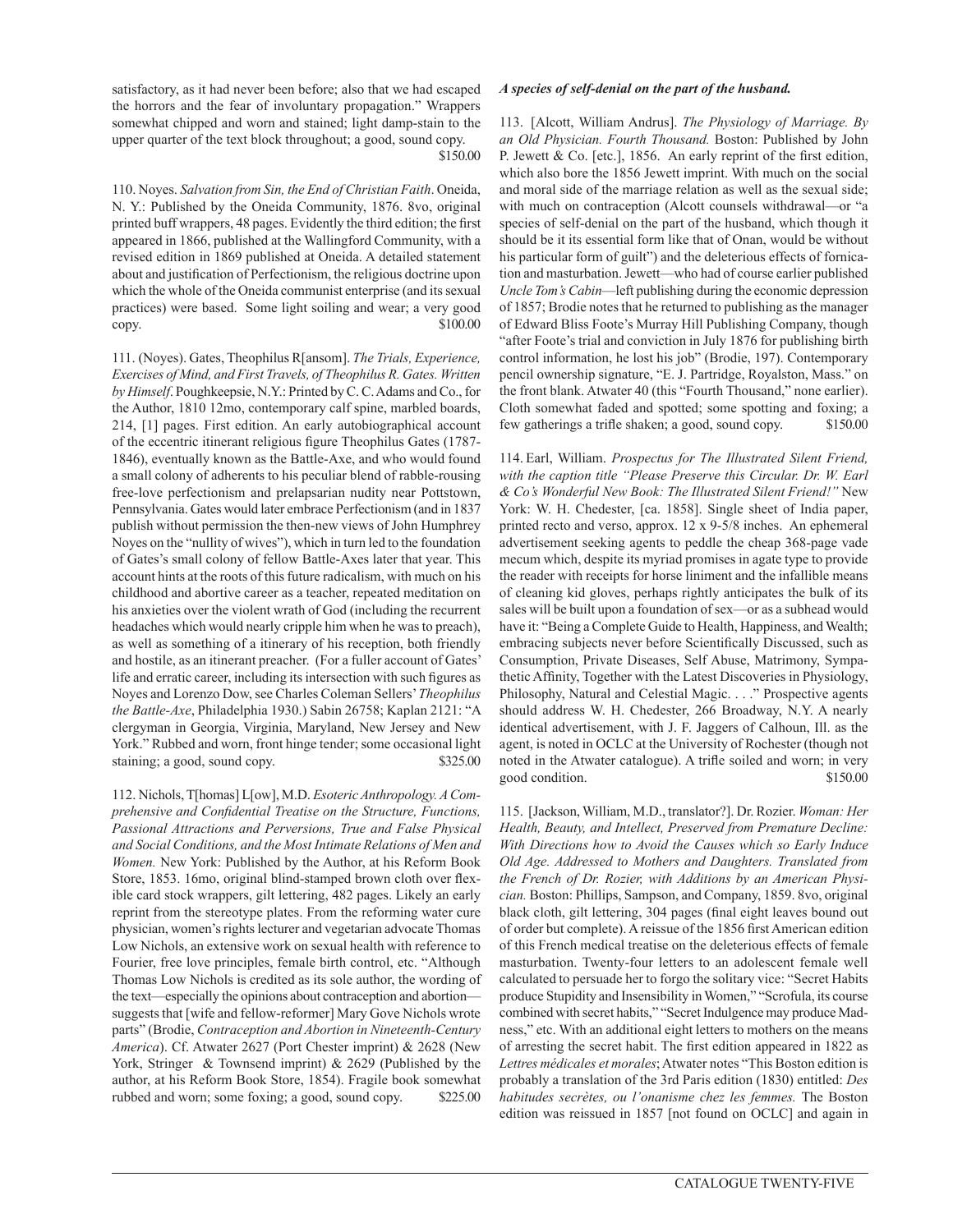satisfactory, as it had never been before; also that we had escaped the horrors and the fear of involuntary propagation." Wrappers somewhat chipped and worn and stained; light damp-stain to the upper quarter of the text block throughout; a good, sound copy.

\$150.00

110. Noyes. *Salvation from Sin, the End of Christian Faith*. Oneida, N. Y.: Published by the Oneida Community, 1876. 8vo, original printed buff wrappers, 48 pages. Evidently the third edition; the first appeared in 1866, published at the Wallingford Community, with a revised edition in 1869 published at Oneida. A detailed statement about and justification of Perfectionism, the religious doctrine upon which the whole of the Oneida communist enterprise (and its sexual practices) were based. Some light soiling and wear; a very good copy. \$100.00

111. (Noyes). Gates, Theophilus R[ansom]. *The Trials, Experience, Exercises of Mind, and First Travels, of Theophilus R. Gates. Written by Himself*. Poughkeepsie, N.Y.: Printed by C. C. Adams and Co., for the Author, 1810 12mo, contemporary calf spine, marbled boards, 214, [1] pages. First edition. An early autobiographical account of the eccentric itinerant religious figure Theophilus Gates (1787- 1846), eventually known as the Battle-Axe, and who would found a small colony of adherents to his peculiar blend of rabble-rousing free-love perfectionism and prelapsarian nudity near Pottstown, Pennsylvania. Gates would later embrace Perfectionism (and in 1837 publish without permission the then-new views of John Humphrey Noyes on the "nullity of wives"), which in turn led to the foundation of Gates's small colony of fellow Battle-Axes later that year. This account hints at the roots of this future radicalism, with much on his childhood and abortive career as a teacher, repeated meditation on his anxieties over the violent wrath of God (including the recurrent headaches which would nearly cripple him when he was to preach), as well as something of a itinerary of his reception, both friendly and hostile, as an itinerant preacher. (For a fuller account of Gates' life and erratic career, including its intersection with such figures as Noyes and Lorenzo Dow, see Charles Coleman Sellers' *Theophilus the Battle-Axe*, Philadelphia 1930.) Sabin 26758; Kaplan 2121: "A clergyman in Georgia, Virginia, Maryland, New Jersey and New York." Rubbed and worn, front hinge tender; some occasional light staining; a good, sound copy.  $$325.00$ 

112. Nichols, T[homas] L[ow], M.D. *Esoteric Anthropology. A Comprehensive and Confidential Treatise on the Structure, Functions, Passional Attractions and Perversions, True and False Physical and Social Conditions, and the Most Intimate Relations of Men and Women.* New York: Published by the Author, at his Reform Book Store, 1853. 16mo, original blind-stamped brown cloth over flexible card stock wrappers, gilt lettering, 482 pages. Likely an early reprint from the stereotype plates. From the reforming water cure physician, women's rights lecturer and vegetarian advocate Thomas Low Nichols, an extensive work on sexual health with reference to Fourier, free love principles, female birth control, etc. "Although Thomas Low Nichols is credited as its sole author, the wording of the text—especially the opinions about contraception and abortion suggests that [wife and fellow-reformer] Mary Gove Nichols wrote parts" (Brodie, *Contraception and Abortion in Nineteenth-Century America*). Cf. Atwater 2627 (Port Chester imprint) & 2628 (New York, Stringer & Townsend imprint) & 2629 (Published by the author, at his Reform Book Store, 1854). Fragile book somewhat rubbed and worn; some foxing; a good, sound copy. \$225.00

#### *A species of self-denial on the part of the husband.*

113. [Alcott, William Andrus]. *The Physiology of Marriage. By an Old Physician. Fourth Thousand.* Boston: Published by John P. Jewett & Co. [etc.], 1856. An early reprint of the first edition, which also bore the 1856 Jewett imprint. With much on the social and moral side of the marriage relation as well as the sexual side; with much on contraception (Alcott counsels withdrawal—or "a species of self-denial on the part of the husband, which though it should be it its essential form like that of Onan, would be without his particular form of guilt") and the deleterious effects of fornication and masturbation. Jewett—who had of course earlier published *Uncle Tom's Cabin*—left publishing during the economic depression of 1857; Brodie notes that he returned to publishing as the manager of Edward Bliss Foote's Murray Hill Publishing Company, though "after Foote's trial and conviction in July 1876 for publishing birth control information, he lost his job" (Brodie, 197). Contemporary pencil ownership signature, "E. J. Partridge, Royalston, Mass." on the front blank. Atwater 40 (this "Fourth Thousand," none earlier). Cloth somewhat faded and spotted; some spotting and foxing; a few gatherings a trifle shaken; a good, sound copy. \$150.00

114. Earl, William. *Prospectus for The Illustrated Silent Friend, with the caption title "Please Preserve this Circular. Dr. W. Earl & Co's Wonderful New Book: The Illustrated Silent Friend!"* New York: W. H. Chedester, [ca. 1858]. Single sheet of India paper, printed recto and verso, approx. 12 x 9-5/8 inches. An ephemeral advertisement seeking agents to peddle the cheap 368-page vade mecum which, despite its myriad promises in agate type to provide the reader with receipts for horse liniment and the infallible means of cleaning kid gloves, perhaps rightly anticipates the bulk of its sales will be built upon a foundation of sex—or as a subhead would have it: "Being a Complete Guide to Health, Happiness, and Wealth; embracing subjects never before Scientifically Discussed, such as Consumption, Private Diseases, Self Abuse, Matrimony, Sympathetic Affinity, Together with the Latest Discoveries in Physiology, Philosophy, Natural and Celestial Magic. . . ." Prospective agents should address W. H. Chedester, 266 Broadway, N.Y. A nearly identical advertisement, with J. F. Jaggers of Calhoun, Ill. as the agent, is noted in OCLC at the University of Rochester (though not noted in the Atwater catalogue). A trifle soiled and worn; in very good condition. \$150.00

115. [Jackson, William, M.D., translator?]. Dr. Rozier. *Woman: Her Health, Beauty, and Intellect, Preserved from Premature Decline: With Directions how to Avoid the Causes which so Early Induce Old Age. Addressed to Mothers and Daughters. Translated from the French of Dr. Rozier, with Additions by an American Physician.* Boston: Phillips, Sampson, and Company, 1859. 8vo, original black cloth, gilt lettering, 304 pages (final eight leaves bound out of order but complete). A reissue of the 1856 first American edition of this French medical treatise on the deleterious effects of female masturbation. Twenty-four letters to an adolescent female well calculated to persuade her to forgo the solitary vice: "Secret Habits produce Stupidity and Insensibility in Women," "Scrofula, its course combined with secret habits," "Secret Indulgence may produce Madness," etc. With an additional eight letters to mothers on the means of arresting the secret habit. The first edition appeared in 1822 as *Lettres médicales et morales*; Atwater notes "This Boston edition is probably a translation of the 3rd Paris edition (1830) entitled: *Des habitudes secrètes, ou l'onanisme chez les femmes.* The Boston edition was reissued in 1857 [not found on OCLC] and again in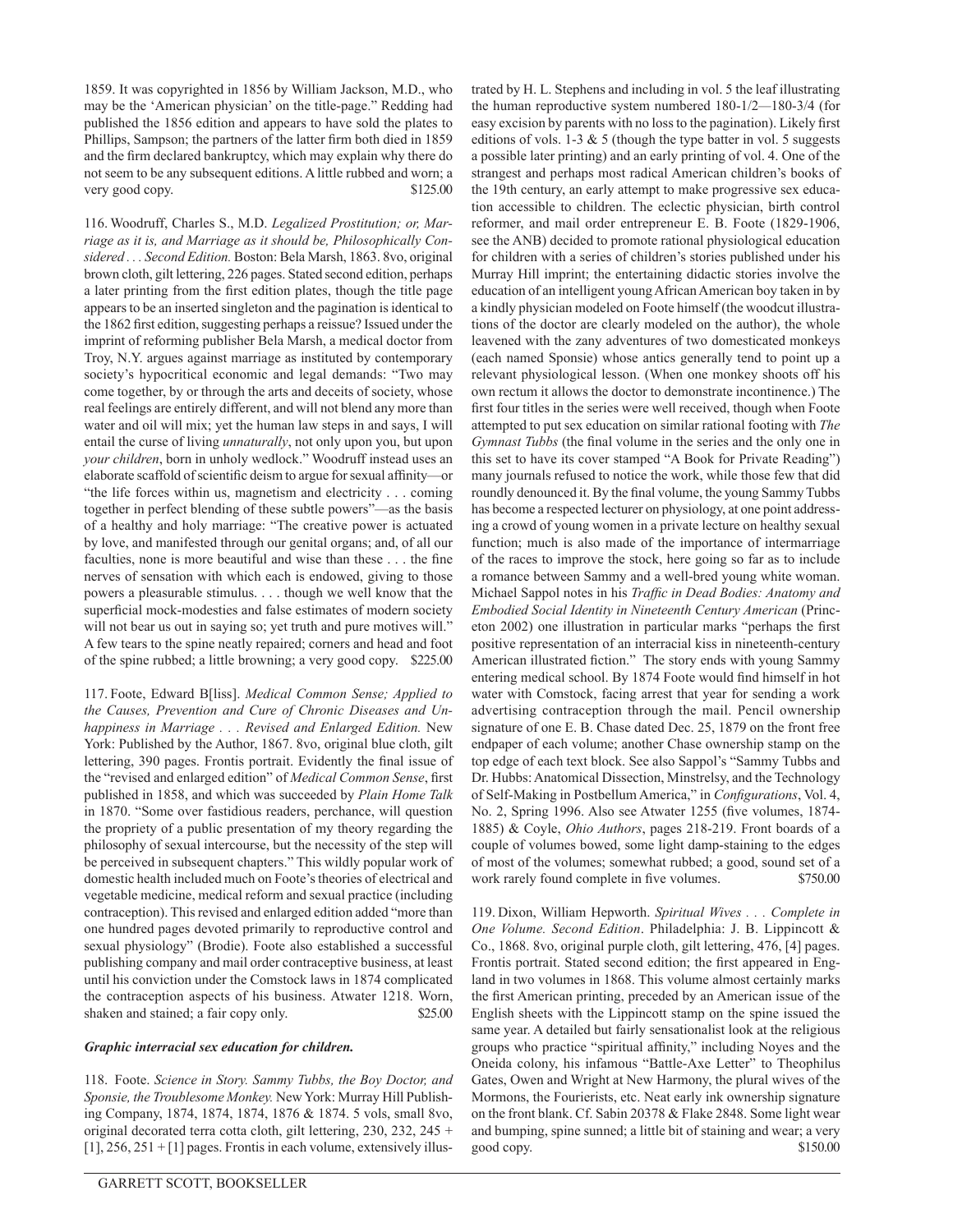1859. It was copyrighted in 1856 by William Jackson, M.D., who may be the 'American physician' on the title-page." Redding had published the 1856 edition and appears to have sold the plates to Phillips, Sampson; the partners of the latter firm both died in 1859 and the firm declared bankruptcy, which may explain why there do not seem to be any subsequent editions. A little rubbed and worn; a very good copy. \$125.00

116. Woodruff, Charles S., M.D. *Legalized Prostitution; or, Marriage as it is, and Marriage as it should be, Philosophically Considered . . . Second Edition.* Boston: Bela Marsh, 1863. 8vo, original brown cloth, gilt lettering, 226 pages. Stated second edition, perhaps a later printing from the first edition plates, though the title page appears to be an inserted singleton and the pagination is identical to the 1862 first edition, suggesting perhaps a reissue? Issued under the imprint of reforming publisher Bela Marsh, a medical doctor from Troy, N.Y. argues against marriage as instituted by contemporary society's hypocritical economic and legal demands: "Two may come together, by or through the arts and deceits of society, whose real feelings are entirely different, and will not blend any more than water and oil will mix; yet the human law steps in and says, I will entail the curse of living *unnaturally*, not only upon you, but upon *your children*, born in unholy wedlock." Woodruff instead uses an elaborate scaffold of scientific deism to argue for sexual affinity—or "the life forces within us, magnetism and electricity . . . coming together in perfect blending of these subtle powers"—as the basis of a healthy and holy marriage: "The creative power is actuated by love, and manifested through our genital organs; and, of all our faculties, none is more beautiful and wise than these . . . the fine nerves of sensation with which each is endowed, giving to those powers a pleasurable stimulus. . . . though we well know that the superficial mock-modesties and false estimates of modern society will not bear us out in saying so; yet truth and pure motives will." A few tears to the spine neatly repaired; corners and head and foot of the spine rubbed; a little browning; a very good copy. \$225.00

117. Foote, Edward B[liss]. *Medical Common Sense; Applied to the Causes, Prevention and Cure of Chronic Diseases and Unhappiness in Marriage . . . Revised and Enlarged Edition.* New York: Published by the Author, 1867. 8vo, original blue cloth, gilt lettering, 390 pages. Frontis portrait. Evidently the final issue of the "revised and enlarged edition" of *Medical Common Sense*, first published in 1858, and which was succeeded by *Plain Home Talk* in 1870. "Some over fastidious readers, perchance, will question the propriety of a public presentation of my theory regarding the philosophy of sexual intercourse, but the necessity of the step will be perceived in subsequent chapters." This wildly popular work of domestic health included much on Foote's theories of electrical and vegetable medicine, medical reform and sexual practice (including contraception). This revised and enlarged edition added "more than one hundred pages devoted primarily to reproductive control and sexual physiology" (Brodie). Foote also established a successful publishing company and mail order contraceptive business, at least until his conviction under the Comstock laws in 1874 complicated the contraception aspects of his business. Atwater 1218. Worn, shaken and stained; a fair copy only. \$25.00

## *Graphic interracial sex education for children.*

118. Foote. *Science in Story. Sammy Tubbs, the Boy Doctor, and Sponsie, the Troublesome Monkey.* New York: Murray Hill Publishing Company, 1874, 1874, 1874, 1876 & 1874. 5 vols, small 8vo, original decorated terra cotta cloth, gilt lettering, 230, 232, 245 +  $[1]$ , 256, 251 +  $[1]$  pages. Frontis in each volume, extensively illus-

trated by H. L. Stephens and including in vol. 5 the leaf illustrating the human reproductive system numbered 180-1/2*—*180-3/4 (for easy excision by parents with no loss to the pagination). Likely first editions of vols. 1-3  $\&$  5 (though the type batter in vol. 5 suggests a possible later printing) and an early printing of vol. 4. One of the strangest and perhaps most radical American children's books of the 19th century, an early attempt to make progressive sex education accessible to children. The eclectic physician, birth control reformer, and mail order entrepreneur E. B. Foote (1829-1906, see the ANB) decided to promote rational physiological education for children with a series of children's stories published under his Murray Hill imprint; the entertaining didactic stories involve the education of an intelligent young African American boy taken in by a kindly physician modeled on Foote himself (the woodcut illustrations of the doctor are clearly modeled on the author), the whole leavened with the zany adventures of two domesticated monkeys (each named Sponsie) whose antics generally tend to point up a relevant physiological lesson. (When one monkey shoots off his own rectum it allows the doctor to demonstrate incontinence.) The first four titles in the series were well received, though when Foote attempted to put sex education on similar rational footing with *The Gymnast Tubbs* (the final volume in the series and the only one in this set to have its cover stamped "A Book for Private Reading") many journals refused to notice the work, while those few that did roundly denounced it. By the final volume, the young Sammy Tubbs has become a respected lecturer on physiology, at one point addressing a crowd of young women in a private lecture on healthy sexual function; much is also made of the importance of intermarriage of the races to improve the stock, here going so far as to include a romance between Sammy and a well-bred young white woman. Michael Sappol notes in his *Traffic in Dead Bodies: Anatomy and Embodied Social Identity in Nineteenth Century American* (Princeton 2002) one illustration in particular marks "perhaps the first positive representation of an interracial kiss in nineteenth-century American illustrated fiction." The story ends with young Sammy entering medical school. By 1874 Foote would find himself in hot water with Comstock, facing arrest that year for sending a work advertising contraception through the mail. Pencil ownership signature of one E. B. Chase dated Dec. 25, 1879 on the front free endpaper of each volume; another Chase ownership stamp on the top edge of each text block. See also Sappol's "Sammy Tubbs and Dr. Hubbs: Anatomical Dissection, Minstrelsy, and the Technology of Self-Making in Postbellum America," in *Configurations*, Vol. 4, No. 2, Spring 1996. Also see Atwater 1255 (five volumes, 1874- 1885) & Coyle, *Ohio Authors*, pages 218-219. Front boards of a couple of volumes bowed, some light damp-staining to the edges of most of the volumes; somewhat rubbed; a good, sound set of a work rarely found complete in five volumes.  $$750.00$ 

119. Dixon, William Hepworth. *Spiritual Wives . . . Complete in One Volume. Second Edition*. Philadelphia: J. B. Lippincott & Co., 1868. 8vo, original purple cloth, gilt lettering, 476, [4] pages. Frontis portrait. Stated second edition; the first appeared in England in two volumes in 1868. This volume almost certainly marks the first American printing, preceded by an American issue of the English sheets with the Lippincott stamp on the spine issued the same year. A detailed but fairly sensationalist look at the religious groups who practice "spiritual affinity," including Noyes and the Oneida colony, his infamous "Battle-Axe Letter" to Theophilus Gates, Owen and Wright at New Harmony, the plural wives of the Mormons, the Fourierists, etc. Neat early ink ownership signature on the front blank. Cf. Sabin 20378 & Flake 2848. Some light wear and bumping, spine sunned; a little bit of staining and wear; a very  $\text{good copy.}$  \$150.00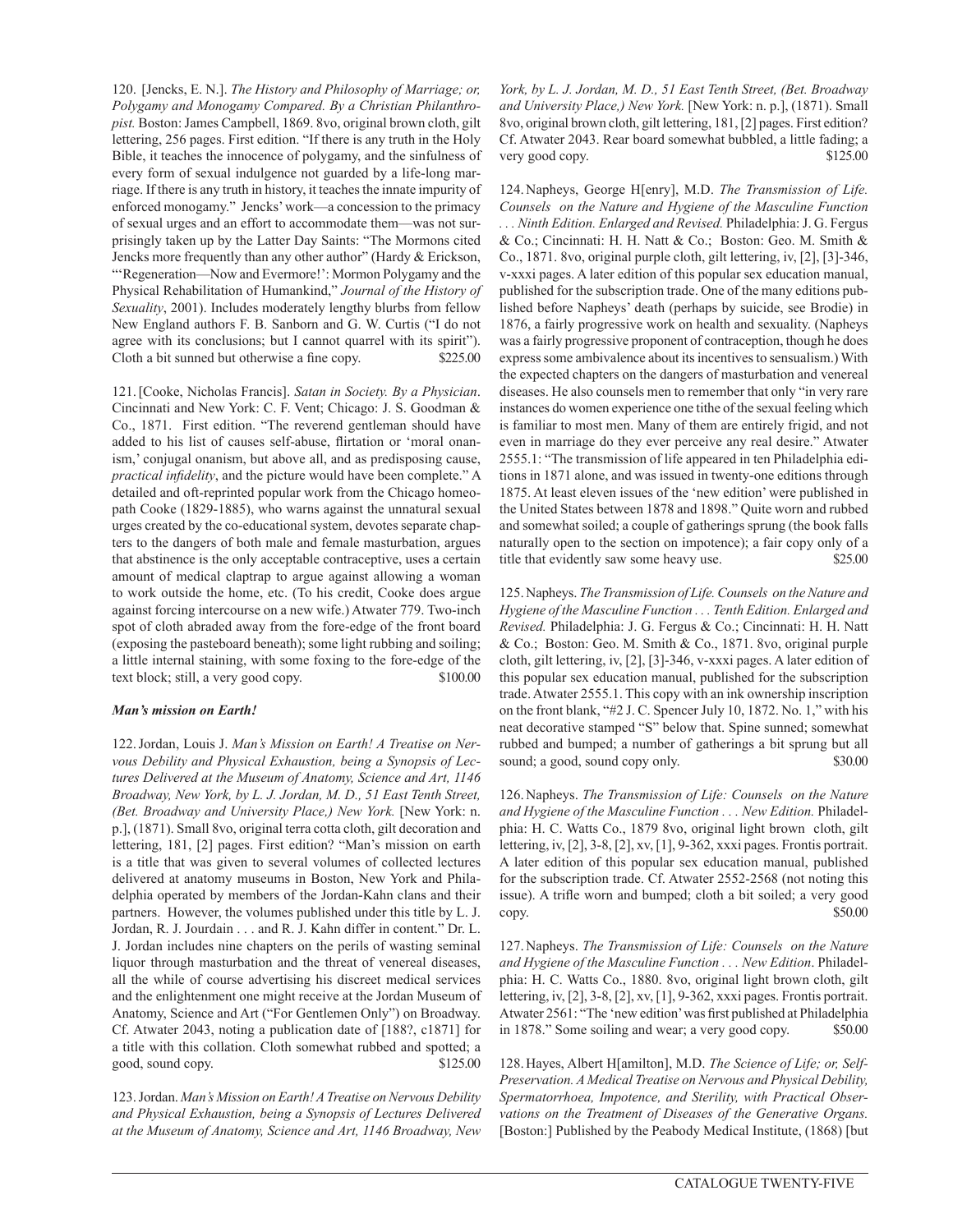120. [Jencks, E. N.]. *The History and Philosophy of Marriage; or, Polygamy and Monogamy Compared. By a Christian Philanthropist.* Boston: James Campbell, 1869. 8vo, original brown cloth, gilt lettering, 256 pages. First edition. "If there is any truth in the Holy Bible, it teaches the innocence of polygamy, and the sinfulness of every form of sexual indulgence not guarded by a life-long marriage. If there is any truth in history, it teaches the innate impurity of enforced monogamy." Jencks' work—a concession to the primacy of sexual urges and an effort to accommodate them—was not surprisingly taken up by the Latter Day Saints: "The Mormons cited Jencks more frequently than any other author" (Hardy & Erickson, "'Regeneration—Now and Evermore!': Mormon Polygamy and the Physical Rehabilitation of Humankind," *Journal of the History of Sexuality*, 2001). Includes moderately lengthy blurbs from fellow New England authors F. B. Sanborn and G. W. Curtis ("I do not agree with its conclusions; but I cannot quarrel with its spirit"). Cloth a bit sunned but otherwise a fine copy. \$225.00

121.[Cooke, Nicholas Francis]. *Satan in Society. By a Physician*. Cincinnati and New York: C. F. Vent; Chicago: J. S. Goodman & Co., 1871. First edition. "The reverend gentleman should have added to his list of causes self-abuse, flirtation or 'moral onanism,' conjugal onanism, but above all, and as predisposing cause, *practical infidelity*, and the picture would have been complete." A detailed and oft-reprinted popular work from the Chicago homeopath Cooke (1829-1885), who warns against the unnatural sexual urges created by the co-educational system, devotes separate chapters to the dangers of both male and female masturbation, argues that abstinence is the only acceptable contraceptive, uses a certain amount of medical claptrap to argue against allowing a woman to work outside the home, etc. (To his credit, Cooke does argue against forcing intercourse on a new wife.) Atwater 779. Two-inch spot of cloth abraded away from the fore-edge of the front board (exposing the pasteboard beneath); some light rubbing and soiling; a little internal staining, with some foxing to the fore-edge of the text block; still, a very good copy. \$100.00

## *Man's mission on Earth!*

122.Jordan, Louis J. *Man's Mission on Earth! A Treatise on Nervous Debility and Physical Exhaustion, being a Synopsis of Lectures Delivered at the Museum of Anatomy, Science and Art, 1146 Broadway, New York, by L. J. Jordan, M. D., 51 East Tenth Street, (Bet. Broadway and University Place,) New York.* [New York: n. p.], (1871). Small 8vo, original terra cotta cloth, gilt decoration and lettering, 181, [2] pages. First edition? "Man's mission on earth is a title that was given to several volumes of collected lectures delivered at anatomy museums in Boston, New York and Philadelphia operated by members of the Jordan-Kahn clans and their partners. However, the volumes published under this title by L. J. Jordan, R. J. Jourdain . . . and R. J. Kahn differ in content." Dr. L. J. Jordan includes nine chapters on the perils of wasting seminal liquor through masturbation and the threat of venereal diseases, all the while of course advertising his discreet medical services and the enlightenment one might receive at the Jordan Museum of Anatomy, Science and Art ("For Gentlemen Only") on Broadway. Cf. Atwater 2043, noting a publication date of [188?, c1871] for a title with this collation. Cloth somewhat rubbed and spotted; a good, sound copy.  $$125.00$ 

123.Jordan. *Man's Mission on Earth! A Treatise on Nervous Debility and Physical Exhaustion, being a Synopsis of Lectures Delivered at the Museum of Anatomy, Science and Art, 1146 Broadway, New* 

*York, by L. J. Jordan, M. D., 51 East Tenth Street, (Bet. Broadway and University Place,) New York.* [New York: n. p.], (1871). Small 8vo, original brown cloth, gilt lettering, 181, [2] pages. First edition? Cf. Atwater 2043. Rear board somewhat bubbled, a little fading; a very good copy. \$125.00

124.Napheys, George H[enry], M.D. *The Transmission of Life. Counsels on the Nature and Hygiene of the Masculine Function . . . Ninth Edition. Enlarged and Revised.* Philadelphia: J. G. Fergus & Co.; Cincinnati: H. H. Natt & Co.; Boston: Geo. M. Smith & Co., 1871. 8vo, original purple cloth, gilt lettering, iv, [2], [3]-346, v-xxxi pages. A later edition of this popular sex education manual, published for the subscription trade. One of the many editions published before Napheys' death (perhaps by suicide, see Brodie) in 1876, a fairly progressive work on health and sexuality. (Napheys was a fairly progressive proponent of contraception, though he does express some ambivalence about its incentives to sensualism.) With the expected chapters on the dangers of masturbation and venereal diseases. He also counsels men to remember that only "in very rare instances do women experience one tithe of the sexual feeling which is familiar to most men. Many of them are entirely frigid, and not even in marriage do they ever perceive any real desire." Atwater 2555.1: "The transmission of life appeared in ten Philadelphia editions in 1871 alone, and was issued in twenty-one editions through 1875. At least eleven issues of the 'new edition' were published in the United States between 1878 and 1898." Quite worn and rubbed and somewhat soiled; a couple of gatherings sprung (the book falls naturally open to the section on impotence); a fair copy only of a title that evidently saw some heavy use. \$25.00

125.Napheys. *The Transmission of Life. Counsels on the Nature and Hygiene of the Masculine Function . . . Tenth Edition. Enlarged and Revised.* Philadelphia: J. G. Fergus & Co.; Cincinnati: H. H. Natt & Co.; Boston: Geo. M. Smith & Co., 1871. 8vo, original purple cloth, gilt lettering, iv, [2], [3]-346, v-xxxi pages. A later edition of this popular sex education manual, published for the subscription trade. Atwater 2555.1. This copy with an ink ownership inscription on the front blank, "#2 J. C. Spencer July 10, 1872. No. 1," with his neat decorative stamped "S" below that. Spine sunned; somewhat rubbed and bumped; a number of gatherings a bit sprung but all sound; a good, sound copy only. \$30.00

126.Napheys. *The Transmission of Life: Counsels on the Nature and Hygiene of the Masculine Function . . . New Edition.* Philadelphia: H. C. Watts Co., 1879 8vo, original light brown cloth, gilt lettering, iv, [2], 3-8, [2], xv, [1], 9-362, xxxi pages. Frontis portrait. A later edition of this popular sex education manual, published for the subscription trade. Cf. Atwater 2552-2568 (not noting this issue). A trifle worn and bumped; cloth a bit soiled; a very good  $\text{copy.}$  \$50.00

127.Napheys. *The Transmission of Life: Counsels on the Nature and Hygiene of the Masculine Function . . . New Edition*. Philadelphia: H. C. Watts Co., 1880. 8vo, original light brown cloth, gilt lettering, iv, [2], 3-8, [2], xv, [1], 9-362, xxxi pages. Frontis portrait. Atwater 2561: "The 'new edition' was first published at Philadelphia in 1878." Some soiling and wear; a very good copy. \$50.00

128.Hayes, Albert H[amilton], M.D. *The Science of Life; or, Self-Preservation. A Medical Treatise on Nervous and Physical Debility, Spermatorrhoea, Impotence, and Sterility, with Practical Observations on the Treatment of Diseases of the Generative Organs.* [Boston:] Published by the Peabody Medical Institute, (1868) [but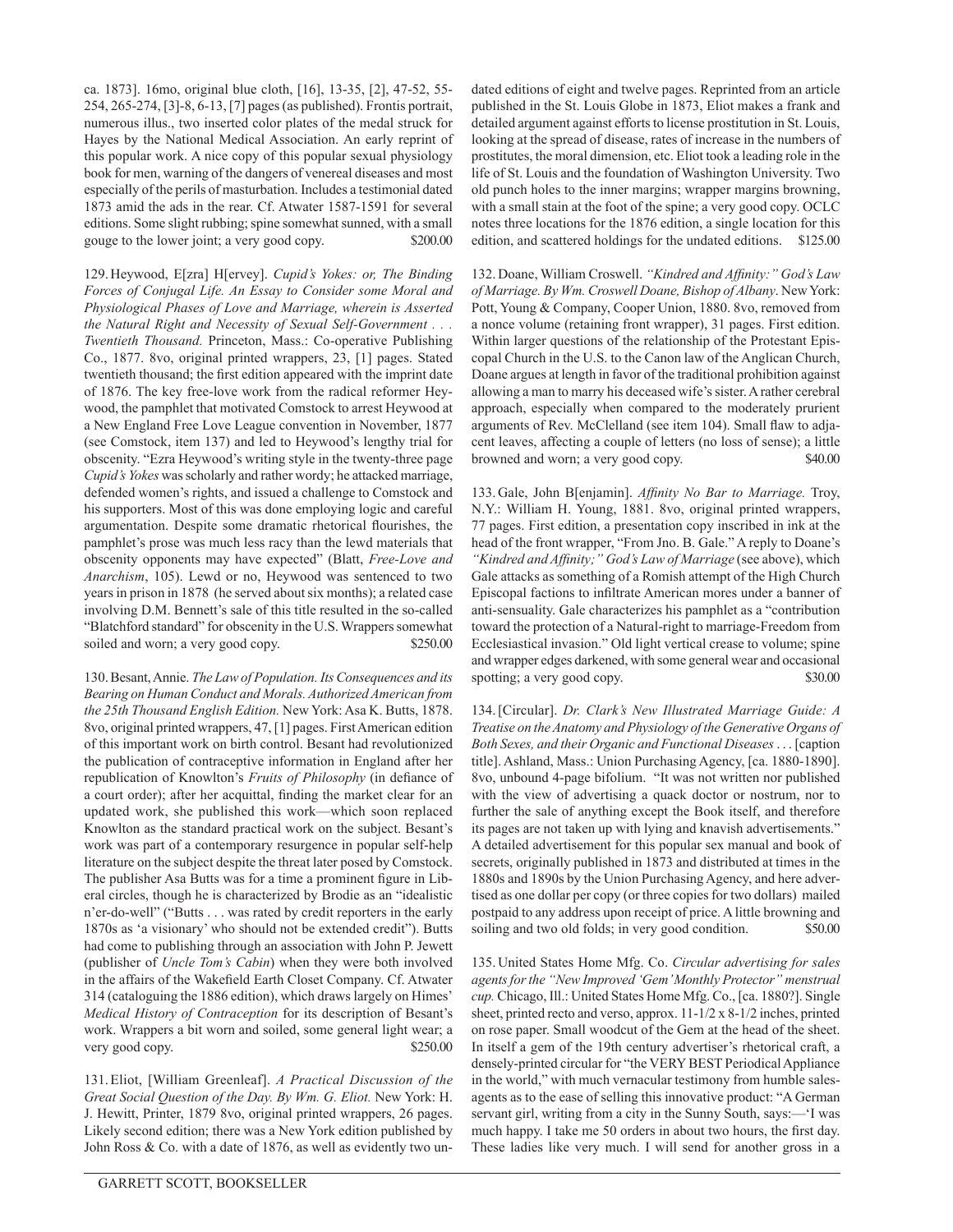ca. 1873]. 16mo, original blue cloth, [16], 13-35, [2], 47-52, 55- 254, 265-274, [3]-8, 6-13, [7] pages (as published). Frontis portrait, numerous illus., two inserted color plates of the medal struck for Hayes by the National Medical Association. An early reprint of this popular work. A nice copy of this popular sexual physiology book for men, warning of the dangers of venereal diseases and most especially of the perils of masturbation. Includes a testimonial dated 1873 amid the ads in the rear. Cf. Atwater 1587-1591 for several editions. Some slight rubbing; spine somewhat sunned, with a small gouge to the lower joint; a very good copy. \$200.00

129.Heywood, E[zra] H[ervey]. *Cupid's Yokes: or, The Binding Forces of Conjugal Life. An Essay to Consider some Moral and Physiological Phases of Love and Marriage, wherein is Asserted the Natural Right and Necessity of Sexual Self-Government . . . Twentieth Thousand.* Princeton, Mass.: Co-operative Publishing Co., 1877. 8vo, original printed wrappers, 23, [1] pages. Stated twentieth thousand; the first edition appeared with the imprint date of 1876. The key free-love work from the radical reformer Heywood, the pamphlet that motivated Comstock to arrest Heywood at a New England Free Love League convention in November, 1877 (see Comstock, item 137) and led to Heywood's lengthy trial for obscenity. "Ezra Heywood's writing style in the twenty-three page *Cupid's Yokes* was scholarly and rather wordy; he attacked marriage, defended women's rights, and issued a challenge to Comstock and his supporters. Most of this was done employing logic and careful argumentation. Despite some dramatic rhetorical flourishes, the pamphlet's prose was much less racy than the lewd materials that obscenity opponents may have expected" (Blatt, *Free-Love and Anarchism*, 105). Lewd or no, Heywood was sentenced to two years in prison in 1878 (he served about six months); a related case involving D.M. Bennett's sale of this title resulted in the so-called "Blatchford standard" for obscenity in the U.S. Wrappers somewhat soiled and worn; a very good copy. \$250.00

130.Besant, Annie. *The Law of Population. Its Consequences and its Bearing on Human Conduct and Morals. Authorized American from the 25th Thousand English Edition.* New York: Asa K. Butts, 1878. 8vo, original printed wrappers, 47, [1] pages. First American edition of this important work on birth control. Besant had revolutionized the publication of contraceptive information in England after her republication of Knowlton's *Fruits of Philosophy* (in defiance of a court order); after her acquittal, finding the market clear for an updated work, she published this work—which soon replaced Knowlton as the standard practical work on the subject. Besant's work was part of a contemporary resurgence in popular self-help literature on the subject despite the threat later posed by Comstock. The publisher Asa Butts was for a time a prominent figure in Liberal circles, though he is characterized by Brodie as an "idealistic n'er-do-well" ("Butts . . . was rated by credit reporters in the early 1870s as 'a visionary' who should not be extended credit"). Butts had come to publishing through an association with John P. Jewett (publisher of *Uncle Tom's Cabin*) when they were both involved in the affairs of the Wakefield Earth Closet Company. Cf. Atwater 314 (cataloguing the 1886 edition), which draws largely on Himes' *Medical History of Contraception* for its description of Besant's work. Wrappers a bit worn and soiled, some general light wear; a very good copy. \$250.00

131.Eliot, [William Greenleaf]. *A Practical Discussion of the Great Social Question of the Day. By Wm. G. Eliot.* New York: H. J. Hewitt, Printer, 1879 8vo, original printed wrappers, 26 pages. Likely second edition; there was a New York edition published by John Ross & Co. with a date of 1876, as well as evidently two un-

dated editions of eight and twelve pages. Reprinted from an article published in the St. Louis Globe in 1873, Eliot makes a frank and detailed argument against efforts to license prostitution in St. Louis, looking at the spread of disease, rates of increase in the numbers of prostitutes, the moral dimension, etc. Eliot took a leading role in the life of St. Louis and the foundation of Washington University. Two old punch holes to the inner margins; wrapper margins browning, with a small stain at the foot of the spine; a very good copy. OCLC notes three locations for the 1876 edition, a single location for this edition, and scattered holdings for the undated editions. \$125.00

132.Doane, William Croswell. *"Kindred and Affinity:" God's Law of Marriage. By Wm. Croswell Doane, Bishop of Albany*. New York: Pott, Young & Company, Cooper Union, 1880. 8vo, removed from a nonce volume (retaining front wrapper), 31 pages. First edition. Within larger questions of the relationship of the Protestant Episcopal Church in the U.S. to the Canon law of the Anglican Church, Doane argues at length in favor of the traditional prohibition against allowing a man to marry his deceased wife's sister. A rather cerebral approach, especially when compared to the moderately prurient arguments of Rev. McClelland (see item 104). Small flaw to adjacent leaves, affecting a couple of letters (no loss of sense); a little browned and worn; a very good copy. \$40.00

133.Gale, John B[enjamin]. *Affinity No Bar to Marriage.* Troy, N.Y.: William H. Young, 1881. 8vo, original printed wrappers, 77 pages. First edition, a presentation copy inscribed in ink at the head of the front wrapper, "From Jno. B. Gale." A reply to Doane's *"Kindred and Affinity;" God's Law of Marriage* (see above), which Gale attacks as something of a Romish attempt of the High Church Episcopal factions to infiltrate American mores under a banner of anti-sensuality. Gale characterizes his pamphlet as a "contribution toward the protection of a Natural-right to marriage-Freedom from Ecclesiastical invasion." Old light vertical crease to volume; spine and wrapper edges darkened, with some general wear and occasional spotting; a very good copy. \$30.00

134.[Circular]. *Dr. Clark's New Illustrated Marriage Guide: A Treatise on the Anatomy and Physiology of the Generative Organs of Both Sexes, and their Organic and Functional Diseases* . . . [caption title]. Ashland, Mass.: Union Purchasing Agency, [ca. 1880-1890]. 8vo, unbound 4-page bifolium. "It was not written nor published with the view of advertising a quack doctor or nostrum, nor to further the sale of anything except the Book itself, and therefore its pages are not taken up with lying and knavish advertisements." A detailed advertisement for this popular sex manual and book of secrets, originally published in 1873 and distributed at times in the 1880s and 1890s by the Union Purchasing Agency, and here advertised as one dollar per copy (or three copies for two dollars) mailed postpaid to any address upon receipt of price. A little browning and soiling and two old folds; in very good condition. \$50.00

135.United States Home Mfg. Co. *Circular advertising for sales agents for the "New Improved 'Gem' Monthly Protector" menstrual cup.* Chicago, Ill.: United States Home Mfg. Co., [ca. 1880?]. Single sheet, printed recto and verso, approx. 11-1/2 x 8-1/2 inches, printed on rose paper. Small woodcut of the Gem at the head of the sheet. In itself a gem of the 19th century advertiser's rhetorical craft, a densely-printed circular for "the VERY BEST Periodical Appliance in the world," with much vernacular testimony from humble salesagents as to the ease of selling this innovative product: "A German servant girl, writing from a city in the Sunny South, says:—'I was much happy. I take me 50 orders in about two hours, the first day. These ladies like very much. I will send for another gross in a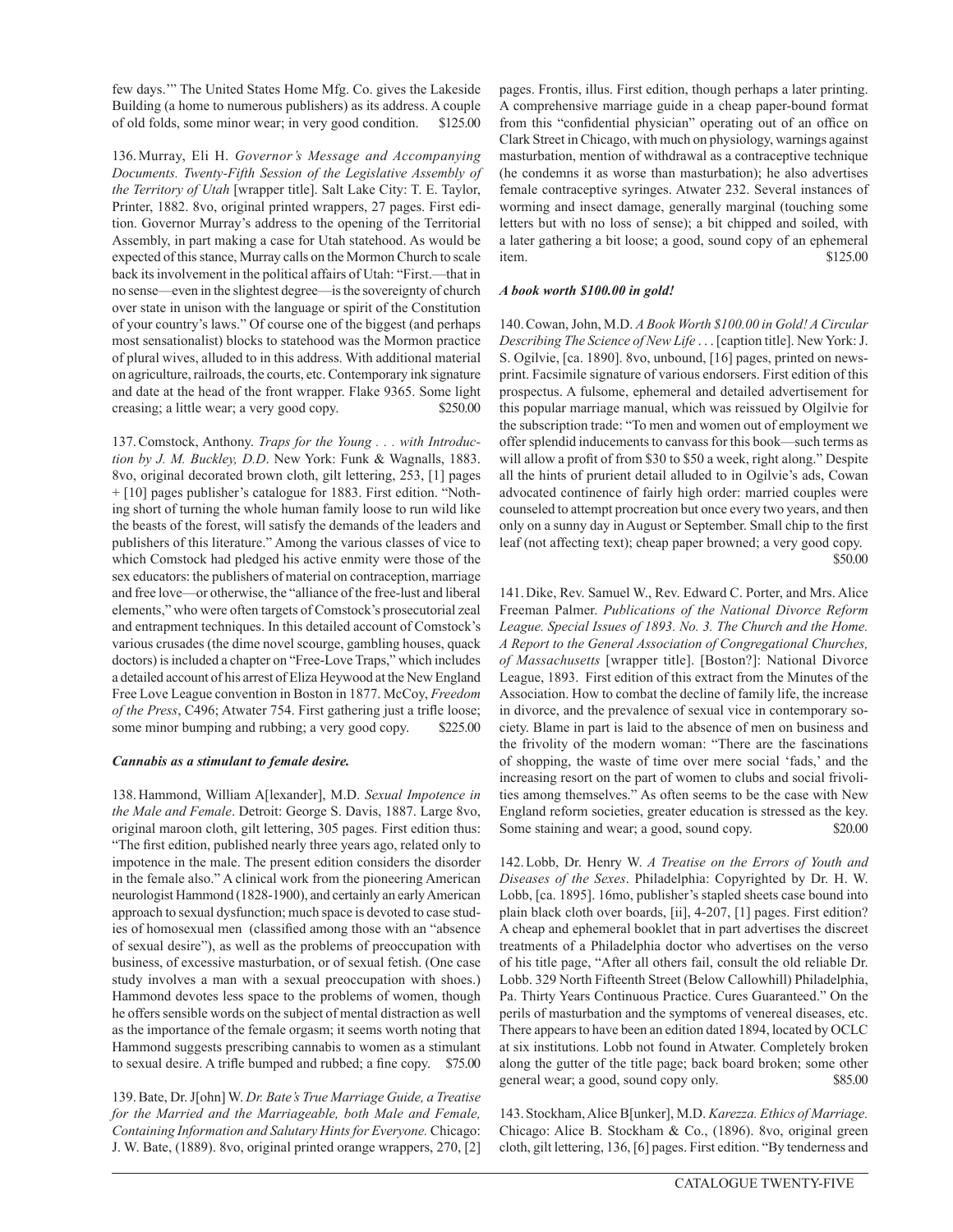few days.'" The United States Home Mfg. Co. gives the Lakeside Building (a home to numerous publishers) as its address. A couple of old folds, some minor wear; in very good condition. \$125.00

136.Murray, Eli H. *Governor's Message and Accompanying Documents. Twenty-Fifth Session of the Legislative Assembly of the Territory of Utah* [wrapper title]. Salt Lake City: T. E. Taylor, Printer, 1882. 8vo, original printed wrappers, 27 pages. First edition. Governor Murray's address to the opening of the Territorial Assembly, in part making a case for Utah statehood. As would be expected of this stance, Murray calls on the Mormon Church to scale back its involvement in the political affairs of Utah: "First.—that in no sense—even in the slightest degree—is the sovereignty of church over state in unison with the language or spirit of the Constitution of your country's laws." Of course one of the biggest (and perhaps most sensationalist) blocks to statehood was the Mormon practice of plural wives, alluded to in this address. With additional material on agriculture, railroads, the courts, etc. Contemporary ink signature and date at the head of the front wrapper. Flake 9365. Some light creasing; a little wear; a very good copy. \$250.00 creasing; a little wear; a very good copy.

137.Comstock, Anthony. *Traps for the Young . . . with Introduction by J. M. Buckley, D.D*. New York: Funk & Wagnalls, 1883. 8vo, original decorated brown cloth, gilt lettering, 253, [1] pages + [10] pages publisher's catalogue for 1883. First edition. "Nothing short of turning the whole human family loose to run wild like the beasts of the forest, will satisfy the demands of the leaders and publishers of this literature." Among the various classes of vice to which Comstock had pledged his active enmity were those of the sex educators: the publishers of material on contraception, marriage and free love—or otherwise, the "alliance of the free-lust and liberal elements," who were often targets of Comstock's prosecutorial zeal and entrapment techniques. In this detailed account of Comstock's various crusades (the dime novel scourge, gambling houses, quack doctors) is included a chapter on "Free-Love Traps," which includes a detailed account of his arrest of Eliza Heywood at the New England Free Love League convention in Boston in 1877. McCoy, *Freedom of the Press*, C496; Atwater 754. First gathering just a trifle loose; some minor bumping and rubbing; a very good copy. \$225.00

#### *Cannabis as a stimulant to female desire.*

138.Hammond, William A[lexander], M.D. *Sexual Impotence in the Male and Female*. Detroit: George S. Davis, 1887. Large 8vo, original maroon cloth, gilt lettering, 305 pages. First edition thus: "The first edition, published nearly three years ago, related only to impotence in the male. The present edition considers the disorder in the female also." A clinical work from the pioneering American neurologist Hammond (1828-1900), and certainly an early American approach to sexual dysfunction; much space is devoted to case studies of homosexual men (classified among those with an "absence of sexual desire"), as well as the problems of preoccupation with business, of excessive masturbation, or of sexual fetish. (One case study involves a man with a sexual preoccupation with shoes.) Hammond devotes less space to the problems of women, though he offers sensible words on the subject of mental distraction as well as the importance of the female orgasm; it seems worth noting that Hammond suggests prescribing cannabis to women as a stimulant to sexual desire. A trifle bumped and rubbed; a fine copy. \$75.00

139.Bate, Dr. J[ohn] W. *Dr. Bate's True Marriage Guide, a Treatise for the Married and the Marriageable, both Male and Female, Containing Information and Salutary Hints for Everyone.* Chicago: J. W. Bate, (1889). 8vo, original printed orange wrappers, 270, [2] pages. Frontis, illus. First edition, though perhaps a later printing. A comprehensive marriage guide in a cheap paper-bound format from this "confidential physician" operating out of an office on Clark Street in Chicago, with much on physiology, warnings against masturbation, mention of withdrawal as a contraceptive technique (he condemns it as worse than masturbation); he also advertises female contraceptive syringes. Atwater 232. Several instances of worming and insect damage, generally marginal (touching some letters but with no loss of sense); a bit chipped and soiled, with a later gathering a bit loose; a good, sound copy of an ephemeral item. \$125.00

## *A book worth \$100.00 in gold!*

140.Cowan, John, M.D. *A Book Worth \$100.00 in Gold! A Circular Describing The Science of New Life* . . . [caption title]. New York: J. S. Ogilvie, [ca. 1890]. 8vo, unbound, [16] pages, printed on newsprint. Facsimile signature of various endorsers. First edition of this prospectus. A fulsome, ephemeral and detailed advertisement for this popular marriage manual, which was reissued by Olgilvie for the subscription trade: "To men and women out of employment we offer splendid inducements to canvass for this book—such terms as will allow a profit of from \$30 to \$50 a week, right along." Despite all the hints of prurient detail alluded to in Ogilvie's ads, Cowan advocated continence of fairly high order: married couples were counseled to attempt procreation but once every two years, and then only on a sunny day in August or September. Small chip to the first leaf (not affecting text); cheap paper browned; a very good copy. \$50.00

141.Dike, Rev. Samuel W., Rev. Edward C. Porter, and Mrs. Alice Freeman Palmer. *Publications of the National Divorce Reform League. Special Issues of 1893. No. 3. The Church and the Home. A Report to the General Association of Congregational Churches, of Massachusetts* [wrapper title]. [Boston?]: National Divorce League, 1893. First edition of this extract from the Minutes of the Association. How to combat the decline of family life, the increase in divorce, and the prevalence of sexual vice in contemporary society. Blame in part is laid to the absence of men on business and the frivolity of the modern woman: "There are the fascinations of shopping, the waste of time over mere social 'fads,' and the increasing resort on the part of women to clubs and social frivolities among themselves." As often seems to be the case with New England reform societies, greater education is stressed as the key. Some staining and wear; a good, sound copy. \$20.00

142.Lobb, Dr. Henry W. *A Treatise on the Errors of Youth and Diseases of the Sexes*. Philadelphia: Copyrighted by Dr. H. W. Lobb, [ca. 1895]. 16mo, publisher's stapled sheets case bound into plain black cloth over boards, [ii], 4-207, [1] pages. First edition? A cheap and ephemeral booklet that in part advertises the discreet treatments of a Philadelphia doctor who advertises on the verso of his title page, "After all others fail, consult the old reliable Dr. Lobb. 329 North Fifteenth Street (Below Callowhill) Philadelphia, Pa. Thirty Years Continuous Practice. Cures Guaranteed." On the perils of masturbation and the symptoms of venereal diseases, etc. There appears to have been an edition dated 1894, located by OCLC at six institutions. Lobb not found in Atwater. Completely broken along the gutter of the title page; back board broken; some other general wear; a good, sound copy only.  $$85.00$ 

143.Stockham, Alice B[unker], M.D. *Karezza. Ethics of Marriage.* Chicago: Alice B. Stockham & Co., (1896). 8vo, original green cloth, gilt lettering, 136, [6] pages. First edition. "By tenderness and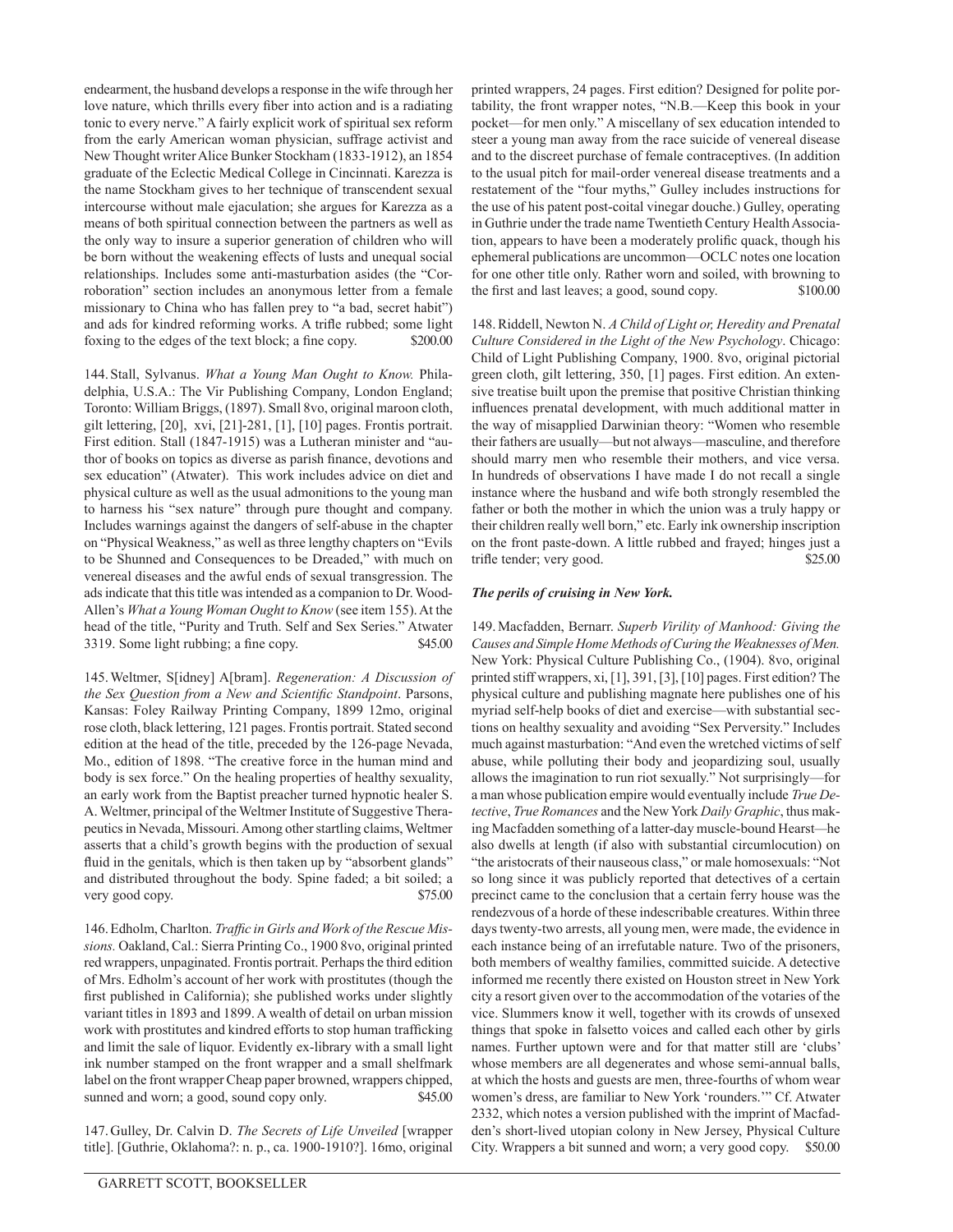endearment, the husband develops a response in the wife through her love nature, which thrills every fiber into action and is a radiating tonic to every nerve." A fairly explicit work of spiritual sex reform from the early American woman physician, suffrage activist and New Thought writer Alice Bunker Stockham (1833-1912), an 1854 graduate of the Eclectic Medical College in Cincinnati. Karezza is the name Stockham gives to her technique of transcendent sexual intercourse without male ejaculation; she argues for Karezza as a means of both spiritual connection between the partners as well as the only way to insure a superior generation of children who will be born without the weakening effects of lusts and unequal social relationships. Includes some anti-masturbation asides (the "Corroboration" section includes an anonymous letter from a female missionary to China who has fallen prey to "a bad, secret habit") and ads for kindred reforming works. A trifle rubbed; some light foxing to the edges of the text block; a fine copy. \$200.00

144.Stall, Sylvanus. *What a Young Man Ought to Know.* Philadelphia, U.S.A.: The Vir Publishing Company, London England; Toronto: William Briggs, (1897). Small 8vo, original maroon cloth, gilt lettering, [20], xvi, [21]-281, [1], [10] pages. Frontis portrait. First edition. Stall (1847-1915) was a Lutheran minister and "author of books on topics as diverse as parish finance, devotions and sex education" (Atwater). This work includes advice on diet and physical culture as well as the usual admonitions to the young man to harness his "sex nature" through pure thought and company. Includes warnings against the dangers of self-abuse in the chapter on "Physical Weakness," as well as three lengthy chapters on "Evils to be Shunned and Consequences to be Dreaded," with much on venereal diseases and the awful ends of sexual transgression. The ads indicate that this title was intended as a companion to Dr. Wood-Allen's *What a Young Woman Ought to Know* (see item 155). At the head of the title, "Purity and Truth. Self and Sex Series." Atwater 3319. Some light rubbing; a fine copy. \$45.00

145.Weltmer, S[idney] A[bram]. *Regeneration: A Discussion of the Sex Question from a New and Scientific Standpoint*. Parsons, Kansas: Foley Railway Printing Company, 1899 12mo, original rose cloth, black lettering, 121 pages. Frontis portrait. Stated second edition at the head of the title, preceded by the 126-page Nevada, Mo., edition of 1898. "The creative force in the human mind and body is sex force." On the healing properties of healthy sexuality, an early work from the Baptist preacher turned hypnotic healer S. A. Weltmer, principal of the Weltmer Institute of Suggestive Therapeutics in Nevada, Missouri. Among other startling claims, Weltmer asserts that a child's growth begins with the production of sexual fluid in the genitals, which is then taken up by "absorbent glands" and distributed throughout the body. Spine faded; a bit soiled; a very good copy. \$75.00

146.Edholm, Charlton. *Traffic in Girls and Work of the Rescue Missions.* Oakland, Cal.: Sierra Printing Co., 1900 8vo, original printed red wrappers, unpaginated. Frontis portrait. Perhaps the third edition of Mrs. Edholm's account of her work with prostitutes (though the first published in California); she published works under slightly variant titles in 1893 and 1899. A wealth of detail on urban mission work with prostitutes and kindred efforts to stop human trafficking and limit the sale of liquor. Evidently ex-library with a small light ink number stamped on the front wrapper and a small shelfmark label on the front wrapper Cheap paper browned, wrappers chipped, sunned and worn; a good, sound copy only. \$45.00

147.Gulley, Dr. Calvin D. *The Secrets of Life Unveiled* [wrapper title]. [Guthrie, Oklahoma?: n. p., ca. 1900-1910?]. 16mo, original

printed wrappers, 24 pages. First edition? Designed for polite portability, the front wrapper notes, "N.B.—Keep this book in your pocket—for men only." A miscellany of sex education intended to steer a young man away from the race suicide of venereal disease and to the discreet purchase of female contraceptives. (In addition to the usual pitch for mail-order venereal disease treatments and a restatement of the "four myths," Gulley includes instructions for the use of his patent post-coital vinegar douche.) Gulley, operating in Guthrie under the trade name Twentieth Century Health Association, appears to have been a moderately prolific quack, though his ephemeral publications are uncommon—OCLC notes one location for one other title only. Rather worn and soiled, with browning to the first and last leaves; a good, sound copy. \$100.00

148.Riddell, Newton N. *A Child of Light or, Heredity and Prenatal Culture Considered in the Light of the New Psychology*. Chicago: Child of Light Publishing Company, 1900. 8vo, original pictorial green cloth, gilt lettering, 350, [1] pages. First edition. An extensive treatise built upon the premise that positive Christian thinking influences prenatal development, with much additional matter in the way of misapplied Darwinian theory: "Women who resemble their fathers are usually—but not always—masculine, and therefore should marry men who resemble their mothers, and vice versa. In hundreds of observations I have made I do not recall a single instance where the husband and wife both strongly resembled the father or both the mother in which the union was a truly happy or their children really well born," etc. Early ink ownership inscription on the front paste-down. A little rubbed and frayed; hinges just a trifle tender; very good. \$25.00

# *The perils of cruising in New York.*

149.Macfadden, Bernarr. *Superb Virility of Manhood: Giving the Causes and Simple Home Methods of Curing the Weaknesses of Men.* New York: Physical Culture Publishing Co., (1904). 8vo, original printed stiff wrappers, xi, [1], 391, [3], [10] pages. First edition? The physical culture and publishing magnate here publishes one of his myriad self-help books of diet and exercise—with substantial sections on healthy sexuality and avoiding "Sex Perversity." Includes much against masturbation: "And even the wretched victims of self abuse, while polluting their body and jeopardizing soul, usually allows the imagination to run riot sexually." Not surprisingly—for a man whose publication empire would eventually include *True Detective*, *True Romances* and the New York *Daily Graphic*, thus making Macfadden something of a latter-day muscle-bound Hearst*—*he also dwells at length (if also with substantial circumlocution) on "the aristocrats of their nauseous class," or male homosexuals: "Not so long since it was publicly reported that detectives of a certain precinct came to the conclusion that a certain ferry house was the rendezvous of a horde of these indescribable creatures. Within three days twenty-two arrests, all young men, were made, the evidence in each instance being of an irrefutable nature. Two of the prisoners, both members of wealthy families, committed suicide. A detective informed me recently there existed on Houston street in New York city a resort given over to the accommodation of the votaries of the vice. Slummers know it well, together with its crowds of unsexed things that spoke in falsetto voices and called each other by girls names. Further uptown were and for that matter still are 'clubs' whose members are all degenerates and whose semi-annual balls, at which the hosts and guests are men, three-fourths of whom wear women's dress, are familiar to New York 'rounders.'" Cf. Atwater 2332, which notes a version published with the imprint of Macfadden's short-lived utopian colony in New Jersey, Physical Culture City. Wrappers a bit sunned and worn; a very good copy. \$50.00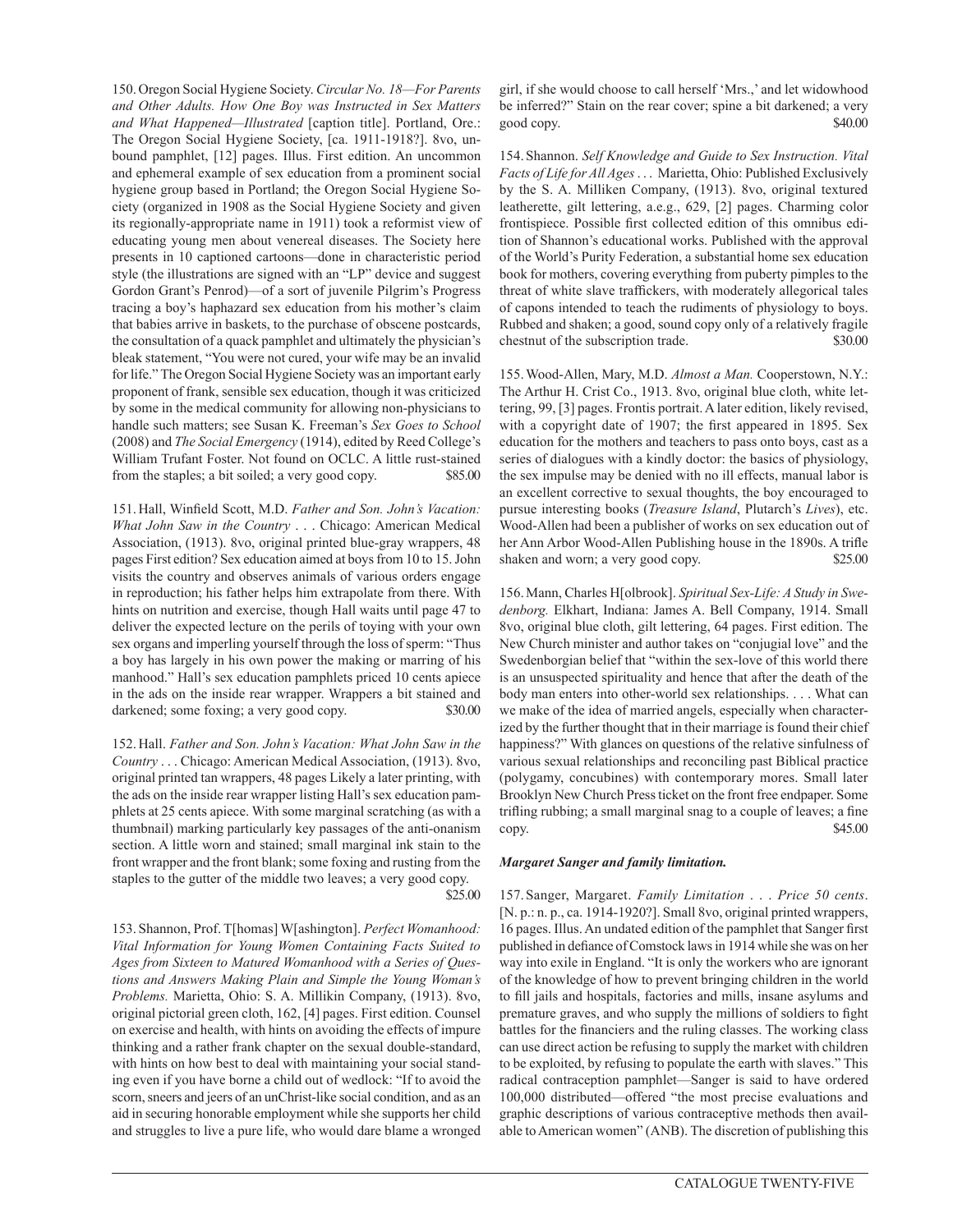150.Oregon Social Hygiene Society. *Circular No. 18—For Parents and Other Adults. How One Boy was Instructed in Sex Matters and What Happened—Illustrated* [caption title]. Portland, Ore.: The Oregon Social Hygiene Society, [ca. 1911-1918?]. 8vo, unbound pamphlet, [12] pages. Illus. First edition. An uncommon and ephemeral example of sex education from a prominent social hygiene group based in Portland; the Oregon Social Hygiene Society (organized in 1908 as the Social Hygiene Society and given its regionally-appropriate name in 1911) took a reformist view of educating young men about venereal diseases. The Society here presents in 10 captioned cartoons—done in characteristic period style (the illustrations are signed with an "LP" device and suggest Gordon Grant's Penrod)—of a sort of juvenile Pilgrim's Progress tracing a boy's haphazard sex education from his mother's claim that babies arrive in baskets, to the purchase of obscene postcards, the consultation of a quack pamphlet and ultimately the physician's bleak statement, "You were not cured, your wife may be an invalid for life." The Oregon Social Hygiene Society was an important early proponent of frank, sensible sex education, though it was criticized by some in the medical community for allowing non-physicians to handle such matters; see Susan K. Freeman's *Sex Goes to School* (2008) and *The Social Emergency* (1914), edited by Reed College's William Trufant Foster. Not found on OCLC. A little rust-stained from the staples; a bit soiled; a very good copy. \$85.00

151.Hall, Winfield Scott, M.D. *Father and Son. John's Vacation: What John Saw in the Country* . . . Chicago: American Medical Association, (1913). 8vo, original printed blue-gray wrappers, 48 pages First edition? Sex education aimed at boys from 10 to 15. John visits the country and observes animals of various orders engage in reproduction; his father helps him extrapolate from there. With hints on nutrition and exercise, though Hall waits until page 47 to deliver the expected lecture on the perils of toying with your own sex organs and imperling yourself through the loss of sperm: "Thus a boy has largely in his own power the making or marring of his manhood." Hall's sex education pamphlets priced 10 cents apiece in the ads on the inside rear wrapper. Wrappers a bit stained and darkened; some foxing; a very good copy. \$30.00

152.Hall. *Father and Son. John's Vacation: What John Saw in the Country* . . . Chicago: American Medical Association, (1913). 8vo, original printed tan wrappers, 48 pages Likely a later printing, with the ads on the inside rear wrapper listing Hall's sex education pamphlets at 25 cents apiece. With some marginal scratching (as with a thumbnail) marking particularly key passages of the anti-onanism section. A little worn and stained; small marginal ink stain to the front wrapper and the front blank; some foxing and rusting from the staples to the gutter of the middle two leaves; a very good copy.

\$25.00

153.Shannon, Prof. T[homas] W[ashington]. *Perfect Womanhood: Vital Information for Young Women Containing Facts Suited to Ages from Sixteen to Matured Womanhood with a Series of Questions and Answers Making Plain and Simple the Young Woman's Problems.* Marietta, Ohio: S. A. Millikin Company, (1913). 8vo, original pictorial green cloth, 162, [4] pages. First edition. Counsel on exercise and health, with hints on avoiding the effects of impure thinking and a rather frank chapter on the sexual double-standard, with hints on how best to deal with maintaining your social standing even if you have borne a child out of wedlock: "If to avoid the scorn, sneers and jeers of an unChrist-like social condition, and as an aid in securing honorable employment while she supports her child and struggles to live a pure life, who would dare blame a wronged

girl, if she would choose to call herself 'Mrs.,' and let widowhood be inferred?" Stain on the rear cover; spine a bit darkened; a very  $\text{good copy.}$  \$40.00

154.Shannon. *Self Knowledge and Guide to Sex Instruction. Vital Facts of Life for All Ages* . . . Marietta, Ohio: Published Exclusively by the S. A. Milliken Company, (1913). 8vo, original textured leatherette, gilt lettering, a.e.g., 629, [2] pages. Charming color frontispiece. Possible first collected edition of this omnibus edition of Shannon's educational works. Published with the approval of the World's Purity Federation, a substantial home sex education book for mothers, covering everything from puberty pimples to the threat of white slave traffickers, with moderately allegorical tales of capons intended to teach the rudiments of physiology to boys. Rubbed and shaken; a good, sound copy only of a relatively fragile chestnut of the subscription trade.  $$30.00$ 

155.Wood-Allen, Mary, M.D. *Almost a Man.* Cooperstown, N.Y.: The Arthur H. Crist Co., 1913. 8vo, original blue cloth, white lettering, 99, [3] pages. Frontis portrait. A later edition, likely revised, with a copyright date of 1907; the first appeared in 1895. Sex education for the mothers and teachers to pass onto boys, cast as a series of dialogues with a kindly doctor: the basics of physiology, the sex impulse may be denied with no ill effects, manual labor is an excellent corrective to sexual thoughts, the boy encouraged to pursue interesting books (*Treasure Island*, Plutarch's *Lives*), etc. Wood-Allen had been a publisher of works on sex education out of her Ann Arbor Wood-Allen Publishing house in the 1890s. A trifle shaken and worn; a very good copy.  $$25.00$ 

156.Mann, Charles H[olbrook]. *Spiritual Sex-Life: A Study in Swedenborg.* Elkhart, Indiana: James A. Bell Company, 1914. Small 8vo, original blue cloth, gilt lettering, 64 pages. First edition. The New Church minister and author takes on "conjugial love" and the Swedenborgian belief that "within the sex-love of this world there is an unsuspected spirituality and hence that after the death of the body man enters into other-world sex relationships. . . . What can we make of the idea of married angels, especially when characterized by the further thought that in their marriage is found their chief happiness?" With glances on questions of the relative sinfulness of various sexual relationships and reconciling past Biblical practice (polygamy, concubines) with contemporary mores. Small later Brooklyn New Church Press ticket on the front free endpaper. Some trifling rubbing; a small marginal snag to a couple of leaves; a fine  $\omega$  sample. See S45.00

## *Margaret Sanger and family limitation.*

157.Sanger, Margaret. *Family Limitation* . . . *Price 50 cents*. [N. p.: n. p., ca. 1914-1920?]. Small 8vo, original printed wrappers, 16 pages. Illus. An undated edition of the pamphlet that Sanger first published in defiance of Comstock laws in 1914 while she was on her way into exile in England. "It is only the workers who are ignorant of the knowledge of how to prevent bringing children in the world to fill jails and hospitals, factories and mills, insane asylums and premature graves, and who supply the millions of soldiers to fight battles for the financiers and the ruling classes. The working class can use direct action be refusing to supply the market with children to be exploited, by refusing to populate the earth with slaves." This radical contraception pamphlet—Sanger is said to have ordered 100,000 distributed—offered "the most precise evaluations and graphic descriptions of various contraceptive methods then available to American women" (ANB). The discretion of publishing this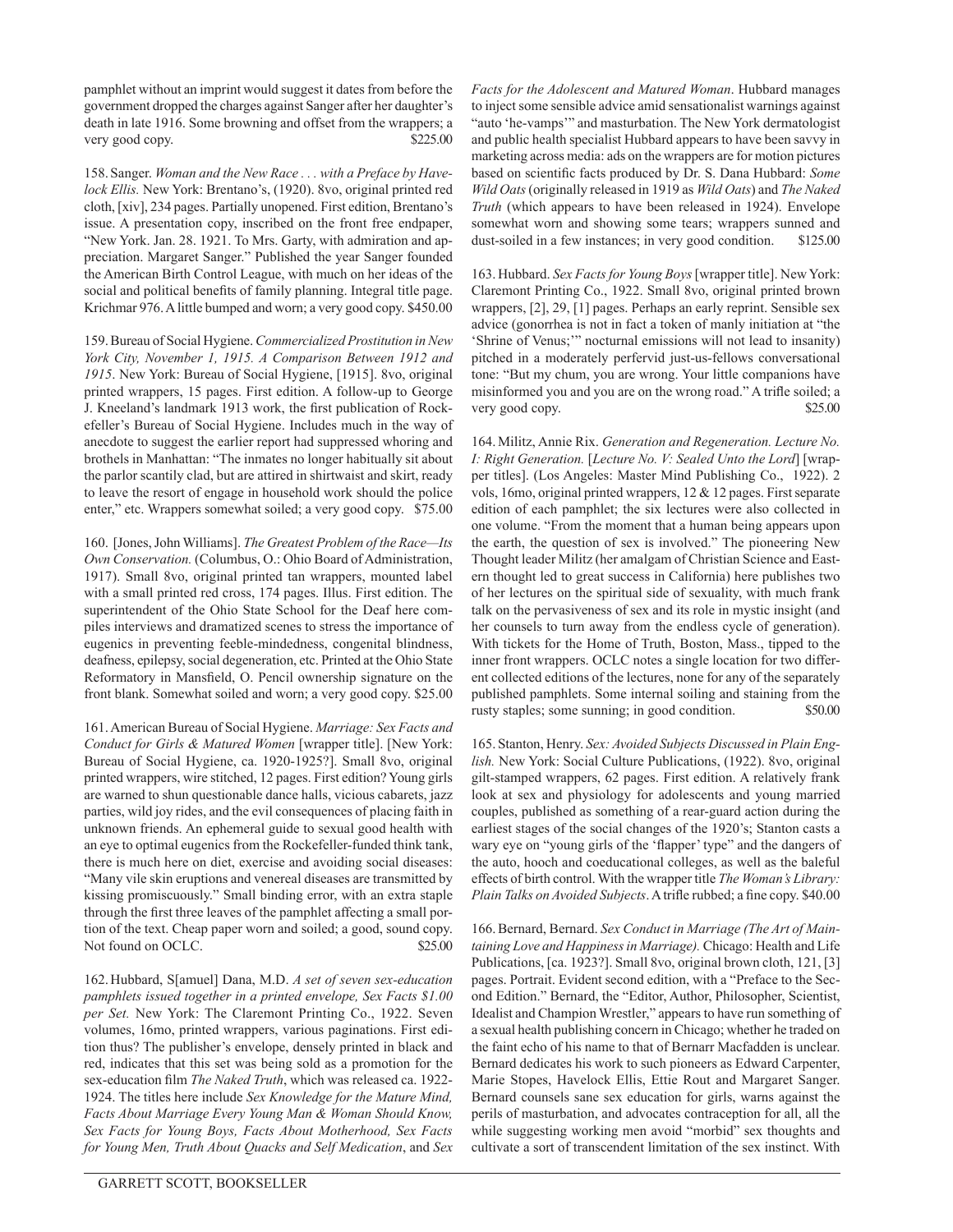pamphlet without an imprint would suggest it dates from before the government dropped the charges against Sanger after her daughter's death in late 1916. Some browning and offset from the wrappers; a very good copy. \$225.00

158.Sanger. *Woman and the New Race . . . with a Preface by Havelock Ellis.* New York: Brentano's, (1920). 8vo, original printed red cloth, [xiv], 234 pages. Partially unopened. First edition, Brentano's issue. A presentation copy, inscribed on the front free endpaper, "New York. Jan. 28. 1921. To Mrs. Garty, with admiration and appreciation. Margaret Sanger." Published the year Sanger founded the American Birth Control League, with much on her ideas of the social and political benefits of family planning. Integral title page. Krichmar 976. A little bumped and worn; a very good copy. \$450.00

159.Bureau of Social Hygiene. *Commercialized Prostitution in New York City, November 1, 1915. A Comparison Between 1912 and 1915*. New York: Bureau of Social Hygiene, [1915]. 8vo, original printed wrappers, 15 pages. First edition. A follow-up to George J. Kneeland's landmark 1913 work, the first publication of Rockefeller's Bureau of Social Hygiene. Includes much in the way of anecdote to suggest the earlier report had suppressed whoring and brothels in Manhattan: "The inmates no longer habitually sit about the parlor scantily clad, but are attired in shirtwaist and skirt, ready to leave the resort of engage in household work should the police enter," etc. Wrappers somewhat soiled; a very good copy. \$75.00

160. [Jones, John Williams]. *The Greatest Problem of the Race—Its Own Conservation.* (Columbus, O.: Ohio Board of Administration, 1917). Small 8vo, original printed tan wrappers, mounted label with a small printed red cross, 174 pages. Illus. First edition. The superintendent of the Ohio State School for the Deaf here compiles interviews and dramatized scenes to stress the importance of eugenics in preventing feeble-mindedness, congenital blindness, deafness, epilepsy, social degeneration, etc. Printed at the Ohio State Reformatory in Mansfield, O. Pencil ownership signature on the front blank. Somewhat soiled and worn; a very good copy. \$25.00

161.American Bureau of Social Hygiene. *Marriage: Sex Facts and Conduct for Girls & Matured Women* [wrapper title]. [New York: Bureau of Social Hygiene, ca. 1920-1925?]. Small 8vo, original printed wrappers, wire stitched, 12 pages. First edition? Young girls are warned to shun questionable dance halls, vicious cabarets, jazz parties, wild joy rides, and the evil consequences of placing faith in unknown friends. An ephemeral guide to sexual good health with an eye to optimal eugenics from the Rockefeller-funded think tank, there is much here on diet, exercise and avoiding social diseases: "Many vile skin eruptions and venereal diseases are transmitted by kissing promiscuously." Small binding error, with an extra staple through the first three leaves of the pamphlet affecting a small portion of the text. Cheap paper worn and soiled; a good, sound copy. Not found on OCLC. \$25.00

162.Hubbard, S[amuel] Dana, M.D. *A set of seven sex-education pamphlets issued together in a printed envelope, Sex Facts \$1.00 per Set.* New York: The Claremont Printing Co., 1922. Seven volumes, 16mo, printed wrappers, various paginations. First edition thus? The publisher's envelope, densely printed in black and red, indicates that this set was being sold as a promotion for the sex-education film *The Naked Truth*, which was released ca. 1922- 1924. The titles here include *Sex Knowledge for the Mature Mind, Facts About Marriage Every Young Man & Woman Should Know, Sex Facts for Young Boys, Facts About Motherhood, Sex Facts for Young Men, Truth About Quacks and Self Medication*, and *Sex*  *Facts for the Adolescent and Matured Woman*. Hubbard manages to inject some sensible advice amid sensationalist warnings against "auto 'he-vamps'" and masturbation. The New York dermatologist and public health specialist Hubbard appears to have been savvy in marketing across media: ads on the wrappers are for motion pictures based on scientific facts produced by Dr. S. Dana Hubbard: *Some Wild Oats* (originally released in 1919 as *Wild Oats*) and *The Naked Truth* (which appears to have been released in 1924). Envelope somewhat worn and showing some tears; wrappers sunned and dust-soiled in a few instances; in very good condition. \$125.00

163.Hubbard. *Sex Facts for Young Boys* [wrapper title]. New York: Claremont Printing Co., 1922. Small 8vo, original printed brown wrappers, [2], 29, [1] pages. Perhaps an early reprint. Sensible sex advice (gonorrhea is not in fact a token of manly initiation at "the 'Shrine of Venus;'" nocturnal emissions will not lead to insanity) pitched in a moderately perfervid just-us-fellows conversational tone: "But my chum, you are wrong. Your little companions have misinformed you and you are on the wrong road." A trifle soiled; a very good copy.  $$25.00$ 

164.Militz, Annie Rix. *Generation and Regeneration. Lecture No. I: Right Generation.* [*Lecture No. V: Sealed Unto the Lord*] [wrapper titles]. (Los Angeles: Master Mind Publishing Co., 1922). 2 vols, 16mo, original printed wrappers, 12 & 12 pages. First separate edition of each pamphlet; the six lectures were also collected in one volume. "From the moment that a human being appears upon the earth, the question of sex is involved." The pioneering New Thought leader Militz (her amalgam of Christian Science and Eastern thought led to great success in California) here publishes two of her lectures on the spiritual side of sexuality, with much frank talk on the pervasiveness of sex and its role in mystic insight (and her counsels to turn away from the endless cycle of generation). With tickets for the Home of Truth, Boston, Mass., tipped to the inner front wrappers. OCLC notes a single location for two different collected editions of the lectures, none for any of the separately published pamphlets. Some internal soiling and staining from the rusty staples; some sunning; in good condition. \$50.00

165.Stanton, Henry. *Sex: Avoided Subjects Discussed in Plain English.* New York: Social Culture Publications, (1922). 8vo, original gilt-stamped wrappers, 62 pages. First edition. A relatively frank look at sex and physiology for adolescents and young married couples, published as something of a rear-guard action during the earliest stages of the social changes of the 1920's; Stanton casts a wary eye on "young girls of the 'flapper' type" and the dangers of the auto, hooch and coeducational colleges, as well as the baleful effects of birth control. With the wrapper title *The Woman's Library: Plain Talks on Avoided Subjects*. A trifle rubbed; a fine copy. \$40.00

166.Bernard, Bernard. *Sex Conduct in Marriage (The Art of Maintaining Love and Happiness in Marriage).* Chicago: Health and Life Publications, [ca. 1923?]. Small 8vo, original brown cloth, 121, [3] pages. Portrait. Evident second edition, with a "Preface to the Second Edition." Bernard, the "Editor, Author, Philosopher, Scientist, Idealist and Champion Wrestler," appears to have run something of a sexual health publishing concern in Chicago; whether he traded on the faint echo of his name to that of Bernarr Macfadden is unclear. Bernard dedicates his work to such pioneers as Edward Carpenter, Marie Stopes, Havelock Ellis, Ettie Rout and Margaret Sanger. Bernard counsels sane sex education for girls, warns against the perils of masturbation, and advocates contraception for all, all the while suggesting working men avoid "morbid" sex thoughts and cultivate a sort of transcendent limitation of the sex instinct. With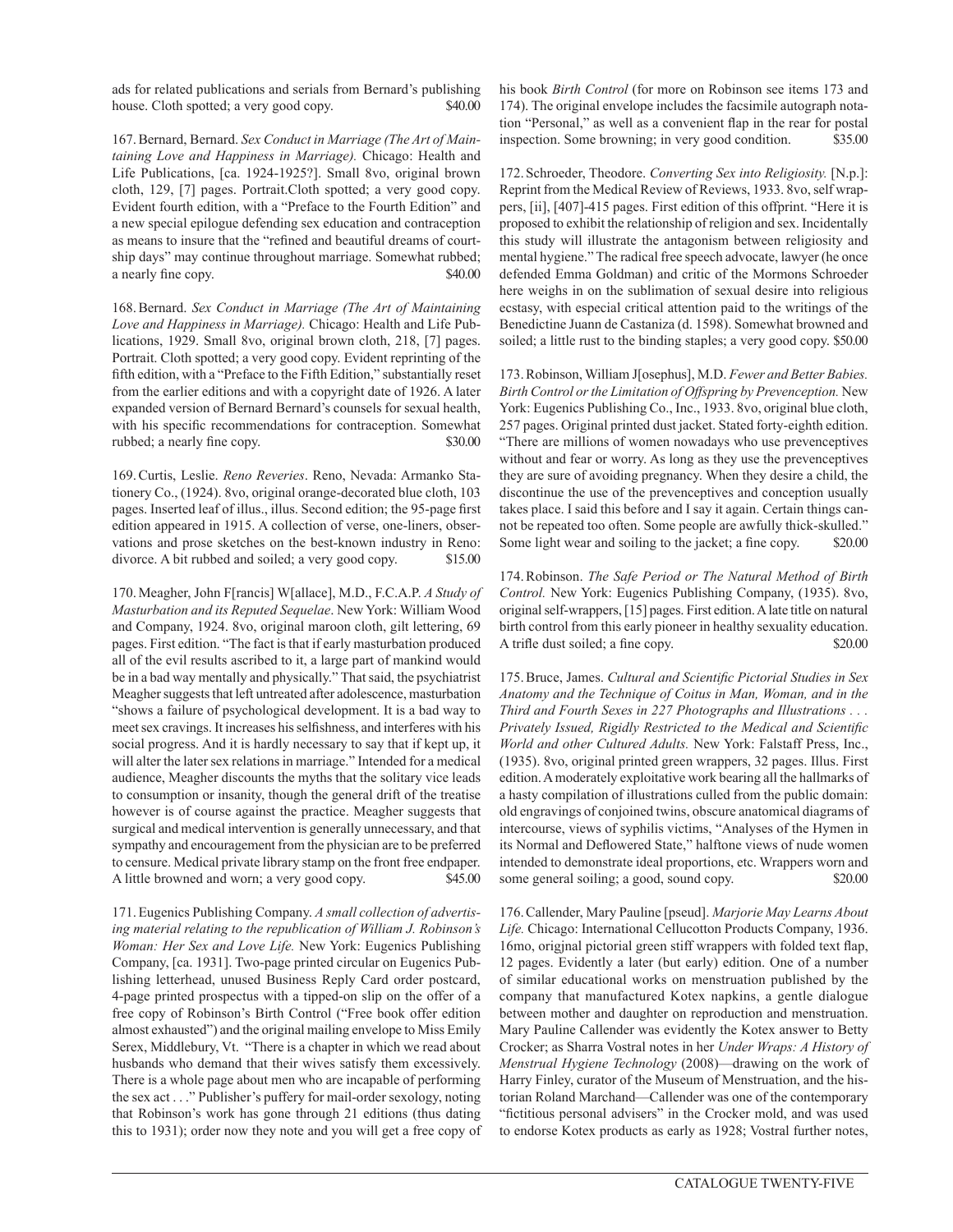ads for related publications and serials from Bernard's publishing house. Cloth spotted; a very good copy. \$40.00

167.Bernard, Bernard. *Sex Conduct in Marriage (The Art of Maintaining Love and Happiness in Marriage).* Chicago: Health and Life Publications, [ca. 1924-1925?]. Small 8vo, original brown cloth, 129, [7] pages. Portrait.Cloth spotted; a very good copy. Evident fourth edition, with a "Preface to the Fourth Edition" and a new special epilogue defending sex education and contraception as means to insure that the "refined and beautiful dreams of courtship days" may continue throughout marriage. Somewhat rubbed; a nearly fine copy. \$40.00

168.Bernard. *Sex Conduct in Marriage (The Art of Maintaining Love and Happiness in Marriage).* Chicago: Health and Life Publications, 1929. Small 8vo, original brown cloth, 218, [7] pages. Portrait. Cloth spotted; a very good copy. Evident reprinting of the fifth edition, with a "Preface to the Fifth Edition," substantially reset from the earlier editions and with a copyright date of 1926. A later expanded version of Bernard Bernard's counsels for sexual health, with his specific recommendations for contraception. Somewhat rubbed; a nearly fine copy. \$30.00

169.Curtis, Leslie. *Reno Reveries*. Reno, Nevada: Armanko Stationery Co., (1924). 8vo, original orange-decorated blue cloth, 103 pages. Inserted leaf of illus., illus. Second edition; the 95-page first edition appeared in 1915. A collection of verse, one-liners, observations and prose sketches on the best-known industry in Reno: divorce. A bit rubbed and soiled; a very good copy. \$15.00

170.Meagher, John F[rancis] W[allace], M.D., F.C.A.P. *A Study of Masturbation and its Reputed Sequelae*. New York: William Wood and Company, 1924. 8vo, original maroon cloth, gilt lettering, 69 pages. First edition. "The fact is that if early masturbation produced all of the evil results ascribed to it, a large part of mankind would be in a bad way mentally and physically." That said, the psychiatrist Meagher suggests that left untreated after adolescence, masturbation "shows a failure of psychological development. It is a bad way to meet sex cravings. It increases his selfishness, and interferes with his social progress. And it is hardly necessary to say that if kept up, it will alter the later sex relations in marriage." Intended for a medical audience, Meagher discounts the myths that the solitary vice leads to consumption or insanity, though the general drift of the treatise however is of course against the practice. Meagher suggests that surgical and medical intervention is generally unnecessary, and that sympathy and encouragement from the physician are to be preferred to censure. Medical private library stamp on the front free endpaper. A little browned and worn; a very good copy. \$45.00

171.Eugenics Publishing Company. *A small collection of advertising material relating to the republication of William J. Robinson's Woman: Her Sex and Love Life.* New York: Eugenics Publishing Company, [ca. 1931]. Two-page printed circular on Eugenics Publishing letterhead, unused Business Reply Card order postcard, 4-page printed prospectus with a tipped-on slip on the offer of a free copy of Robinson's Birth Control ("Free book offer edition almost exhausted") and the original mailing envelope to Miss Emily Serex, Middlebury, Vt. "There is a chapter in which we read about husbands who demand that their wives satisfy them excessively. There is a whole page about men who are incapable of performing the sex act . . ." Publisher's puffery for mail-order sexology, noting that Robinson's work has gone through 21 editions (thus dating this to 1931); order now they note and you will get a free copy of his book *Birth Control* (for more on Robinson see items 173 and 174). The original envelope includes the facsimile autograph notation "Personal," as well as a convenient flap in the rear for postal inspection. Some browning; in very good condition. \$35.00

172.Schroeder, Theodore. *Converting Sex into Religiosity.* [N.p.]: Reprint from the Medical Review of Reviews, 1933. 8vo, self wrappers, [ii], [407]-415 pages. First edition of this offprint. "Here it is proposed to exhibit the relationship of religion and sex. Incidentally this study will illustrate the antagonism between religiosity and mental hygiene." The radical free speech advocate, lawyer (he once defended Emma Goldman) and critic of the Mormons Schroeder here weighs in on the sublimation of sexual desire into religious ecstasy, with especial critical attention paid to the writings of the Benedictine Juann de Castaniza (d. 1598). Somewhat browned and soiled; a little rust to the binding staples; a very good copy. \$50.00

173.Robinson, William J[osephus], M.D. *Fewer and Better Babies. Birth Control or the Limitation of Offspring by Prevenception.* New York: Eugenics Publishing Co., Inc., 1933. 8vo, original blue cloth, 257 pages. Original printed dust jacket. Stated forty-eighth edition. "There are millions of women nowadays who use prevenceptives without and fear or worry. As long as they use the prevenceptives they are sure of avoiding pregnancy. When they desire a child, the discontinue the use of the prevenceptives and conception usually takes place. I said this before and I say it again. Certain things cannot be repeated too often. Some people are awfully thick-skulled." Some light wear and soiling to the jacket; a fine copy. \$20.00

174.Robinson. *The Safe Period or The Natural Method of Birth Control.* New York: Eugenics Publishing Company, (1935). 8vo, original self-wrappers, [15] pages. First edition. A late title on natural birth control from this early pioneer in healthy sexuality education. A trifle dust soiled; a fine copy. \$20.00

175.Bruce, James. *Cultural and Scientific Pictorial Studies in Sex Anatomy and the Technique of Coitus in Man, Woman, and in the Third and Fourth Sexes in 227 Photographs and Illustrations . . . Privately Issued, Rigidly Restricted to the Medical and Scientific World and other Cultured Adults.* New York: Falstaff Press, Inc., (1935). 8vo, original printed green wrappers, 32 pages. Illus. First edition. A moderately exploitative work bearing all the hallmarks of a hasty compilation of illustrations culled from the public domain: old engravings of conjoined twins, obscure anatomical diagrams of intercourse, views of syphilis victims, "Analyses of the Hymen in its Normal and Deflowered State," halftone views of nude women intended to demonstrate ideal proportions, etc. Wrappers worn and some general soiling; a good, sound copy. \$20.00

176.Callender, Mary Pauline [pseud]. *Marjorie May Learns About Life.* Chicago: International Cellucotton Products Company, 1936. 16mo, origjnal pictorial green stiff wrappers with folded text flap, 12 pages. Evidently a later (but early) edition. One of a number of similar educational works on menstruation published by the company that manufactured Kotex napkins, a gentle dialogue between mother and daughter on reproduction and menstruation. Mary Pauline Callender was evidently the Kotex answer to Betty Crocker; as Sharra Vostral notes in her *Under Wraps: A History of Menstrual Hygiene Technology* (2008)—drawing on the work of Harry Finley, curator of the Museum of Menstruation, and the historian Roland Marchand—Callender was one of the contemporary "fictitious personal advisers" in the Crocker mold, and was used to endorse Kotex products as early as 1928; Vostral further notes,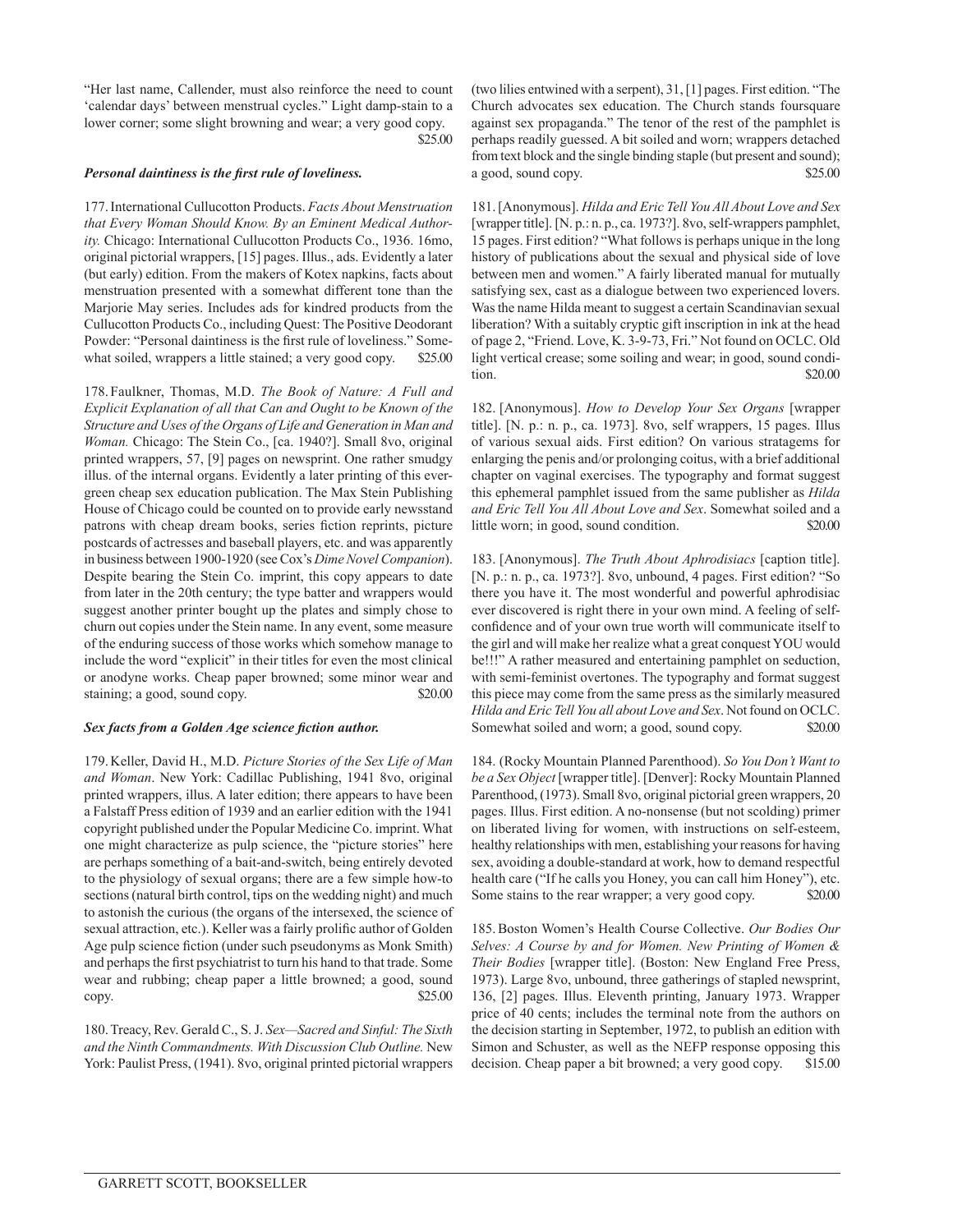"Her last name, Callender, must also reinforce the need to count 'calendar days' between menstrual cycles." Light damp-stain to a lower corner; some slight browning and wear; a very good copy. \$25.00

#### *Personal daintiness is the first rule of loveliness.*

177.International Cullucotton Products. *Facts About Menstruation that Every Woman Should Know. By an Eminent Medical Authority.* Chicago: International Cullucotton Products Co., 1936. 16mo, original pictorial wrappers, [15] pages. Illus., ads. Evidently a later (but early) edition. From the makers of Kotex napkins, facts about menstruation presented with a somewhat different tone than the Marjorie May series. Includes ads for kindred products from the Cullucotton Products Co., including Quest: The Positive Deodorant Powder: "Personal daintiness is the first rule of loveliness." Somewhat soiled, wrappers a little stained; a very good copy. \$25.00

178.Faulkner, Thomas, M.D. *The Book of Nature: A Full and Explicit Explanation of all that Can and Ought to be Known of the Structure and Uses of the Organs of Life and Generation in Man and Woman.* Chicago: The Stein Co., [ca. 1940?]. Small 8vo, original printed wrappers, 57, [9] pages on newsprint. One rather smudgy illus. of the internal organs. Evidently a later printing of this evergreen cheap sex education publication. The Max Stein Publishing House of Chicago could be counted on to provide early newsstand patrons with cheap dream books, series fiction reprints, picture postcards of actresses and baseball players, etc. and was apparently in business between 1900-1920 (see Cox's *Dime Novel Companion*). Despite bearing the Stein Co. imprint, this copy appears to date from later in the 20th century; the type batter and wrappers would suggest another printer bought up the plates and simply chose to churn out copies under the Stein name. In any event, some measure of the enduring success of those works which somehow manage to include the word "explicit" in their titles for even the most clinical or anodyne works. Cheap paper browned; some minor wear and staining; a good, sound copy. \$20.00

#### *Sex facts from a Golden Age science fiction author.*

179.Keller, David H., M.D. *Picture Stories of the Sex Life of Man and Woman*. New York: Cadillac Publishing, 1941 8vo, original printed wrappers, illus. A later edition; there appears to have been a Falstaff Press edition of 1939 and an earlier edition with the 1941 copyright published under the Popular Medicine Co. imprint. What one might characterize as pulp science, the "picture stories" here are perhaps something of a bait-and-switch, being entirely devoted to the physiology of sexual organs; there are a few simple how-to sections (natural birth control, tips on the wedding night) and much to astonish the curious (the organs of the intersexed, the science of sexual attraction, etc.). Keller was a fairly prolific author of Golden Age pulp science fiction (under such pseudonyms as Monk Smith) and perhaps the first psychiatrist to turn his hand to that trade. Some wear and rubbing; cheap paper a little browned; a good, sound  $\text{copy.}$  \$25.00

180.Treacy, Rev. Gerald C., S. J. *Sex—Sacred and Sinful: The Sixth and the Ninth Commandments. With Discussion Club Outline.* New York: Paulist Press, (1941). 8vo, original printed pictorial wrappers

(two lilies entwined with a serpent), 31, [1] pages. First edition. "The Church advocates sex education. The Church stands foursquare against sex propaganda." The tenor of the rest of the pamphlet is perhaps readily guessed. A bit soiled and worn; wrappers detached from text block and the single binding staple (but present and sound); a good, sound copy.  $$25.00$ 

181.[Anonymous]. *Hilda and Eric Tell You All About Love and Sex* [wrapper title]. [N. p.: n. p., ca. 1973?]. 8vo, self-wrappers pamphlet, 15 pages. First edition? "What follows is perhaps unique in the long history of publications about the sexual and physical side of love between men and women." A fairly liberated manual for mutually satisfying sex, cast as a dialogue between two experienced lovers. Was the name Hilda meant to suggest a certain Scandinavian sexual liberation? With a suitably cryptic gift inscription in ink at the head of page 2, "Friend. Love, K. 3-9-73, Fri." Not found on OCLC. Old light vertical crease; some soiling and wear; in good, sound condi- $\text{F20.00}$ 

182. [Anonymous]. *How to Develop Your Sex Organs* [wrapper title]. [N. p.: n. p., ca. 1973]. 8vo, self wrappers, 15 pages. Illus of various sexual aids. First edition? On various stratagems for enlarging the penis and/or prolonging coitus, with a brief additional chapter on vaginal exercises. The typography and format suggest this ephemeral pamphlet issued from the same publisher as *Hilda and Eric Tell You All About Love and Sex*. Somewhat soiled and a little worn; in good, sound condition. \$20.00

183. [Anonymous]. *The Truth About Aphrodisiacs* [caption title]. [N. p.: n. p., ca. 1973?]. 8vo, unbound, 4 pages. First edition? "So there you have it. The most wonderful and powerful aphrodisiac ever discovered is right there in your own mind. A feeling of selfconfidence and of your own true worth will communicate itself to the girl and will make her realize what a great conquest YOU would be!!!" A rather measured and entertaining pamphlet on seduction, with semi-feminist overtones. The typography and format suggest this piece may come from the same press as the similarly measured *Hilda and Eric Tell You all about Love and Sex*. Not found on OCLC. Somewhat soiled and worn; a good, sound copy. \$20.00

184. (Rocky Mountain Planned Parenthood). *So You Don't Want to be a Sex Object* [wrapper title]. [Denver]: Rocky Mountain Planned Parenthood, (1973). Small 8vo, original pictorial green wrappers, 20 pages. Illus. First edition. A no-nonsense (but not scolding) primer on liberated living for women, with instructions on self-esteem, healthy relationships with men, establishing your reasons for having sex, avoiding a double-standard at work, how to demand respectful health care ("If he calls you Honey, you can call him Honey"), etc. Some stains to the rear wrapper; a very good copy. \$20.00

185.Boston Women's Health Course Collective. *Our Bodies Our Selves: A Course by and for Women. New Printing of Women & Their Bodies* [wrapper title]. (Boston: New England Free Press, 1973). Large 8vo, unbound, three gatherings of stapled newsprint, 136, [2] pages. Illus. Eleventh printing, January 1973. Wrapper price of 40 cents; includes the terminal note from the authors on the decision starting in September, 1972, to publish an edition with Simon and Schuster, as well as the NEFP response opposing this decision. Cheap paper a bit browned; a very good copy. \$15.00